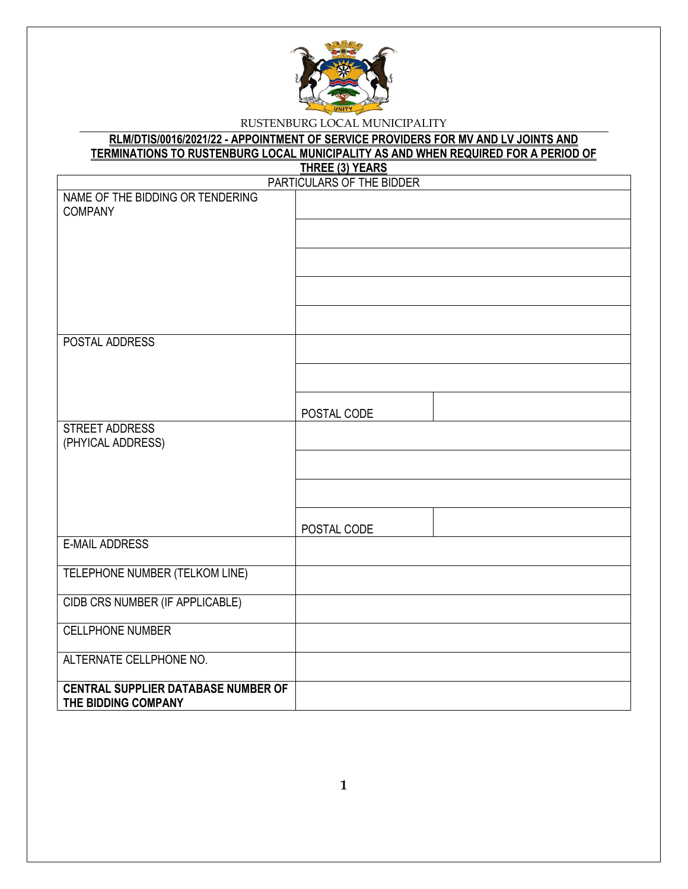

### **RLM/DTIS/0016/2021/22 - APPOINTMENT OF SERVICE PROVIDERS FOR MV AND LV JOINTS AND TERMINATIONS TO RUSTENBURG LOCAL MUNICIPALITY AS AND WHEN REQUIRED FOR A PERIOD OF THREE (3) YEARS**

|                                            | <u>UNSEN JUNIOR</u><br>PARTICULARS OF THE BIDDER |
|--------------------------------------------|--------------------------------------------------|
| NAME OF THE BIDDING OR TENDERING           |                                                  |
| <b>COMPANY</b>                             |                                                  |
|                                            |                                                  |
|                                            |                                                  |
|                                            |                                                  |
|                                            |                                                  |
|                                            |                                                  |
|                                            |                                                  |
|                                            |                                                  |
| POSTAL ADDRESS                             |                                                  |
|                                            |                                                  |
|                                            |                                                  |
|                                            |                                                  |
|                                            |                                                  |
| STREET ADDRESS                             | POSTAL CODE                                      |
| (PHYICAL ADDRESS)                          |                                                  |
|                                            |                                                  |
|                                            |                                                  |
|                                            |                                                  |
|                                            |                                                  |
|                                            |                                                  |
| <b>E-MAIL ADDRESS</b>                      | POSTAL CODE                                      |
|                                            |                                                  |
| TELEPHONE NUMBER (TELKOM LINE)             |                                                  |
|                                            |                                                  |
| CIDB CRS NUMBER (IF APPLICABLE)            |                                                  |
|                                            |                                                  |
| <b>CELLPHONE NUMBER</b>                    |                                                  |
| ALTERNATE CELLPHONE NO.                    |                                                  |
|                                            |                                                  |
| <b>CENTRAL SUPPLIER DATABASE NUMBER OF</b> |                                                  |
| THE BIDDING COMPANY                        |                                                  |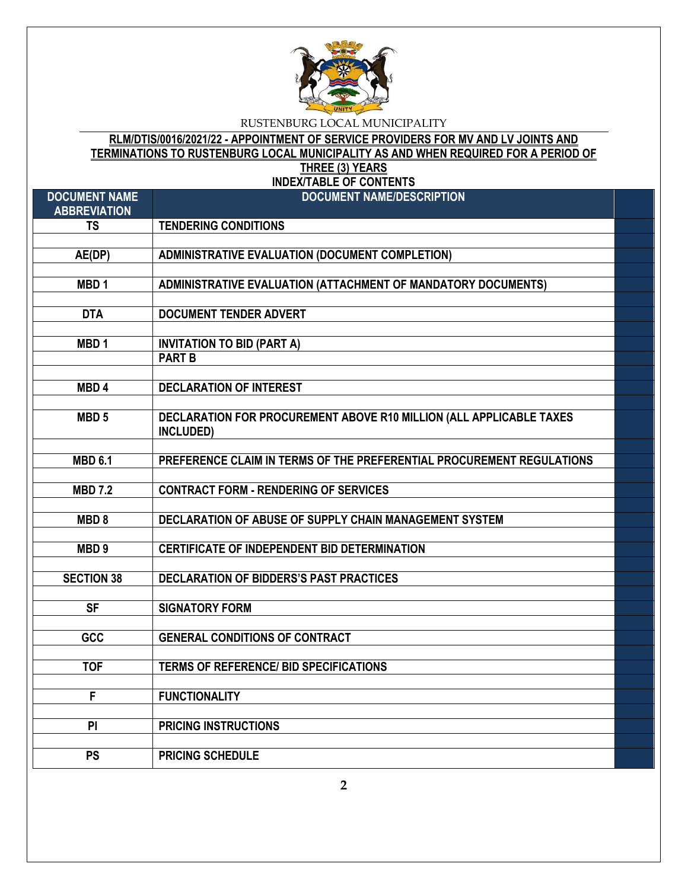

**RLM/DTIS/0016/2021/22 - APPOINTMENT OF SERVICE PROVIDERS FOR MV AND LV JOINTS AND TERMINATIONS TO RUSTENBURG LOCAL MUNICIPALITY AS AND WHEN REQUIRED FOR A PERIOD OF THREE (3) YEARS**

**INDEX/TABLE OF CONTENTS**

| <b>DOCUMENT NAME</b><br><b>ABBREVIATION</b> | <b>DOCUMENT NAME/DESCRIPTION</b>                                      |  |
|---------------------------------------------|-----------------------------------------------------------------------|--|
| <b>TS</b>                                   | <b>TENDERING CONDITIONS</b>                                           |  |
|                                             |                                                                       |  |
| $AE(\overline{DP})$                         | <b>ADMINISTRATIVE EVALUATION (DOCUMENT COMPLETION)</b>                |  |
|                                             |                                                                       |  |
| MBD <sub>1</sub>                            | ADMINISTRATIVE EVALUATION (ATTACHMENT OF MANDATORY DOCUMENTS)         |  |
|                                             |                                                                       |  |
| <b>DTA</b>                                  | <b>DOCUMENT TENDER ADVERT</b>                                         |  |
|                                             |                                                                       |  |
| MBD <sub>1</sub>                            | <b>INVITATION TO BID (PART A)</b>                                     |  |
|                                             | <b>PART B</b>                                                         |  |
|                                             |                                                                       |  |
| MBD <sub>4</sub>                            | <b>DECLARATION OF INTEREST</b>                                        |  |
|                                             |                                                                       |  |
| MBD <sub>5</sub>                            | DECLARATION FOR PROCUREMENT ABOVE R10 MILLION (ALL APPLICABLE TAXES   |  |
|                                             | INCLUDED)                                                             |  |
|                                             |                                                                       |  |
| <b>MBD 6.1</b>                              | PREFERENCE CLAIM IN TERMS OF THE PREFERENTIAL PROCUREMENT REGULATIONS |  |
|                                             |                                                                       |  |
| <b>MBD 7.2</b>                              | <b>CONTRACT FORM - RENDERING OF SERVICES</b>                          |  |
|                                             |                                                                       |  |
| MBD <sub>8</sub>                            | DECLARATION OF ABUSE OF SUPPLY CHAIN MANAGEMENT SYSTEM                |  |
|                                             |                                                                       |  |
| MBD <sub>9</sub>                            | <b>CERTIFICATE OF INDEPENDENT BID DETERMINATION</b>                   |  |
|                                             |                                                                       |  |
| <b>SECTION 38</b>                           | DECLARATION OF BIDDERS'S PAST PRACTICES                               |  |
|                                             |                                                                       |  |
| $\overline{\mathsf{SF}}$                    | <b>SIGNATORY FORM</b>                                                 |  |
|                                             |                                                                       |  |
| GCC                                         | <b>GENERAL CONDITIONS OF CONTRACT</b>                                 |  |
|                                             |                                                                       |  |
| <b>TOF</b>                                  | <b>TERMS OF REFERENCE/ BID SPECIFICATIONS</b>                         |  |
|                                             |                                                                       |  |
| F                                           | <b>FUNCTIONALITY</b>                                                  |  |
|                                             |                                                                       |  |
| PI                                          | <b>PRICING INSTRUCTIONS</b>                                           |  |
|                                             |                                                                       |  |
| <b>PS</b>                                   | <b>PRICING SCHEDULE</b>                                               |  |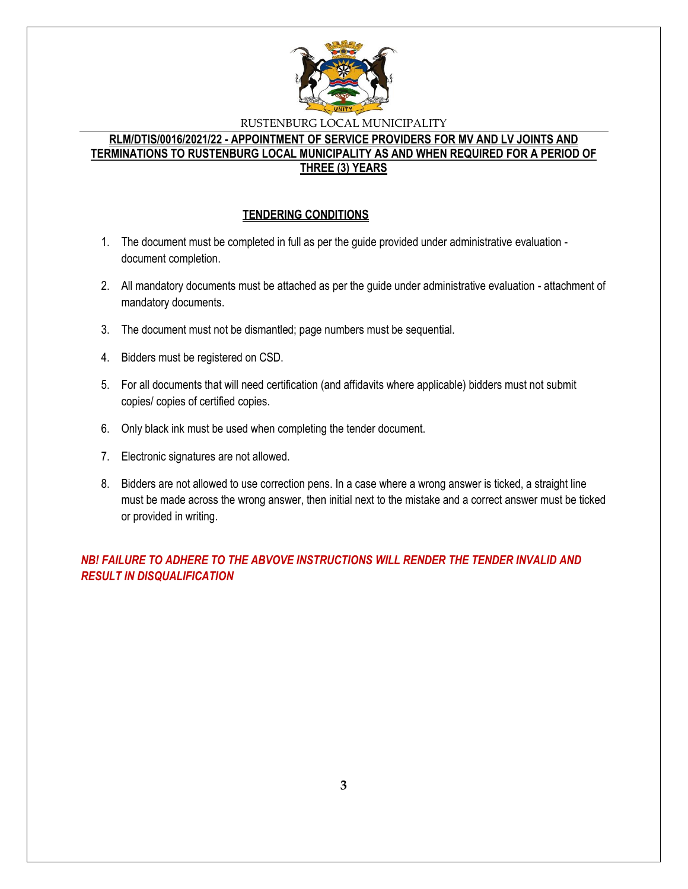

## **RLM/DTIS/0016/2021/22 - APPOINTMENT OF SERVICE PROVIDERS FOR MV AND LV JOINTS AND TERMINATIONS TO RUSTENBURG LOCAL MUNICIPALITY AS AND WHEN REQUIRED FOR A PERIOD OF THREE (3) YEARS**

## **TENDERING CONDITIONS**

- 1. The document must be completed in full as per the guide provided under administrative evaluation document completion.
- 2. All mandatory documents must be attached as per the guide under administrative evaluation attachment of mandatory documents.
- 3. The document must not be dismantled; page numbers must be sequential.
- 4. Bidders must be registered on CSD.
- 5. For all documents that will need certification (and affidavits where applicable) bidders must not submit copies/ copies of certified copies.
- 6. Only black ink must be used when completing the tender document.
- 7. Electronic signatures are not allowed.
- 8. Bidders are not allowed to use correction pens. In a case where a wrong answer is ticked, a straight line must be made across the wrong answer, then initial next to the mistake and a correct answer must be ticked or provided in writing.

*NB! FAILURE TO ADHERE TO THE ABVOVE INSTRUCTIONS WILL RENDER THE TENDER INVALID AND RESULT IN DISQUALIFICATION*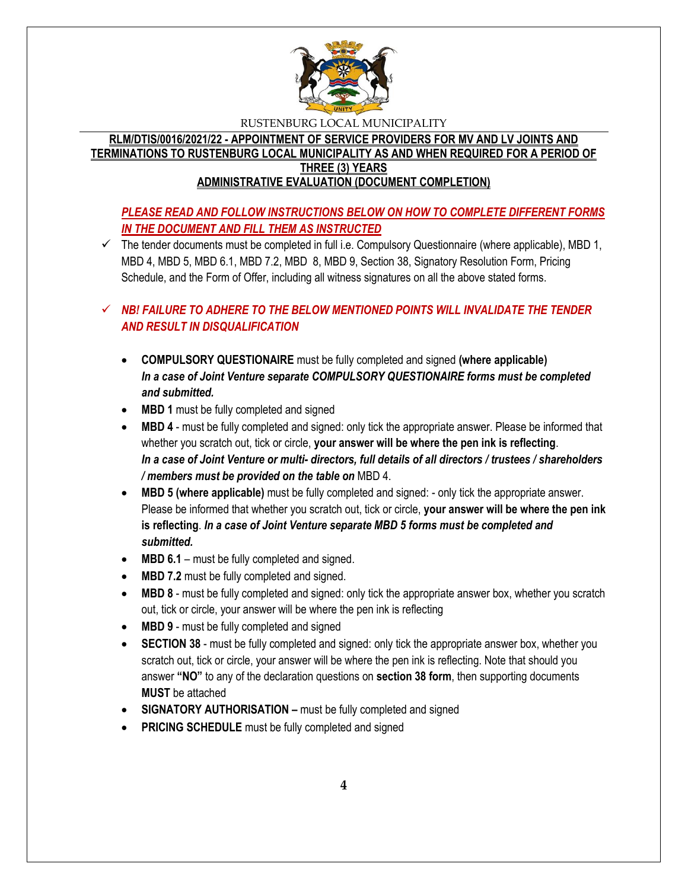

**RLM/DTIS/0016/2021/22 - APPOINTMENT OF SERVICE PROVIDERS FOR MV AND LV JOINTS AND TERMINATIONS TO RUSTENBURG LOCAL MUNICIPALITY AS AND WHEN REQUIRED FOR A PERIOD OF THREE (3) YEARS ADMINISTRATIVE EVALUATION (DOCUMENT COMPLETION)**

# *PLEASE READ AND FOLLOW INSTRUCTIONS BELOW ON HOW TO COMPLETE DIFFERENT FORMS IN THE DOCUMENT AND FILL THEM AS INSTRUCTED*

 $\checkmark$  The tender documents must be completed in full i.e. Compulsory Questionnaire (where applicable), MBD 1, MBD 4, MBD 5, MBD 6.1, MBD 7.2, MBD 8, MBD 9, Section 38, Signatory Resolution Form, Pricing Schedule, and the Form of Offer, including all witness signatures on all the above stated forms.

# *NB! FAILURE TO ADHERE TO THE BELOW MENTIONED POINTS WILL INVALIDATE THE TENDER AND RESULT IN DISQUALIFICATION*

- **COMPULSORY QUESTIONAIRE** must be fully completed and signed **(where applicable)** *In a case of Joint Venture separate COMPULSORY QUESTIONAIRE forms must be completed and submitted.*
- MBD 1 must be fully completed and signed
- **MBD 4** must be fully completed and signed: only tick the appropriate answer. Please be informed that whether you scratch out, tick or circle, **your answer will be where the pen ink is reflecting**. *In a case of Joint Venture or multi- directors, full details of all directors / trustees / shareholders / members must be provided on the table on* MBD 4.
- **MBD 5 (where applicable)** must be fully completed and signed: only tick the appropriate answer. Please be informed that whether you scratch out, tick or circle, **your answer will be where the pen ink is reflecting**. *In a case of Joint Venture separate MBD 5 forms must be completed and submitted.*
- MBD 6.1 must be fully completed and signed.
- **MBD 7.2** must be fully completed and signed.
- **MBD 8** must be fully completed and signed: only tick the appropriate answer box, whether you scratch out, tick or circle, your answer will be where the pen ink is reflecting
- MBD 9 must be fully completed and signed
- **SECTION 38** must be fully completed and signed: only tick the appropriate answer box, whether you scratch out, tick or circle, your answer will be where the pen ink is reflecting. Note that should you answer **"NO"** to any of the declaration questions on **section 38 form**, then supporting documents **MUST** be attached
- **SIGNATORY AUTHORISATION –** must be fully completed and signed
- **PRICING SCHEDULE** must be fully completed and signed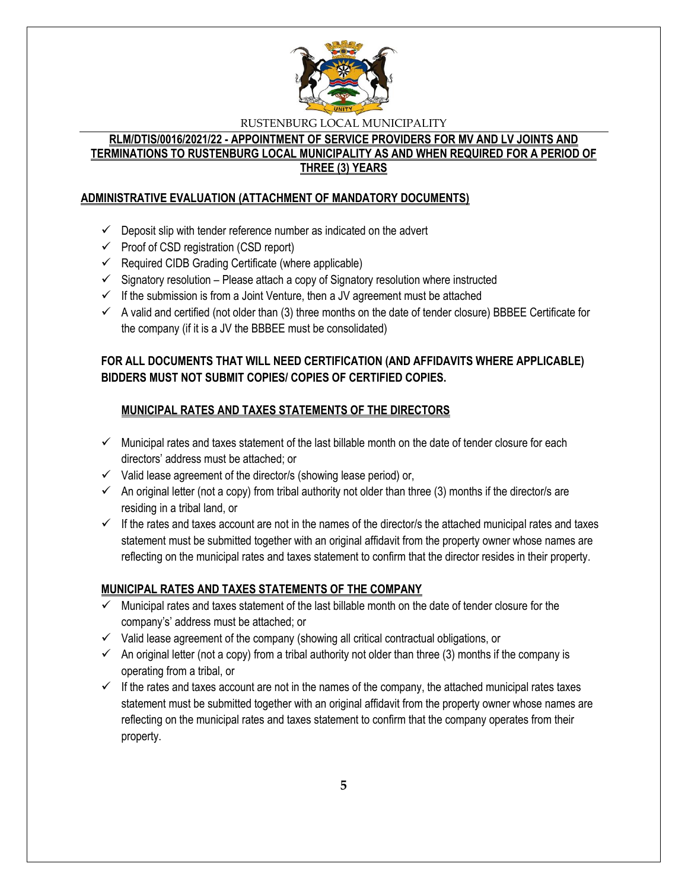

## **RLM/DTIS/0016/2021/22 - APPOINTMENT OF SERVICE PROVIDERS FOR MV AND LV JOINTS AND TERMINATIONS TO RUSTENBURG LOCAL MUNICIPALITY AS AND WHEN REQUIRED FOR A PERIOD OF THREE (3) YEARS**

## **ADMINISTRATIVE EVALUATION (ATTACHMENT OF MANDATORY DOCUMENTS)**

- $\checkmark$  Deposit slip with tender reference number as indicated on the advert
- $\checkmark$  Proof of CSD registration (CSD report)
- $\checkmark$  Required CIDB Grading Certificate (where applicable)
- $\checkmark$  Signatory resolution Please attach a copy of Signatory resolution where instructed
- $\checkmark$  If the submission is from a Joint Venture, then a JV agreement must be attached
- $\checkmark$  A valid and certified (not older than (3) three months on the date of tender closure) BBBEE Certificate for the company (if it is a JV the BBBEE must be consolidated)

# **FOR ALL DOCUMENTS THAT WILL NEED CERTIFICATION (AND AFFIDAVITS WHERE APPLICABLE) BIDDERS MUST NOT SUBMIT COPIES/ COPIES OF CERTIFIED COPIES.**

# **MUNICIPAL RATES AND TAXES STATEMENTS OF THE DIRECTORS**

- $\checkmark$  Municipal rates and taxes statement of the last billable month on the date of tender closure for each directors' address must be attached; or
- $\checkmark$  Valid lease agreement of the director/s (showing lease period) or,
- $\checkmark$  An original letter (not a copy) from tribal authority not older than three (3) months if the director/s are residing in a tribal land, or
- $\checkmark$  If the rates and taxes account are not in the names of the director/s the attached municipal rates and taxes statement must be submitted together with an original affidavit from the property owner whose names are reflecting on the municipal rates and taxes statement to confirm that the director resides in their property.

# **MUNICIPAL RATES AND TAXES STATEMENTS OF THE COMPANY**

- $\checkmark$  Municipal rates and taxes statement of the last billable month on the date of tender closure for the company's' address must be attached; or
- $\checkmark$  Valid lease agreement of the company (showing all critical contractual obligations, or
- $\checkmark$  An original letter (not a copy) from a tribal authority not older than three (3) months if the company is operating from a tribal, or
- $\checkmark$  If the rates and taxes account are not in the names of the company, the attached municipal rates taxes statement must be submitted together with an original affidavit from the property owner whose names are reflecting on the municipal rates and taxes statement to confirm that the company operates from their property.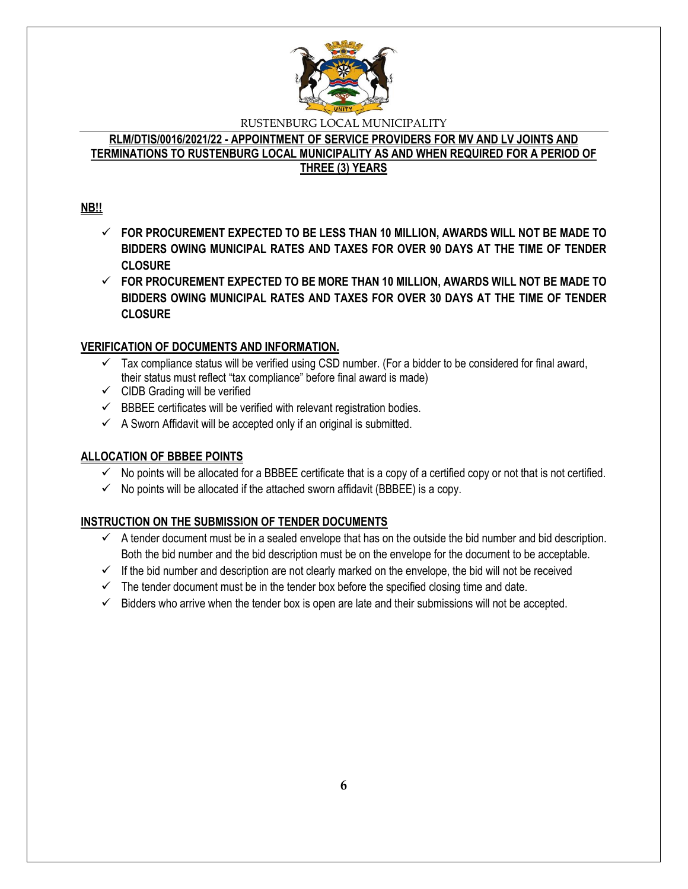

## **RLM/DTIS/0016/2021/22 - APPOINTMENT OF SERVICE PROVIDERS FOR MV AND LV JOINTS AND TERMINATIONS TO RUSTENBURG LOCAL MUNICIPALITY AS AND WHEN REQUIRED FOR A PERIOD OF THREE (3) YEARS**

# **NB!!**

- **FOR PROCUREMENT EXPECTED TO BE LESS THAN 10 MILLION, AWARDS WILL NOT BE MADE TO BIDDERS OWING MUNICIPAL RATES AND TAXES FOR OVER 90 DAYS AT THE TIME OF TENDER CLOSURE**
- **FOR PROCUREMENT EXPECTED TO BE MORE THAN 10 MILLION, AWARDS WILL NOT BE MADE TO BIDDERS OWING MUNICIPAL RATES AND TAXES FOR OVER 30 DAYS AT THE TIME OF TENDER CLOSURE**

# **VERIFICATION OF DOCUMENTS AND INFORMATION.**

- $\checkmark$  Tax compliance status will be verified using CSD number. (For a bidder to be considered for final award, their status must reflect "tax compliance" before final award is made)
- $\checkmark$  CIDB Grading will be verified
- $\checkmark$  BBBEE certificates will be verified with relevant registration bodies.
- $\checkmark$  A Sworn Affidavit will be accepted only if an original is submitted.

## **ALLOCATION OF BBBEE POINTS**

- $\checkmark$  No points will be allocated for a BBBEE certificate that is a copy of a certified copy or not that is not certified.
- $\checkmark$  No points will be allocated if the attached sworn affidavit (BBBEE) is a copy.

# **INSTRUCTION ON THE SUBMISSION OF TENDER DOCUMENTS**

- $\checkmark$  A tender document must be in a sealed envelope that has on the outside the bid number and bid description. Both the bid number and the bid description must be on the envelope for the document to be acceptable.
- $\checkmark$  If the bid number and description are not clearly marked on the envelope, the bid will not be received
- $\checkmark$  The tender document must be in the tender box before the specified closing time and date.
- $\checkmark$  Bidders who arrive when the tender box is open are late and their submissions will not be accepted.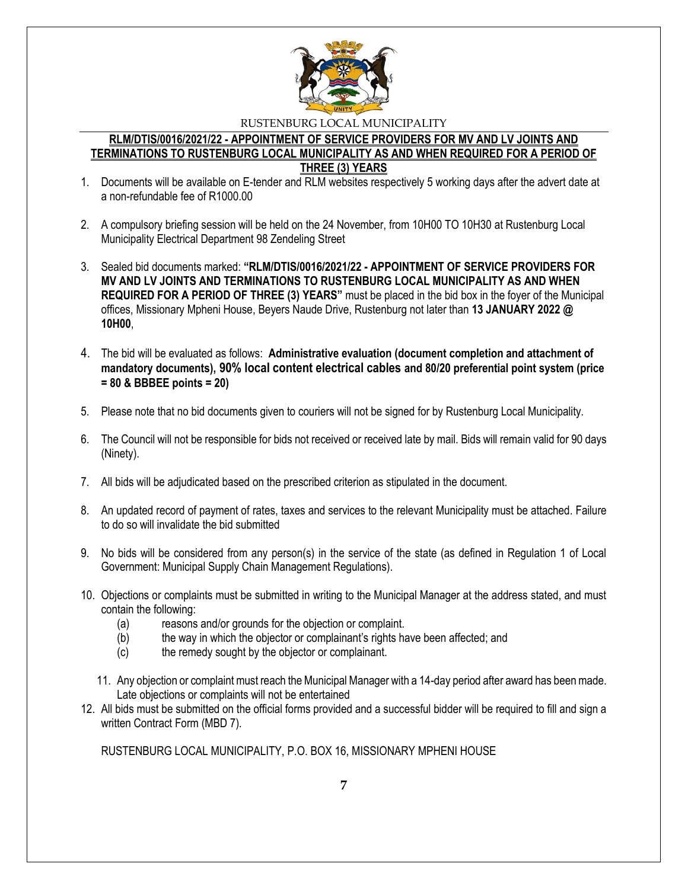

#### **RLM/DTIS/0016/2021/22 - APPOINTMENT OF SERVICE PROVIDERS FOR MV AND LV JOINTS AND TERMINATIONS TO RUSTENBURG LOCAL MUNICIPALITY AS AND WHEN REQUIRED FOR A PERIOD OF THREE (3) YEARS**

- 1. Documents will be available on E-tender and RLM websites respectively 5 working days after the advert date at a non-refundable fee of R1000.00
- 2. A compulsory briefing session will be held on the 24 November, from 10H00 TO 10H30 at Rustenburg Local Municipality Electrical Department 98 Zendeling Street
- 3. Sealed bid documents marked: **"RLM/DTIS/0016/2021/22 - APPOINTMENT OF SERVICE PROVIDERS FOR MV AND LV JOINTS AND TERMINATIONS TO RUSTENBURG LOCAL MUNICIPALITY AS AND WHEN REQUIRED FOR A PERIOD OF THREE (3) YEARS"** must be placed in the bid box in the foyer of the Municipal offices, Missionary Mpheni House, Beyers Naude Drive, Rustenburg not later than **13 JANUARY 2022 @ 10H00**,
- 4. The bid will be evaluated as follows: **Administrative evaluation (document completion and attachment of mandatory documents), 90% local content electrical cables and 80/20 preferential point system (price = 80 & BBBEE points = 20)**
- 5. Please note that no bid documents given to couriers will not be signed for by Rustenburg Local Municipality.
- 6. The Council will not be responsible for bids not received or received late by mail. Bids will remain valid for 90 days (Ninety).
- 7. All bids will be adjudicated based on the prescribed criterion as stipulated in the document.
- 8. An updated record of payment of rates, taxes and services to the relevant Municipality must be attached. Failure to do so will invalidate the bid submitted
- 9. No bids will be considered from any person(s) in the service of the state (as defined in Regulation 1 of Local Government: Municipal Supply Chain Management Regulations).
- 10. Objections or complaints must be submitted in writing to the Municipal Manager at the address stated, and must contain the following:
	- (a) reasons and/or grounds for the objection or complaint.
	- (b) the way in which the objector or complainant's rights have been affected; and
	- (c) the remedy sought by the objector or complainant.
	- 11. Any objection or complaint must reach the Municipal Manager with a 14-day period after award has been made. Late objections or complaints will not be entertained
- 12. All bids must be submitted on the official forms provided and a successful bidder will be required to fill and sign a written Contract Form (MBD 7).

RUSTENBURG LOCAL MUNICIPALITY, P.O. BOX 16, MISSIONARY MPHENI HOUSE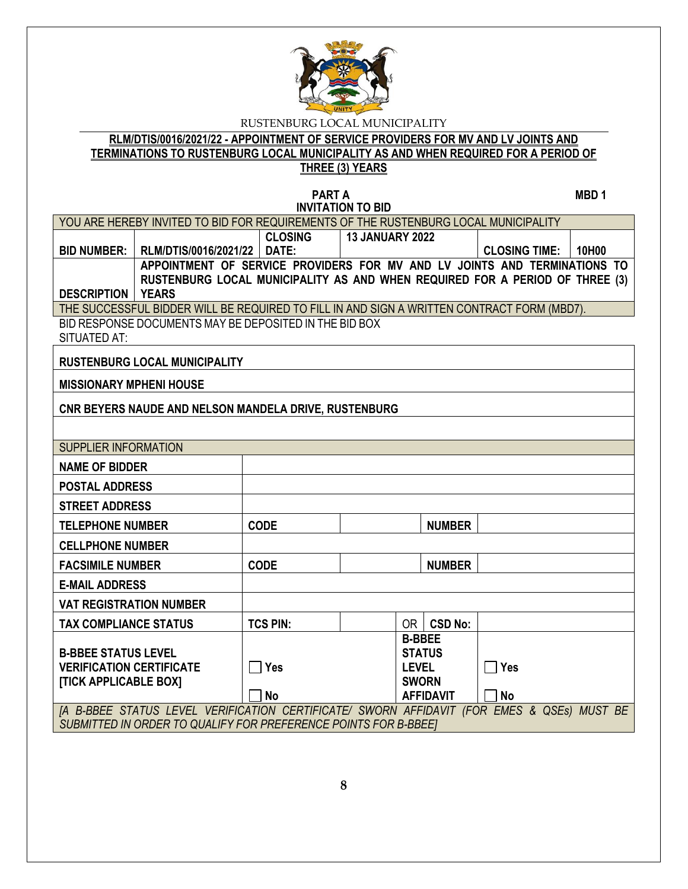

## **RLM/DTIS/0016/2021/22 - APPOINTMENT OF SERVICE PROVIDERS FOR MV AND LV JOINTS AND TERMINATIONS TO RUSTENBURG LOCAL MUNICIPALITY AS AND WHEN REQUIRED FOR A PERIOD OF THREE (3) YEARS**

**PART A** MBD 1 **INVITATION TO BID**

| YOU ARE HEREBY INVITED TO BID FOR REQUIREMENTS OF THE RUSTENBURG LOCAL MUNICIPALITY                                                                           |                                                                                              |                 |                        |                                                                |                  |                      |       |
|---------------------------------------------------------------------------------------------------------------------------------------------------------------|----------------------------------------------------------------------------------------------|-----------------|------------------------|----------------------------------------------------------------|------------------|----------------------|-------|
|                                                                                                                                                               |                                                                                              | <b>CLOSING</b>  | <b>13 JANUARY 2022</b> |                                                                |                  |                      |       |
| <b>BID NUMBER:</b>                                                                                                                                            | RLM/DTIS/0016/2021/22                                                                        | DATE:           |                        |                                                                |                  | <b>CLOSING TIME:</b> | 10H00 |
|                                                                                                                                                               | APPOINTMENT OF SERVICE PROVIDERS FOR MV AND LV JOINTS AND TERMINATIONS TO                    |                 |                        |                                                                |                  |                      |       |
| <b>DESCRIPTION</b>                                                                                                                                            | RUSTENBURG LOCAL MUNICIPALITY AS AND WHEN REQUIRED FOR A PERIOD OF THREE (3)<br><b>YEARS</b> |                 |                        |                                                                |                  |                      |       |
|                                                                                                                                                               | THE SUCCESSFUL BIDDER WILL BE REQUIRED TO FILL IN AND SIGN A WRITTEN CONTRACT FORM (MBD7).   |                 |                        |                                                                |                  |                      |       |
| <b>SITUATED AT:</b>                                                                                                                                           | BID RESPONSE DOCUMENTS MAY BE DEPOSITED IN THE BID BOX                                       |                 |                        |                                                                |                  |                      |       |
|                                                                                                                                                               | <b>RUSTENBURG LOCAL MUNICIPALITY</b>                                                         |                 |                        |                                                                |                  |                      |       |
| <b>MISSIONARY MPHENI HOUSE</b>                                                                                                                                |                                                                                              |                 |                        |                                                                |                  |                      |       |
|                                                                                                                                                               | CNR BEYERS NAUDE AND NELSON MANDELA DRIVE, RUSTENBURG                                        |                 |                        |                                                                |                  |                      |       |
|                                                                                                                                                               |                                                                                              |                 |                        |                                                                |                  |                      |       |
| <b>SUPPLIER INFORMATION</b>                                                                                                                                   |                                                                                              |                 |                        |                                                                |                  |                      |       |
| <b>NAME OF BIDDER</b>                                                                                                                                         |                                                                                              |                 |                        |                                                                |                  |                      |       |
| <b>POSTAL ADDRESS</b>                                                                                                                                         |                                                                                              |                 |                        |                                                                |                  |                      |       |
| <b>STREET ADDRESS</b>                                                                                                                                         |                                                                                              |                 |                        |                                                                |                  |                      |       |
| <b>TELEPHONE NUMBER</b>                                                                                                                                       |                                                                                              | <b>CODE</b>     |                        |                                                                | <b>NUMBER</b>    |                      |       |
| <b>CELLPHONE NUMBER</b>                                                                                                                                       |                                                                                              |                 |                        |                                                                |                  |                      |       |
| <b>FACSIMILE NUMBER</b>                                                                                                                                       |                                                                                              | <b>CODE</b>     |                        |                                                                | <b>NUMBER</b>    |                      |       |
| <b>E-MAIL ADDRESS</b>                                                                                                                                         |                                                                                              |                 |                        |                                                                |                  |                      |       |
| <b>VAT REGISTRATION NUMBER</b>                                                                                                                                |                                                                                              |                 |                        |                                                                |                  |                      |       |
| <b>TAX COMPLIANCE STATUS</b>                                                                                                                                  |                                                                                              | <b>TCS PIN:</b> |                        |                                                                | OR   CSD No:     |                      |       |
| <b>B-BBEE STATUS LEVEL</b><br><b>VERIFICATION CERTIFICATE</b><br><b>[TICK APPLICABLE BOX]</b>                                                                 |                                                                                              | Yes             |                        | <b>B-BBEE</b><br><b>STATUS</b><br><b>LEVEL</b><br><b>SWORN</b> |                  | Yes                  |       |
|                                                                                                                                                               |                                                                                              | <b>No</b>       |                        |                                                                | <b>AFFIDAVIT</b> | <b>No</b>            |       |
| [A B-BBEE STATUS LEVEL VERIFICATION CERTIFICATE/ SWORN AFFIDAVIT (FOR EMES & QSEs) MUST BE<br>SUBMITTED IN ORDER TO QUALIFY FOR PREFERENCE POINTS FOR B-BBEET |                                                                                              |                 |                        |                                                                |                  |                      |       |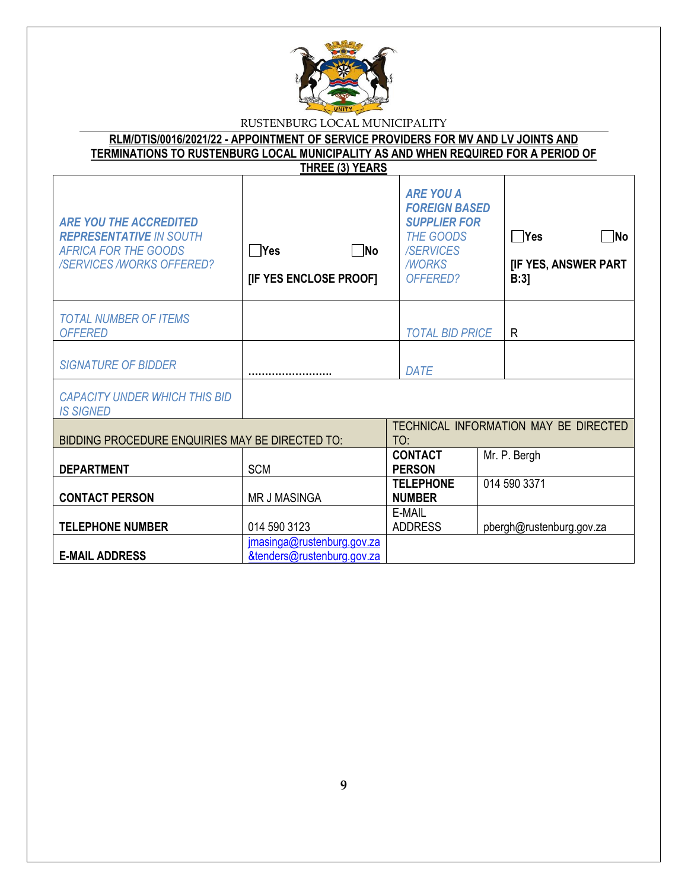

**RLM/DTIS/0016/2021/22 - APPOINTMENT OF SERVICE PROVIDERS FOR MV AND LV JOINTS AND TERMINATIONS TO RUSTENBURG LOCAL MUNICIPALITY AS AND WHEN REQUIRED FOR A PERIOD OF THREE (3) YEARS**

| <b>ARE YOU THE ACCREDITED</b><br><b>REPRESENTATIVE IN SOUTH</b><br><b>AFRICA FOR THE GOODS</b><br><b>/SERVICES /WORKS OFFERED?</b> | $\neg$ No<br>$\Box$ Yes<br>[IF YES ENCLOSE PROOF]        | <b>ARE YOU A</b><br><b>FOREIGN BASED</b><br><b>SUPPLIER FOR</b><br>THE GOODS<br><b>/SERVICES</b><br><b>MORKS</b><br>OFFERED? | $\neg$ No<br>∣ ∣Yes<br>[IF YES, ANSWER PART<br>B:3 |
|------------------------------------------------------------------------------------------------------------------------------------|----------------------------------------------------------|------------------------------------------------------------------------------------------------------------------------------|----------------------------------------------------|
| <b>TOTAL NUMBER OF ITEMS</b><br><b>OFFERED</b>                                                                                     |                                                          | <b>TOTAL BID PRICE</b>                                                                                                       | R                                                  |
| <b>SIGNATURE OF BIDDER</b>                                                                                                         |                                                          | <b>DATE</b>                                                                                                                  |                                                    |
| <b>CAPACITY UNDER WHICH THIS BID</b><br><b>IS SIGNED</b>                                                                           |                                                          |                                                                                                                              |                                                    |
| BIDDING PROCEDURE ENQUIRIES MAY BE DIRECTED TO:                                                                                    |                                                          | TO:                                                                                                                          | TECHNICAL INFORMATION MAY BE DIRECTED              |
| <b>DEPARTMENT</b>                                                                                                                  | <b>SCM</b>                                               | <b>CONTACT</b><br><b>PERSON</b>                                                                                              | Mr. P. Bergh                                       |
| <b>CONTACT PERSON</b>                                                                                                              | <b>MR J MASINGA</b>                                      | <b>TELEPHONE</b><br><b>NUMBER</b>                                                                                            | 014 590 3371                                       |
| <b>TELEPHONE NUMBER</b>                                                                                                            | 014 590 3123                                             | E-MAIL<br><b>ADDRESS</b>                                                                                                     | pbergh@rustenburg.gov.za                           |
| <b>E-MAIL ADDRESS</b>                                                                                                              | jmasinga@rustenburg.gov.za<br>&tenders@rustenburg.gov.za |                                                                                                                              |                                                    |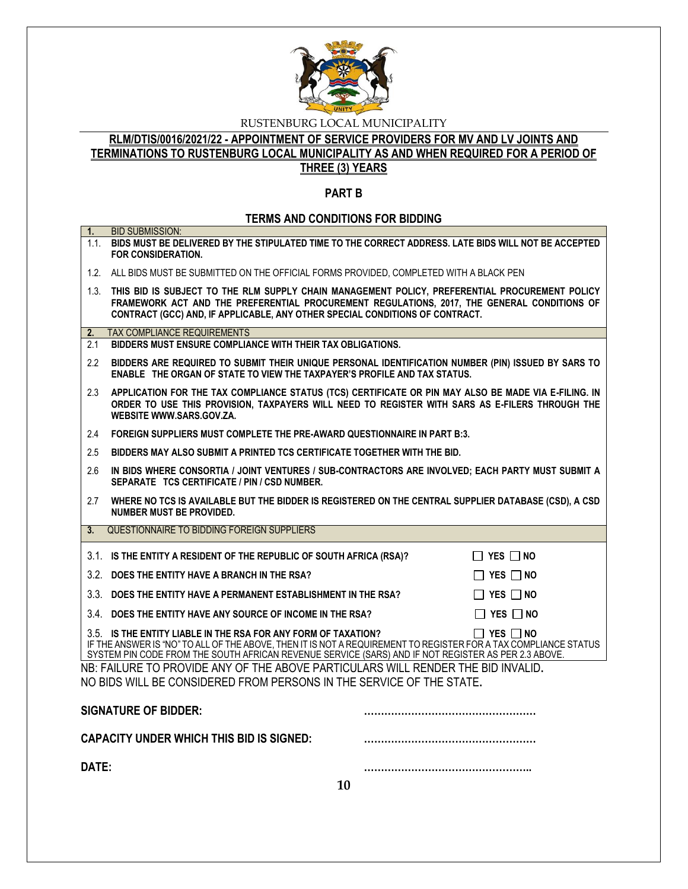

# **RLM/DTIS/0016/2021/22 - APPOINTMENT OF SERVICE PROVIDERS FOR MV AND LV JOINTS AND TERMINATIONS TO RUSTENBURG LOCAL MUNICIPALITY AS AND WHEN REQUIRED FOR A PERIOD OF THREE (3) YEARS**

### **PART B**

# **TERMS AND CONDITIONS FOR BIDDING**

| 1.            | <b>BID SUBMISSION:</b><br>1.1. BIDS MUST BE DELIVERED BY THE STIPULATED TIME TO THE CORRECT ADDRESS. LATE BIDS WILL NOT BE ACCEPTED<br><b>FOR CONSIDERATION.</b>                                                                                                                                                 |  |  |
|---------------|------------------------------------------------------------------------------------------------------------------------------------------------------------------------------------------------------------------------------------------------------------------------------------------------------------------|--|--|
|               | 1.2. ALL BIDS MUST BE SUBMITTED ON THE OFFICIAL FORMS PROVIDED, COMPLETED WITH A BLACK PEN                                                                                                                                                                                                                       |  |  |
|               | 1.3. THIS BID IS SUBJECT TO THE RLM SUPPLY CHAIN MANAGEMENT POLICY, PREFERENTIAL PROCUREMENT POLICY<br>FRAMEWORK ACT AND THE PREFERENTIAL PROCUREMENT REGULATIONS, 2017, THE GENERAL CONDITIONS OF<br>CONTRACT (GCC) AND, IF APPLICABLE, ANY OTHER SPECIAL CONDITIONS OF CONTRACT.                               |  |  |
| 2.            | <b>TAX COMPLIANCE REQUIREMENTS</b>                                                                                                                                                                                                                                                                               |  |  |
| 2.1           | BIDDERS MUST ENSURE COMPLIANCE WITH THEIR TAX OBLIGATIONS.                                                                                                                                                                                                                                                       |  |  |
| $2.2^{\circ}$ | BIDDERS ARE REQUIRED TO SUBMIT THEIR UNIQUE PERSONAL IDENTIFICATION NUMBER (PIN) ISSUED BY SARS TO<br>ENABLE THE ORGAN OF STATE TO VIEW THE TAXPAYER'S PROFILE AND TAX STATUS.                                                                                                                                   |  |  |
| 2.3           | APPLICATION FOR THE TAX COMPLIANCE STATUS (TCS) CERTIFICATE OR PIN MAY ALSO BE MADE VIA E-FILING. IN<br>ORDER TO USE THIS PROVISION, TAXPAYERS WILL NEED TO REGISTER WITH SARS AS E-FILERS THROUGH THE<br>WEBSITE WWW.SARS.GOV.ZA.                                                                               |  |  |
| 2.4           | FOREIGN SUPPLIERS MUST COMPLETE THE PRE-AWARD QUESTIONNAIRE IN PART B:3.                                                                                                                                                                                                                                         |  |  |
| 2.5           | BIDDERS MAY ALSO SUBMIT A PRINTED TCS CERTIFICATE TOGETHER WITH THE BID.                                                                                                                                                                                                                                         |  |  |
| 2.6           | IN BIDS WHERE CONSORTIA / JOINT VENTURES / SUB-CONTRACTORS ARE INVOLVED; EACH PARTY MUST SUBMIT A<br>SEPARATE TCS CERTIFICATE / PIN / CSD NUMBER.                                                                                                                                                                |  |  |
| 2.7           | WHERE NO TCS IS AVAILABLE BUT THE BIDDER IS REGISTERED ON THE CENTRAL SUPPLIER DATABASE (CSD), A CSD<br><b>NUMBER MUST BE PROVIDED.</b>                                                                                                                                                                          |  |  |
| 3.            | QUESTIONNAIRE TO BIDDING FOREIGN SUPPLIERS                                                                                                                                                                                                                                                                       |  |  |
|               | 3.1. IS THE ENTITY A RESIDENT OF THE REPUBLIC OF SOUTH AFRICA (RSA)?<br>$\Box$ YES $\Box$ No                                                                                                                                                                                                                     |  |  |
|               | 3.2. DOES THE ENTITY HAVE A BRANCH IN THE RSA?<br>$\Box$ Yes $\Box$ No                                                                                                                                                                                                                                           |  |  |
|               | 3.3. DOES THE ENTITY HAVE A PERMANENT ESTABLISHMENT IN THE RSA?<br>$\Box$ Yes $\Box$ No                                                                                                                                                                                                                          |  |  |
|               | $\Box$ YES $\Box$ NO<br>3.4. DOES THE ENTITY HAVE ANY SOURCE OF INCOME IN THE RSA?                                                                                                                                                                                                                               |  |  |
|               | 3.5. IS THE ENTITY LIABLE IN THE RSA FOR ANY FORM OF TAXATION?<br>$\Box$ Yes $\Box$ No<br>IF THE ANSWER IS "NO" TO ALL OF THE ABOVE, THEN IT IS NOT A REQUIREMENT TO REGISTER FOR A TAX COMPLIANCE STATUS<br>SYSTEM PIN CODE FROM THE SOUTH AFRICAN REVENUE SERVICE (SARS) AND IF NOT REGISTER AS PER 2.3 ABOVE. |  |  |
|               | NB: FAILURE TO PROVIDE ANY OF THE ABOVE PARTICULARS WILL RENDER THE BID INVALID.<br>NO BIDS WILL BE CONSIDERED FROM PERSONS IN THE SERVICE OF THE STATE.                                                                                                                                                         |  |  |
|               | <b>SIGNATURE OF BIDDER:</b>                                                                                                                                                                                                                                                                                      |  |  |
|               | <b>CAPACITY UNDER WHICH THIS BID IS SIGNED:</b>                                                                                                                                                                                                                                                                  |  |  |
| DATE:         |                                                                                                                                                                                                                                                                                                                  |  |  |
|               | 10                                                                                                                                                                                                                                                                                                               |  |  |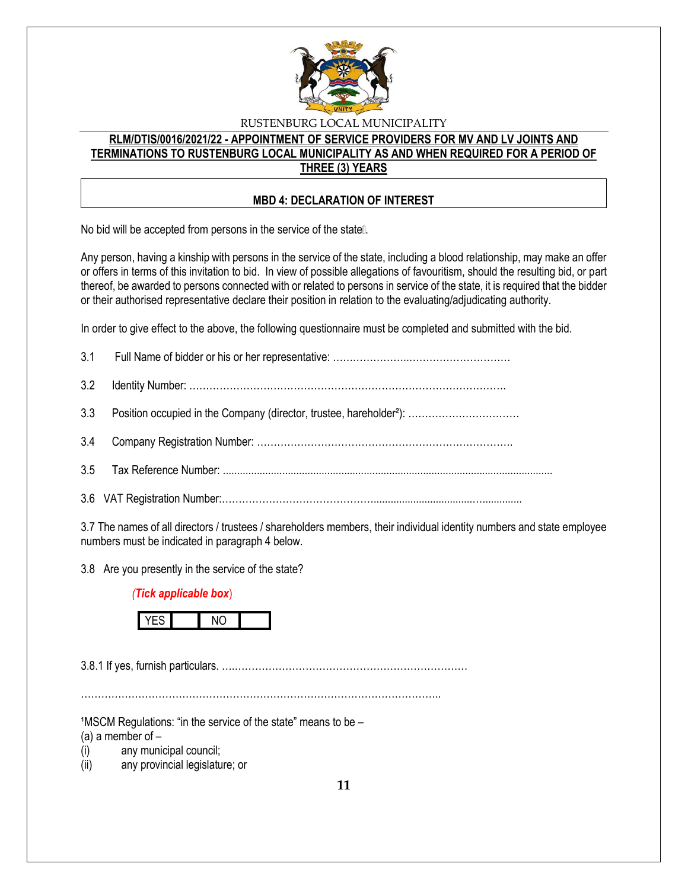

# **RLM/DTIS/0016/2021/22 - APPOINTMENT OF SERVICE PROVIDERS FOR MV AND LV JOINTS AND TERMINATIONS TO RUSTENBURG LOCAL MUNICIPALITY AS AND WHEN REQUIRED FOR A PERIOD OF THREE (3) YEARS**

## **MBD 4: DECLARATION OF INTEREST**

No bid will be accepted from persons in the service of the state [].

Any person, having a kinship with persons in the service of the state, including a blood relationship, may make an offer or offers in terms of this invitation to bid. In view of possible allegations of favouritism, should the resulting bid, or part thereof, be awarded to persons connected with or related to persons in service of the state, it is required that the bidder or their authorised representative declare their position in relation to the evaluating/adjudicating authority.

In order to give effect to the above, the following questionnaire must be completed and submitted with the bid.

3.7 The names of all directors / trustees / shareholders members, their individual identity numbers and state employee numbers must be indicated in paragraph 4 below.

3.8 Are you presently in the service of the state?

## *(Tick applicable box*)



3.8.1 If yes, furnish particulars. ….……………………………………………………………

……………………………………………………………………………………………..

 $1$ MSCM Regulations: "in the service of the state" means to be  $-$ 

(a) a member of  $-$ 

(i) any municipal council;

(ii) any provincial legislature; or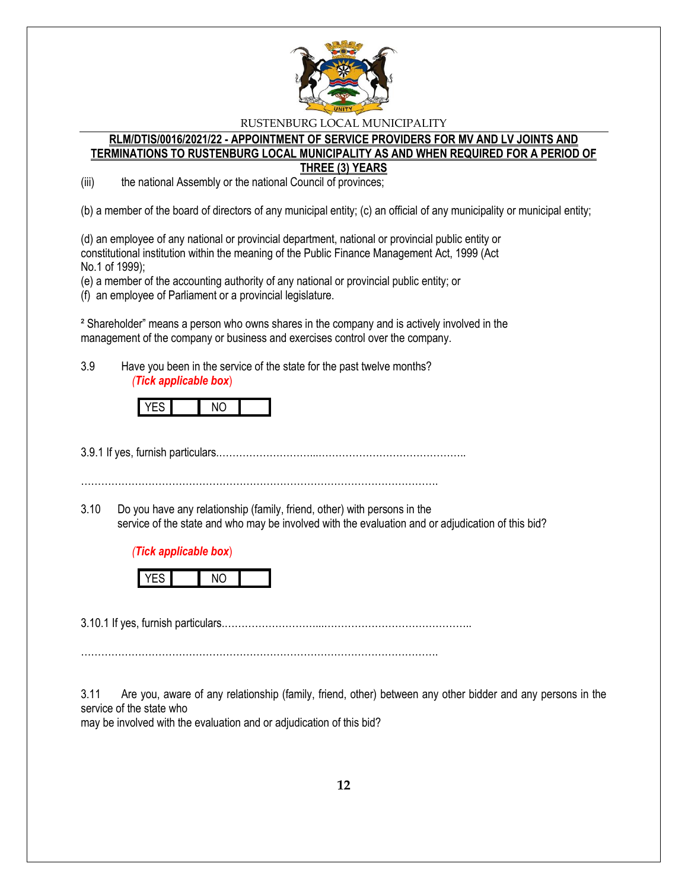

#### **RLM/DTIS/0016/2021/22 - APPOINTMENT OF SERVICE PROVIDERS FOR MV AND LV JOINTS AND TERMINATIONS TO RUSTENBURG LOCAL MUNICIPALITY AS AND WHEN REQUIRED FOR A PERIOD OF THREE (3) YEARS**

(iii) the national Assembly or the national Council of provinces;

(b) a member of the board of directors of any municipal entity; (c) an official of any municipality or municipal entity;

(d) an employee of any national or provincial department, national or provincial public entity or constitutional institution within the meaning of the Public Finance Management Act, 1999 (Act No.1 of 1999);

(e) a member of the accounting authority of any national or provincial public entity; or

(f) an employee of Parliament or a provincial legislature.

² Shareholder" means a person who owns shares in the company and is actively involved in the management of the company or business and exercises control over the company.

3.9 Have you been in the service of the state for the past twelve months? *(Tick applicable box*)



3.9.1 If yes, furnish particulars.………………………...……………………………………..

…………………………………………………………………………………………….

3.10 Do you have any relationship (family, friend, other) with persons in the service of the state and who may be involved with the evaluation and or adjudication of this bid?

## *(Tick applicable box*)



3.10.1 If yes, furnish particulars.………………………...……………………………………..

…………………………………………………………………………………………….

3.11 Are you, aware of any relationship (family, friend, other) between any other bidder and any persons in the service of the state who

may be involved with the evaluation and or adjudication of this bid?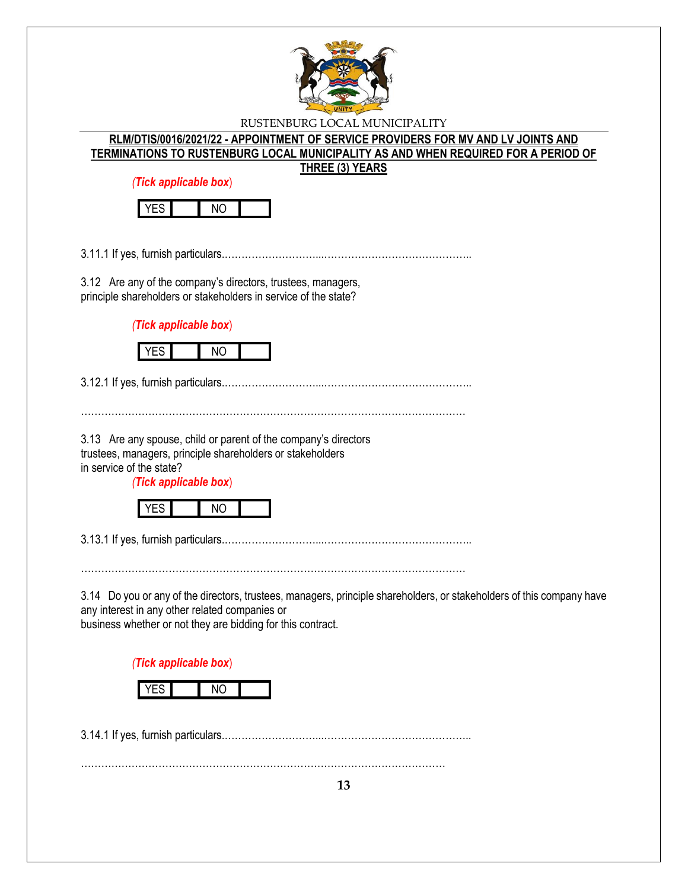

| RLM/DTIS/0016/2021/22 - APPOINTMENT OF SERVICE PROVIDERS FOR MV AND LV JOINTS AND  |
|------------------------------------------------------------------------------------|
| TERMINATIONS TO RUSTENBURG LOCAL MUNICIPALITY AS AND WHEN REQUIRED FOR A PERIOD OF |
| <b>THREE (3) YEARS</b>                                                             |

*(Tick applicable box*)



3.11.1 If yes, furnish particulars.………………………...……………………………………..

3.12 Are any of the company's directors, trustees, managers, principle shareholders or stakeholders in service of the state?

*(Tick applicable box*)



3.12.1 If yes, furnish particulars.………………………...……………………………………..

3.13 Are any spouse, child or parent of the company's directors trustees, managers, principle shareholders or stakeholders in service of the state?

*(Tick applicable box*)



3.13.1 If yes, furnish particulars.………………………...……………………………………..

……………………………………………………………………………………………………

3.14 Do you or any of the directors, trustees, managers, principle shareholders, or stakeholders of this company have any interest in any other related companies or business whether or not they are bidding for this contract.

……………………………………………………………………………………………………

*(Tick applicable box*)

3.14.1 If yes, furnish particulars.………………………...……………………………………..

………………………………………………………………………………………………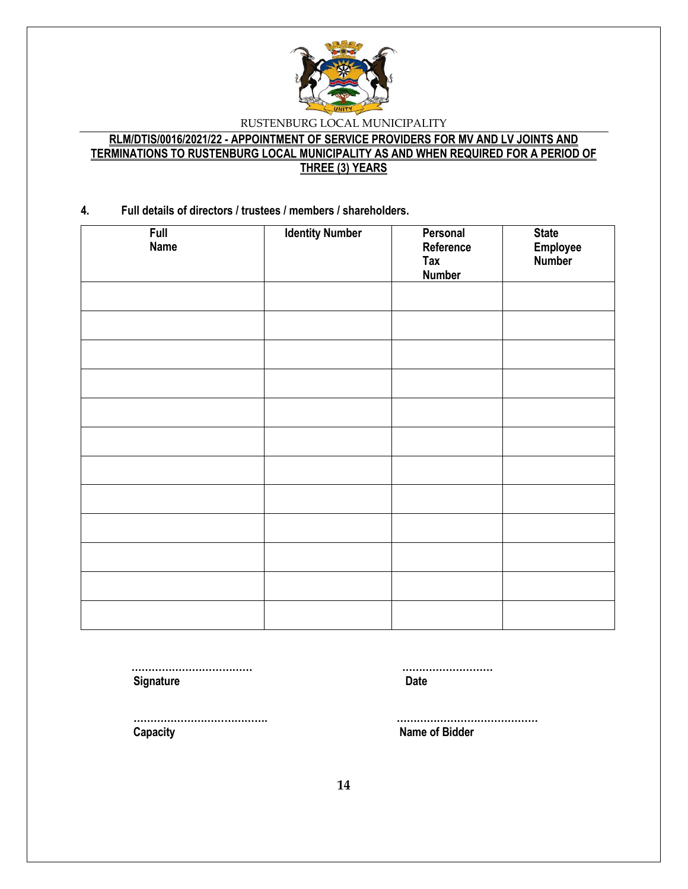

# **RLM/DTIS/0016/2021/22 - APPOINTMENT OF SERVICE PROVIDERS FOR MV AND LV JOINTS AND TERMINATIONS TO RUSTENBURG LOCAL MUNICIPALITY AS AND WHEN REQUIRED FOR A PERIOD OF THREE (3) YEARS**

### **4. Full details of directors / trustees / members / shareholders.**

| Full<br><b>Name</b> | <b>Identity Number</b> | Personal<br>Reference<br>Tax<br><b>Number</b> | State<br>Employee<br><b>Number</b> |
|---------------------|------------------------|-----------------------------------------------|------------------------------------|
|                     |                        |                                               |                                    |
|                     |                        |                                               |                                    |
|                     |                        |                                               |                                    |
|                     |                        |                                               |                                    |
|                     |                        |                                               |                                    |
|                     |                        |                                               |                                    |
|                     |                        |                                               |                                    |
|                     |                        |                                               |                                    |
|                     |                        |                                               |                                    |
|                     |                        |                                               |                                    |
|                     |                        |                                               |                                    |
|                     |                        |                                               |                                    |

 **……………………………… ……………………… Signature Date** 

 **…………………………………. …………………………………… Capacity Name of Bidder**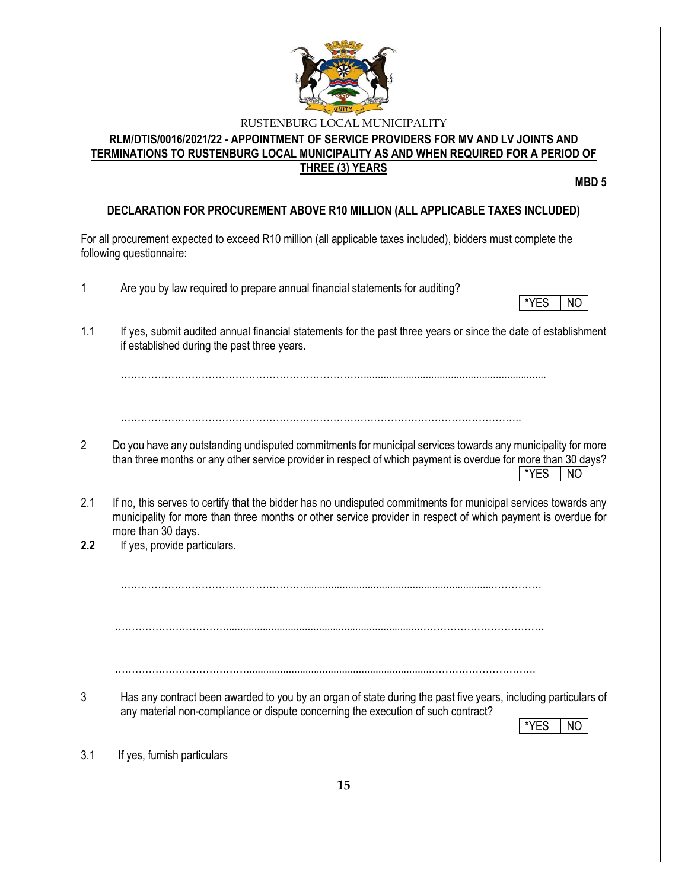

## **RLM/DTIS/0016/2021/22 - APPOINTMENT OF SERVICE PROVIDERS FOR MV AND LV JOINTS AND TERMINATIONS TO RUSTENBURG LOCAL MUNICIPALITY AS AND WHEN REQUIRED FOR A PERIOD OF THREE (3) YEARS**

**MBD 5**

# **DECLARATION FOR PROCUREMENT ABOVE R10 MILLION (ALL APPLICABLE TAXES INCLUDED)**

For all procurement expected to exceed R10 million (all applicable taxes included), bidders must complete the following questionnaire:

- 1 Are you by law required to prepare annual financial statements for auditing?
- \*YES NO
- 1.1 If yes, submit audited annual financial statements for the past three years or since the date of establishment if established during the past three years.

……………………………………………………………….................................................................

………………………………………………………………………………………………………..

- 2 Do you have any outstanding undisputed commitments for municipal services towards any municipality for more than three months or any other service provider in respect of which payment is overdue for more than 30 days?  $*$ YES  $|$  NO
- 2.1 If no, this serves to certify that the bidder has no undisputed commitments for municipal services towards any municipality for more than three months or other service provider in respect of which payment is overdue for more than 30 days.
- **2.2** If yes, provide particulars.

………………………………………………...................................................................……………

…………………………….....................................................................……………………………….

…………………………………..................................................................………………………….

3 Has any contract been awarded to you by an organ of state during the past five years, including particulars of any material non-compliance or dispute concerning the execution of such contract?

\*YES I NO

3.1 If yes, furnish particulars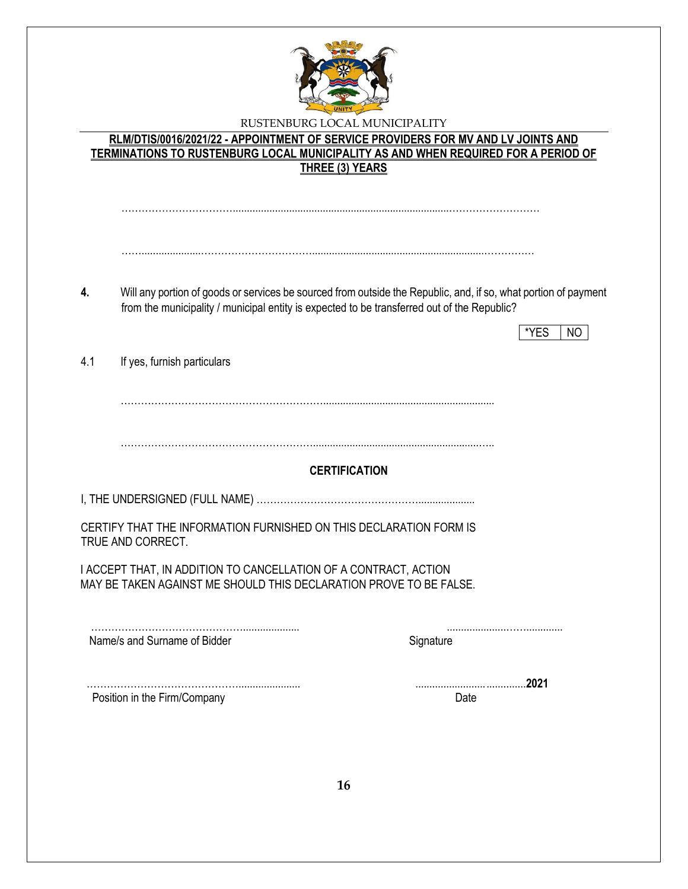

|     | <b>TERMINATIONS TO RUSTENBURG LOCAL MUNICIPALITY AS AND WHEN REQUIRED FOR A PERIOD OF</b><br><b>THREE (3) YEARS</b>                    |                                                                                                                 |
|-----|----------------------------------------------------------------------------------------------------------------------------------------|-----------------------------------------------------------------------------------------------------------------|
|     |                                                                                                                                        |                                                                                                                 |
|     |                                                                                                                                        |                                                                                                                 |
| 4.  | from the municipality / municipal entity is expected to be transferred out of the Republic?                                            | Will any portion of goods or services be sourced from outside the Republic, and, if so, what portion of payment |
|     |                                                                                                                                        | *YES<br>NO.                                                                                                     |
|     |                                                                                                                                        |                                                                                                                 |
| 4.1 | If yes, furnish particulars                                                                                                            |                                                                                                                 |
|     | <b>CERTIFICATION</b>                                                                                                                   |                                                                                                                 |
|     |                                                                                                                                        |                                                                                                                 |
|     | CERTIFY THAT THE INFORMATION FURNISHED ON THIS DECLARATION FORM IS<br>TRUE AND CORRECT.                                                |                                                                                                                 |
|     | I ACCEPT THAT, IN ADDITION TO CANCELLATION OF A CONTRACT, ACTION<br>MAY BE TAKEN AGAINST ME SHOULD THIS DECLARATION PROVE TO BE FALSE. |                                                                                                                 |
|     | Name/s and Surname of Bidder                                                                                                           | Signature                                                                                                       |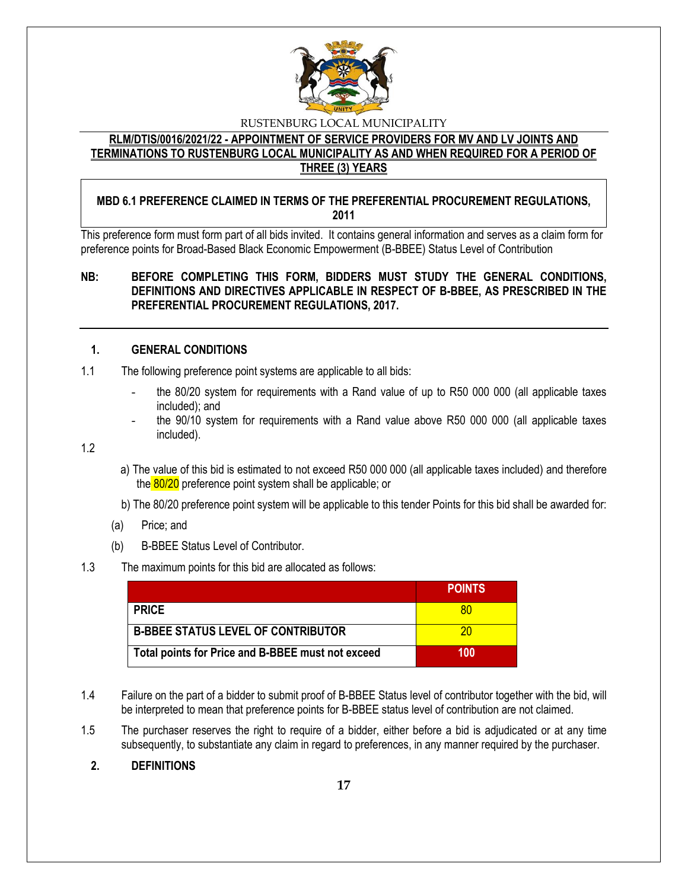

**RLM/DTIS/0016/2021/22 - APPOINTMENT OF SERVICE PROVIDERS FOR MV AND LV JOINTS AND TERMINATIONS TO RUSTENBURG LOCAL MUNICIPALITY AS AND WHEN REQUIRED FOR A PERIOD OF THREE (3) YEARS**

## **MBD 6.1 PREFERENCE CLAIMED IN TERMS OF THE PREFERENTIAL PROCUREMENT REGULATIONS, 2011**

This preference form must form part of all bids invited. It contains general information and serves as a claim form for preference points for Broad-Based Black Economic Empowerment (B-BBEE) Status Level of Contribution

## **NB: BEFORE COMPLETING THIS FORM, BIDDERS MUST STUDY THE GENERAL CONDITIONS, DEFINITIONS AND DIRECTIVES APPLICABLE IN RESPECT OF B-BBEE, AS PRESCRIBED IN THE PREFERENTIAL PROCUREMENT REGULATIONS, 2017.**

### **1. GENERAL CONDITIONS**

- 1.1 The following preference point systems are applicable to all bids:
	- the 80/20 system for requirements with a Rand value of up to R50 000 000 (all applicable taxes included); and
	- the 90/10 system for requirements with a Rand value above R50 000 000 (all applicable taxes included).

1.2

- a) The value of this bid is estimated to not exceed R50 000 000 (all applicable taxes included) and therefore the 80/20 preference point system shall be applicable; or
- b) The 80/20 preference point system will be applicable to this tender Points for this bid shall be awarded for:
- (a) Price; and
- (b) B-BBEE Status Level of Contributor.

#### 1.3 The maximum points for this bid are allocated as follows:

|                                                   | <b>POINTS</b> |
|---------------------------------------------------|---------------|
| <b>PRICE</b>                                      | 80            |
| <b>B-BBEE STATUS LEVEL OF CONTRIBUTOR</b>         | 20            |
| Total points for Price and B-BBEE must not exceed | 100           |

- 1.4 Failure on the part of a bidder to submit proof of B-BBEE Status level of contributor together with the bid, will be interpreted to mean that preference points for B-BBEE status level of contribution are not claimed.
- 1.5 The purchaser reserves the right to require of a bidder, either before a bid is adjudicated or at any time subsequently, to substantiate any claim in regard to preferences, in any manner required by the purchaser.

## **2. DEFINITIONS**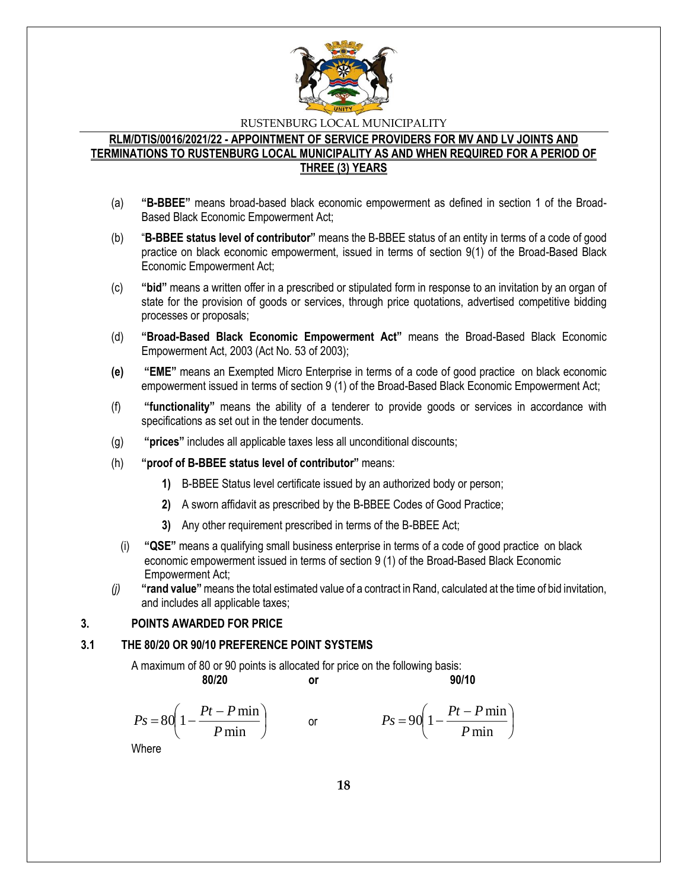

## **RLM/DTIS/0016/2021/22 - APPOINTMENT OF SERVICE PROVIDERS FOR MV AND LV JOINTS AND TERMINATIONS TO RUSTENBURG LOCAL MUNICIPALITY AS AND WHEN REQUIRED FOR A PERIOD OF THREE (3) YEARS**

- (a) **"B-BBEE"** means broad-based black economic empowerment as defined in section 1 of the Broad-Based Black Economic Empowerment Act;
- (b) "**B-BBEE status level of contributor"** means the B-BBEE status of an entity in terms of a code of good practice on black economic empowerment, issued in terms of section 9(1) of the Broad-Based Black Economic Empowerment Act;
- (c) **"bid"** means a written offer in a prescribed or stipulated form in response to an invitation by an organ of state for the provision of goods or services, through price quotations, advertised competitive bidding processes or proposals;
- (d) **"Broad-Based Black Economic Empowerment Act"** means the Broad-Based Black Economic Empowerment Act, 2003 (Act No. 53 of 2003);
- **(e) "EME"** means an Exempted Micro Enterprise in terms of a code of good practice on black economic empowerment issued in terms of section 9 (1) of the Broad-Based Black Economic Empowerment Act;
- (f) **"functionality"** means the ability of a tenderer to provide goods or services in accordance with specifications as set out in the tender documents.
- (g) **"prices"** includes all applicable taxes less all unconditional discounts;
- (h) **"proof of B-BBEE status level of contributor"** means:
	- **1)** B-BBEE Status level certificate issued by an authorized body or person;
	- **2)** A sworn affidavit as prescribed by the B-BBEE Codes of Good Practice;
	- **3)** Any other requirement prescribed in terms of the B-BBEE Act;
	- (i) **"QSE"** means a qualifying small business enterprise in terms of a code of good practice on black economic empowerment issued in terms of section 9 (1) of the Broad-Based Black Economic Empowerment Act;
- *(j)* **"rand value"**means the total estimated value of a contract in Rand, calculated at the time of bid invitation, and includes all applicable taxes;

## **3. POINTS AWARDED FOR PRICE**

#### **3.1 THE 80/20 OR 90/10 PREFERENCE POINT SYSTEMS**

A maximum of 80 or 90 points is allocated for price on the following basis:

$$
f_{\rm{max}}
$$

**80/20 or 90/10**

$$
Ps = 80\left(1 - \frac{Pt - P\min P}{\min}\right) \qquad \text{or} \qquad \qquad Ps = 90\left(1 - \frac{Pt - P\min P}{\min}\right)
$$

Where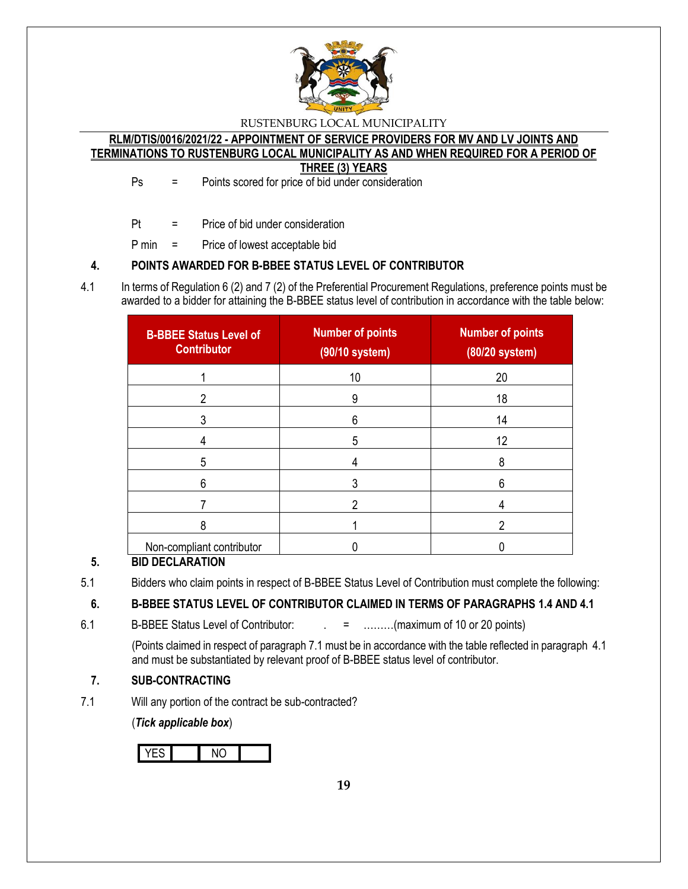

# **RLM/DTIS/0016/2021/22 - APPOINTMENT OF SERVICE PROVIDERS FOR MV AND LV JOINTS AND TERMINATIONS TO RUSTENBURG LOCAL MUNICIPALITY AS AND WHEN REQUIRED FOR A PERIOD OF**

**THREE (3) YEARS**

Ps = Points scored for price of bid under consideration

Pt = Price of bid under consideration

P min = Price of lowest acceptable bid

# **4. POINTS AWARDED FOR B-BBEE STATUS LEVEL OF CONTRIBUTOR**

4.1 In terms of Regulation 6 (2) and 7 (2) of the Preferential Procurement Regulations, preference points must be awarded to a bidder for attaining the B-BBEE status level of contribution in accordance with the table below:

| <b>B-BBEE Status Level of</b><br><b>Contributor</b> | <b>Number of points</b><br>(90/10 system) | <b>Number of points</b><br>(80/20 system) |
|-----------------------------------------------------|-------------------------------------------|-------------------------------------------|
|                                                     | 10                                        | 20                                        |
| 2                                                   | 9                                         | 18                                        |
|                                                     | 6                                         | 14                                        |
|                                                     | 5                                         | 12                                        |
| 5                                                   | 4                                         | 8                                         |
| 6                                                   |                                           | 6                                         |
|                                                     |                                           |                                           |
| 8                                                   |                                           | ŋ                                         |
| Non-compliant contributor                           |                                           |                                           |

# **5. BID DECLARATION**

5.1 Bidders who claim points in respect of B-BBEE Status Level of Contribution must complete the following:

# **6. B-BBEE STATUS LEVEL OF CONTRIBUTOR CLAIMED IN TERMS OF PARAGRAPHS 1.4 AND 4.1**

6.1 B-BBEE Status Level of Contributor:  $\qquad \qquad = \qquad \qquad \qquad$  .........(maximum of 10 or 20 points)

(Points claimed in respect of paragraph 7.1 must be in accordance with the table reflected in paragraph 4.1 and must be substantiated by relevant proof of B-BBEE status level of contributor.

# **7. SUB-CONTRACTING**

7.1 Will any portion of the contract be sub-contracted?

(*Tick applicable box*)

YES NO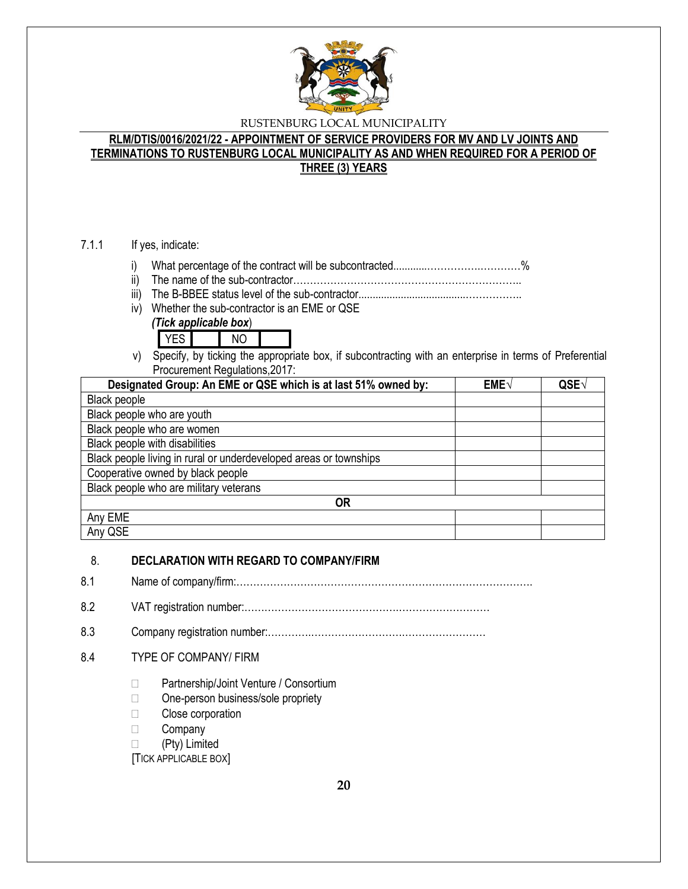

## **RLM/DTIS/0016/2021/22 - APPOINTMENT OF SERVICE PROVIDERS FOR MV AND LV JOINTS AND TERMINATIONS TO RUSTENBURG LOCAL MUNICIPALITY AS AND WHEN REQUIRED FOR A PERIOD OF THREE (3) YEARS**

#### 7.1.1 If yes, indicate:

- i) What percentage of the contract will be subcontracted............…………….…………%
- ii) The name of the sub-contractor…………………………………………………………..
- iii) The B-BBEE status level of the sub-contractor......................................……………..
- iv) Whether the sub-contractor is an EME or QSE





v) Specify, by ticking the appropriate box, if subcontracting with an enterprise in terms of Preferential Procurement Regulations,2017:

| Designated Group: An EME or QSE which is at last 51% owned by:    | EME√ | QSE |
|-------------------------------------------------------------------|------|-----|
| Black people                                                      |      |     |
| Black people who are youth                                        |      |     |
| Black people who are women                                        |      |     |
| Black people with disabilities                                    |      |     |
| Black people living in rural or underdeveloped areas or townships |      |     |
| Cooperative owned by black people                                 |      |     |
| Black people who are military veterans                            |      |     |
| OR                                                                |      |     |
| Any EME                                                           |      |     |
| Any QSE                                                           |      |     |

#### 8. **DECLARATION WITH REGARD TO COMPANY/FIRM**

- 8.1 Name of company/firm:…………………………………………………………………………….
- 8.2 VAT registration number:……………………………………….………………………
- 8.3 Company registration number:………….……………………….……………………
- 8.4 TYPE OF COMPANY/ FIRM
	- □ Partnership/Joint Venture / Consortium
	- □ One-person business/sole propriety
	- □ Close corporation
	- **Company**
	- (Pty) Limited

[TICK APPLICABLE BOX]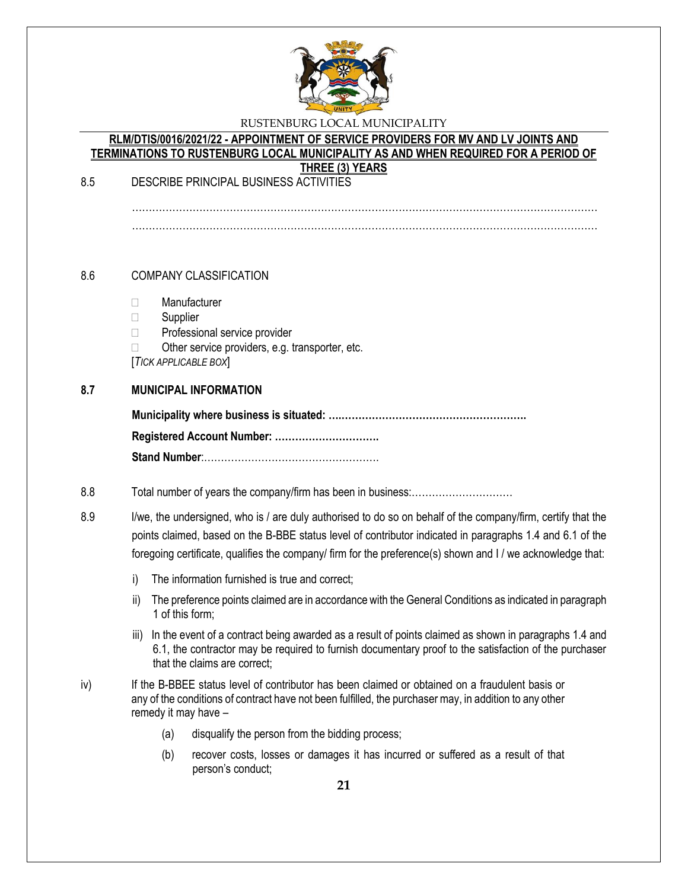

#### **RLM/DTIS/0016/2021/22 - APPOINTMENT OF SERVICE PROVIDERS FOR MV AND LV JOINTS AND TERMINATIONS TO RUSTENBURG LOCAL MUNICIPALITY AS AND WHEN REQUIRED FOR A PERIOD OF THREE (3) YEARS**

8.5 DESCRIBE PRINCIPAL BUSINESS ACTIVITIES

…………………………………………………………………………………………………………………………

### 8.6 COMPANY CLASSIFICATION

- Manufacturer
- □ Supplier
- □ Professional service provider
- $\Box$  Other service providers, e.g. transporter, etc.

[*TICK APPLICABLE BOX*]

#### **8.7 MUNICIPAL INFORMATION**

#### 8.8 Total number of years the company/firm has been in business:…………………………

8.9 I/we, the undersigned, who is / are duly authorised to do so on behalf of the company/firm, certify that the points claimed, based on the B-BBE status level of contributor indicated in paragraphs 1.4 and 6.1 of the foregoing certificate, qualifies the company/ firm for the preference(s) shown and I / we acknowledge that:

- i) The information furnished is true and correct;
- ii) The preference points claimed are in accordance with the General Conditions as indicated in paragraph 1 of this form;
- iii) In the event of a contract being awarded as a result of points claimed as shown in paragraphs 1.4 and 6.1, the contractor may be required to furnish documentary proof to the satisfaction of the purchaser that the claims are correct;
- iv) If the B-BBEE status level of contributor has been claimed or obtained on a fraudulent basis or any of the conditions of contract have not been fulfilled, the purchaser may, in addition to any other remedy it may have –
	- (a) disqualify the person from the bidding process;
	- (b) recover costs, losses or damages it has incurred or suffered as a result of that person's conduct;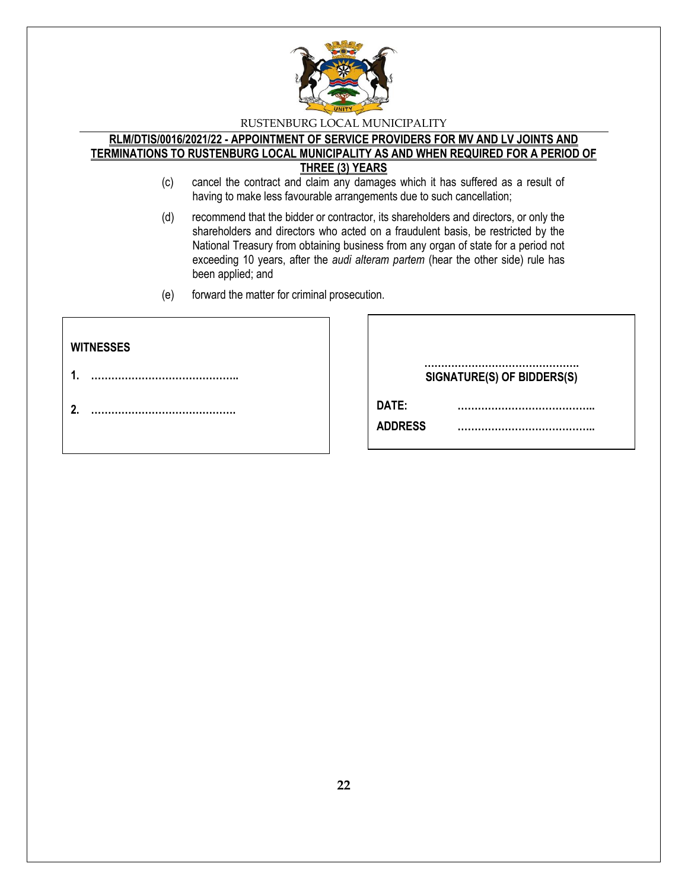

#### **RLM/DTIS/0016/2021/22 - APPOINTMENT OF SERVICE PROVIDERS FOR MV AND LV JOINTS AND TERMINATIONS TO RUSTENBURG LOCAL MUNICIPALITY AS AND WHEN REQUIRED FOR A PERIOD OF THREE (3) YEARS**

- (c) cancel the contract and claim any damages which it has suffered as a result of having to make less favourable arrangements due to such cancellation;
- (d) recommend that the bidder or contractor, its shareholders and directors, or only the shareholders and directors who acted on a fraudulent basis, be restricted by the National Treasury from obtaining business from any organ of state for a period not exceeding 10 years, after the *audi alteram partem* (hear the other side) rule has been applied; and
- (e) forward the matter for criminal prosecution.

| <b>WITNESSES</b> |                            |
|------------------|----------------------------|
| 4                | SIGNATURE(S) OF BIDDERS(S) |
| 2.               | DATE:<br><b>ADDRESS</b>    |
|                  |                            |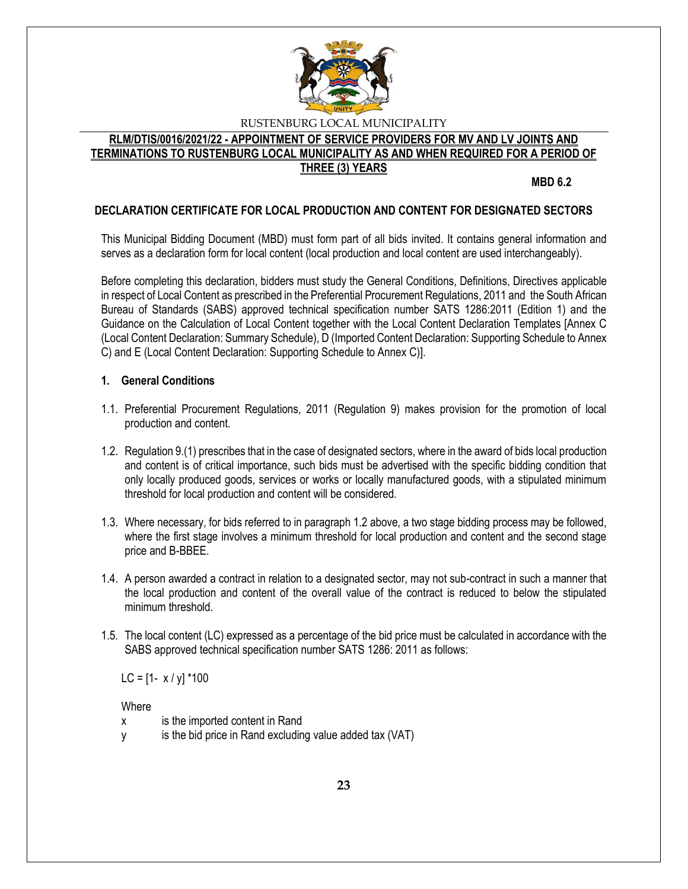

## **RLM/DTIS/0016/2021/22 - APPOINTMENT OF SERVICE PROVIDERS FOR MV AND LV JOINTS AND TERMINATIONS TO RUSTENBURG LOCAL MUNICIPALITY AS AND WHEN REQUIRED FOR A PERIOD OF THREE (3) YEARS**

**MBD 6.2**

## **DECLARATION CERTIFICATE FOR LOCAL PRODUCTION AND CONTENT FOR DESIGNATED SECTORS**

This Municipal Bidding Document (MBD) must form part of all bids invited. It contains general information and serves as a declaration form for local content (local production and local content are used interchangeably).

Before completing this declaration, bidders must study the General Conditions, Definitions, Directives applicable in respect of Local Content as prescribed in the Preferential Procurement Regulations, 2011 and the South African Bureau of Standards (SABS) approved technical specification number SATS 1286:2011 (Edition 1) and the Guidance on the Calculation of Local Content together with the Local Content Declaration Templates [Annex C (Local Content Declaration: Summary Schedule), D (Imported Content Declaration: Supporting Schedule to Annex C) and E (Local Content Declaration: Supporting Schedule to Annex C)].

#### **1. General Conditions**

- 1.1. Preferential Procurement Regulations, 2011 (Regulation 9) makes provision for the promotion of local production and content.
- 1.2. Regulation 9.(1) prescribes that in the case of designated sectors, where in the award of bids local production and content is of critical importance, such bids must be advertised with the specific bidding condition that only locally produced goods, services or works or locally manufactured goods, with a stipulated minimum threshold for local production and content will be considered.
- 1.3. Where necessary, for bids referred to in paragraph 1.2 above, a two stage bidding process may be followed, where the first stage involves a minimum threshold for local production and content and the second stage price and B-BBEE.
- 1.4. A person awarded a contract in relation to a designated sector, may not sub-contract in such a manner that the local production and content of the overall value of the contract is reduced to below the stipulated minimum threshold.
- 1.5. The local content (LC) expressed as a percentage of the bid price must be calculated in accordance with the SABS approved technical specification number SATS 1286: 2011 as follows:

LC =  $[1 - x / y]$  \*100

**Where** 

- x is the imported content in Rand
- y is the bid price in Rand excluding value added tax (VAT)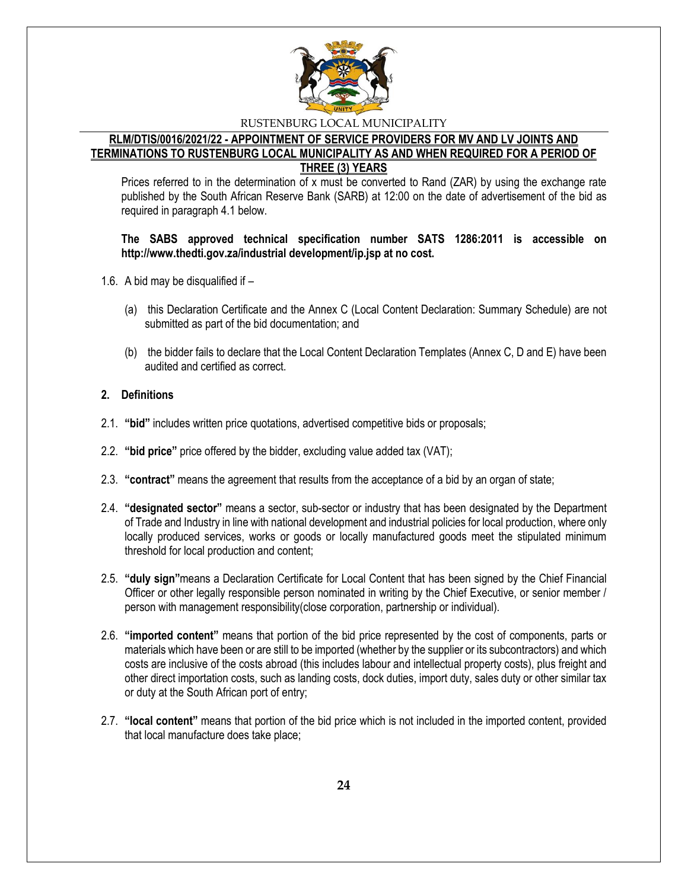

### **RLM/DTIS/0016/2021/22 - APPOINTMENT OF SERVICE PROVIDERS FOR MV AND LV JOINTS AND TERMINATIONS TO RUSTENBURG LOCAL MUNICIPALITY AS AND WHEN REQUIRED FOR A PERIOD OF THREE (3) YEARS**

Prices referred to in the determination of x must be converted to Rand (ZAR) by using the exchange rate published by the South African Reserve Bank (SARB) at 12:00 on the date of advertisement of the bid as required in paragraph 4.1 below.

#### **The SABS approved technical specification number SATS 1286:2011 is accessible on http://www.thedti.gov.za/industrial development/ip.jsp at no cost.**

- 1.6. A bid may be disqualified if
	- (a) this Declaration Certificate and the Annex C (Local Content Declaration: Summary Schedule) are not submitted as part of the bid documentation; and
	- (b) the bidder fails to declare that the Local Content Declaration Templates (Annex C, D and E) have been audited and certified as correct.

### **2. Definitions**

- 2.1. **"bid"** includes written price quotations, advertised competitive bids or proposals;
- 2.2. **"bid price"** price offered by the bidder, excluding value added tax (VAT);
- 2.3. **"contract"** means the agreement that results from the acceptance of a bid by an organ of state;
- 2.4. **"designated sector"** means a sector, sub-sector or industry that has been designated by the Department of Trade and Industry in line with national development and industrial policies for local production, where only locally produced services, works or goods or locally manufactured goods meet the stipulated minimum threshold for local production and content;
- 2.5. **"duly sign"**means a Declaration Certificate for Local Content that has been signed by the Chief Financial Officer or other legally responsible person nominated in writing by the Chief Executive, or senior member / person with management responsibility(close corporation, partnership or individual).
- 2.6. **"imported content"** means that portion of the bid price represented by the cost of components, parts or materials which have been or are still to be imported (whether by the supplier or its subcontractors) and which costs are inclusive of the costs abroad (this includes labour and intellectual property costs), plus freight and other direct importation costs, such as landing costs, dock duties, import duty, sales duty or other similar tax or duty at the South African port of entry;
- 2.7. **"local content"** means that portion of the bid price which is not included in the imported content, provided that local manufacture does take place;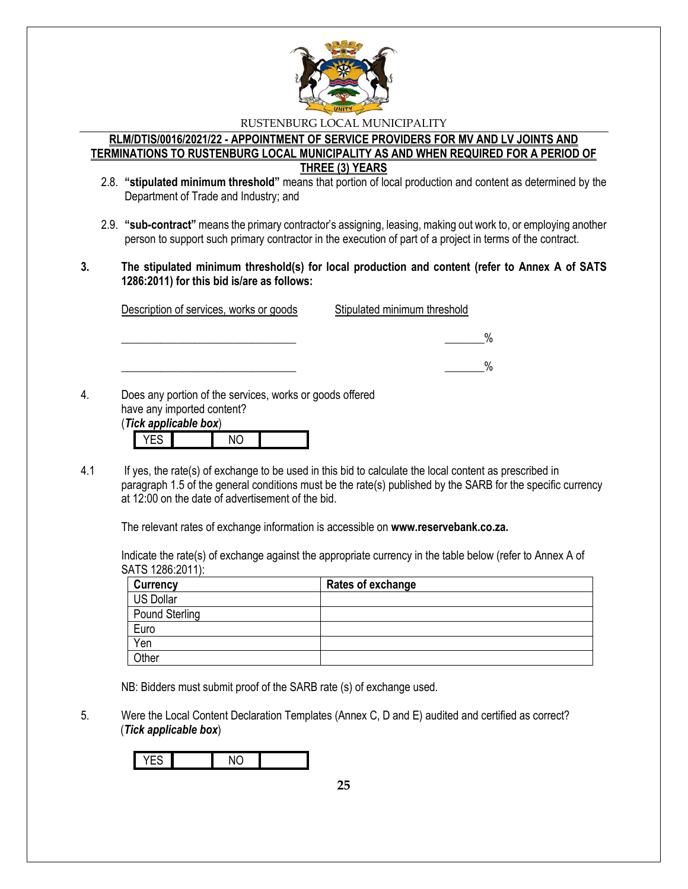

#### **RLM/DTIS/0016/2021/22 - APPOINTMENT OF SERVICE PROVIDERS FOR MV AND LV JOINTS AND TERMINATIONS TO RUSTENBURG LOCAL MUNICIPALITY AS AND WHEN REQUIRED FOR A PERIOD OF THREE (3) YEARS**

- 2.8. **"stipulated minimum threshold"** means that portion of local production and content as determined by the Department of Trade and Industry; and
- 2.9. **"sub-contract"** means the primary contractor's assigning, leasing, making out work to, or employing another person to support such primary contractor in the execution of part of a project in terms of the contract.
- **3. The stipulated minimum threshold(s) for local production and content (refer to Annex A of SATS 1286:2011) for this bid is/are as follows:**

| Description of services, works or goods                  | Stipulated minimum threshold |
|----------------------------------------------------------|------------------------------|
|                                                          |                              |
|                                                          | ₩                            |
| Does any portion of the services, works or goods offered |                              |

4. Does any portion of the services, works or goods offered have any imported content? (*Tick applicable box*)

|  | <u>IUR GNNIIUGNIU NUAI</u> |  |
|--|----------------------------|--|
|  |                            |  |
|  |                            |  |

4.1 If yes, the rate(s) of exchange to be used in this bid to calculate the local content as prescribed in paragraph 1.5 of the general conditions must be the rate(s) published by the SARB for the specific currency at 12:00 on the date of advertisement of the bid.

The relevant rates of exchange information is accessible on **www.reservebank.co.za.**

Indicate the rate(s) of exchange against the appropriate currency in the table below (refer to Annex A of SATS 1286:2011):

| <b>Currency</b> | Rates of exchange |
|-----------------|-------------------|
| US Dollar       |                   |
| Pound Sterling  |                   |
| Euro            |                   |
| Yen             |                   |
| Other           |                   |

NB: Bidders must submit proof of the SARB rate (s) of exchange used.

5. Were the Local Content Declaration Templates (Annex C, D and E) audited and certified as correct? (*Tick applicable box*)

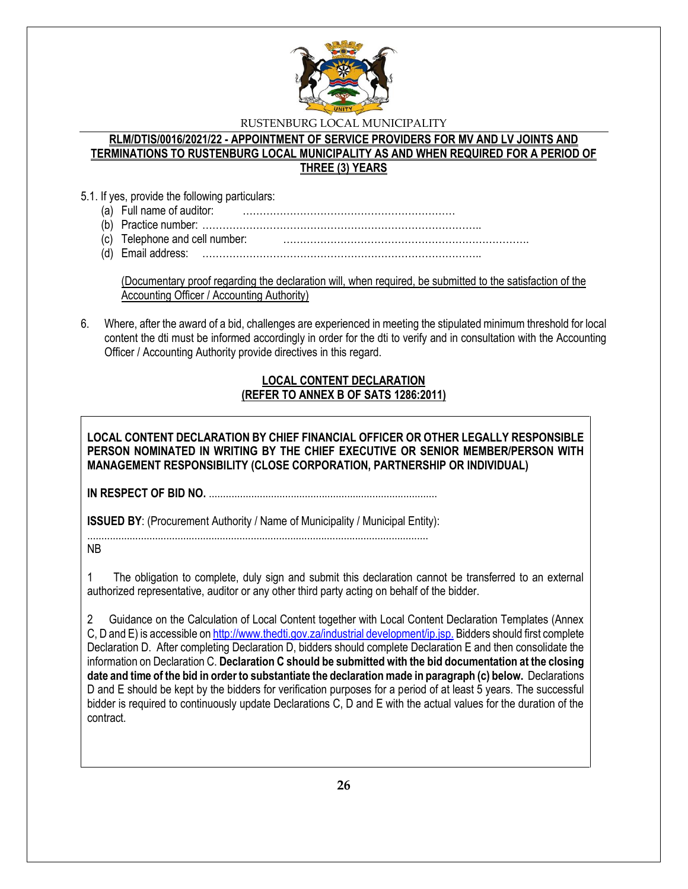

### **RLM/DTIS/0016/2021/22 - APPOINTMENT OF SERVICE PROVIDERS FOR MV AND LV JOINTS AND TERMINATIONS TO RUSTENBURG LOCAL MUNICIPALITY AS AND WHEN REQUIRED FOR A PERIOD OF THREE (3) YEARS**

- 5.1. If yes, provide the following particulars:
	- (a) Full name of auditor: ………………………………………………………
	- (b) Practice number: ………………………………………………………………………..
	- (c) Telephone and cell number: ……………………………………………………………….
	- (d) Email address: ………………………………………………………………………..

(Documentary proof regarding the declaration will, when required, be submitted to the satisfaction of the Accounting Officer / Accounting Authority)

6. Where, after the award of a bid, challenges are experienced in meeting the stipulated minimum threshold for local content the dti must be informed accordingly in order for the dti to verify and in consultation with the Accounting Officer / Accounting Authority provide directives in this regard.

# **LOCAL CONTENT DECLARATION (REFER TO ANNEX B OF SATS 1286:2011)**

**LOCAL CONTENT DECLARATION BY CHIEF FINANCIAL OFFICER OR OTHER LEGALLY RESPONSIBLE PERSON NOMINATED IN WRITING BY THE CHIEF EXECUTIVE OR SENIOR MEMBER/PERSON WITH MANAGEMENT RESPONSIBILITY (CLOSE CORPORATION, PARTNERSHIP OR INDIVIDUAL)** 

**IN RESPECT OF BID NO.** .................................................................................

**ISSUED BY:** (Procurement Authority / Name of Municipality / Municipal Entity):

......................................................................................................................... NB

1 The obligation to complete, duly sign and submit this declaration cannot be transferred to an external authorized representative, auditor or any other third party acting on behalf of the bidder.

2 Guidance on the Calculation of Local Content together with Local Content Declaration Templates (Annex C, D and E) is accessible o[n http://www.thedti.gov.za/industrial development/ip.jsp.](http://www.thedti.gov.za/industrial%20development/ip.jsp.) Bidders should first complete Declaration D. After completing Declaration D, bidders should complete Declaration E and then consolidate the information on Declaration C. **Declaration C should be submitted with the bid documentation at the closing date and time of the bid in order to substantiate the declaration made in paragraph (c) below.** Declarations D and E should be kept by the bidders for verification purposes for a period of at least 5 years. The successful bidder is required to continuously update Declarations C, D and E with the actual values for the duration of the contract.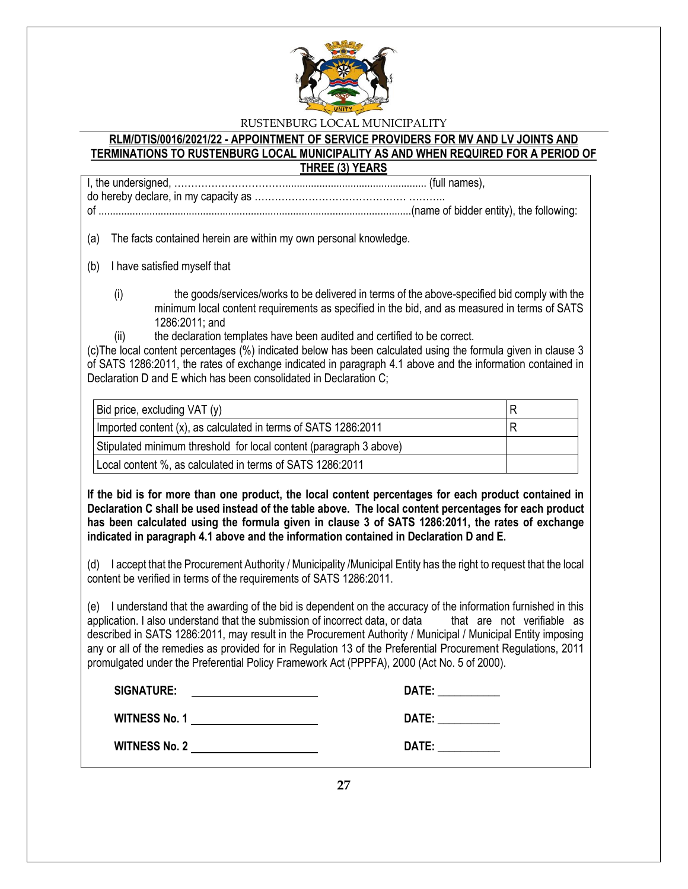

#### **RLM/DTIS/0016/2021/22 - APPOINTMENT OF SERVICE PROVIDERS FOR MV AND LV JOINTS AND TERMINATIONS TO RUSTENBURG LOCAL MUNICIPALITY AS AND WHEN REQUIRED FOR A PERIOD OF THREE (3) YEARS**

I, the undersigned, …………………………….................................................. (full names), do hereby declare, in my capacity as ……………………………………… ………..

of ...............................................................................................................(name of bidder entity), the following:

(a) The facts contained herein are within my own personal knowledge.

(b) I have satisfied myself that

- (i) the goods/services/works to be delivered in terms of the above-specified bid comply with the minimum local content requirements as specified in the bid, and as measured in terms of SATS 1286:2011; and
	- the declaration templates have been audited and certified to be correct.

(c)The local content percentages (%) indicated below has been calculated using the formula given in clause 3 of SATS 1286:2011, the rates of exchange indicated in paragraph 4.1 above and the information contained in Declaration D and E which has been consolidated in Declaration C;

| Bid price, excluding VAT (y)                                       | R |
|--------------------------------------------------------------------|---|
| Imported content (x), as calculated in terms of SATS 1286:2011     | R |
| Stipulated minimum threshold for local content (paragraph 3 above) |   |
| Local content %, as calculated in terms of SATS 1286:2011          |   |

**If the bid is for more than one product, the local content percentages for each product contained in Declaration C shall be used instead of the table above. The local content percentages for each product has been calculated using the formula given in clause 3 of SATS 1286:2011, the rates of exchange indicated in paragraph 4.1 above and the information contained in Declaration D and E.**

(d) I accept that the Procurement Authority / Municipality /Municipal Entity has the right to request that the local content be verified in terms of the requirements of SATS 1286:2011.

(e) I understand that the awarding of the bid is dependent on the accuracy of the information furnished in this application. I also understand that the submission of incorrect data, or data that are not verifiable as described in SATS 1286:2011, may result in the Procurement Authority / Municipal / Municipal Entity imposing any or all of the remedies as provided for in Regulation 13 of the Preferential Procurement Regulations, 2011 promulgated under the Preferential Policy Framework Act (PPPFA), 2000 (Act No. 5 of 2000).

| <b>SIGNATURE:</b>    | DATE: |
|----------------------|-------|
| <b>WITNESS No. 1</b> | DATE: |
| <b>WITNESS No. 2</b> | DATE: |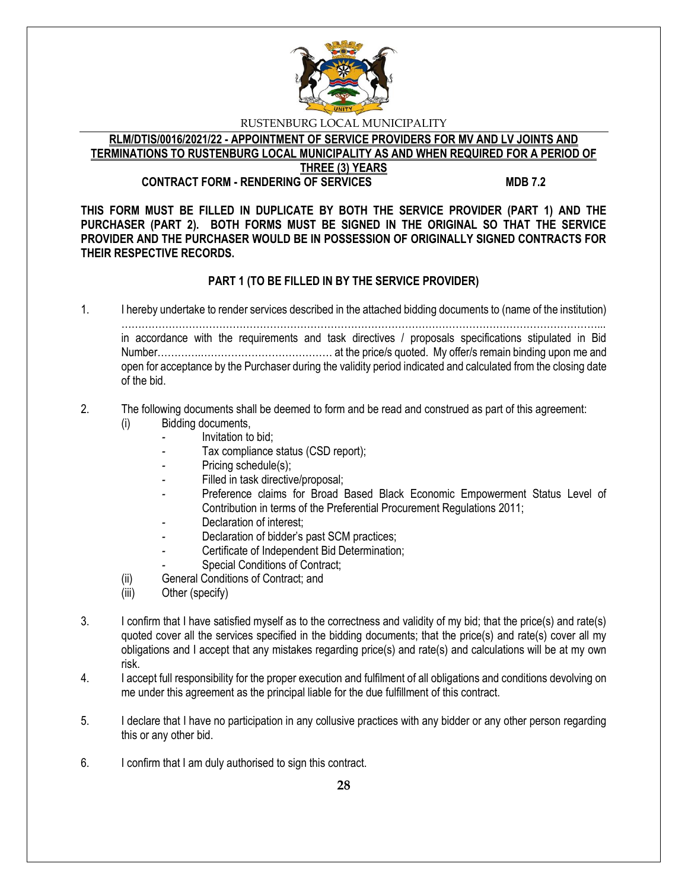

**RLM/DTIS/0016/2021/22 - APPOINTMENT OF SERVICE PROVIDERS FOR MV AND LV JOINTS AND TERMINATIONS TO RUSTENBURG LOCAL MUNICIPALITY AS AND WHEN REQUIRED FOR A PERIOD OF THREE (3) YEARS**

## **CONTRACT FORM - RENDERING OF SERVICES MDB 7.2**

**THIS FORM MUST BE FILLED IN DUPLICATE BY BOTH THE SERVICE PROVIDER (PART 1) AND THE PURCHASER (PART 2). BOTH FORMS MUST BE SIGNED IN THE ORIGINAL SO THAT THE SERVICE PROVIDER AND THE PURCHASER WOULD BE IN POSSESSION OF ORIGINALLY SIGNED CONTRACTS FOR THEIR RESPECTIVE RECORDS.**

# **PART 1 (TO BE FILLED IN BY THE SERVICE PROVIDER)**

1. I hereby undertake to render services described in the attached bidding documents to (name of the institution) ……………………………………………………………………………………………………………………………... in accordance with the requirements and task directives / proposals specifications stipulated in Bid Number………….………………………………… at the price/s quoted. My offer/s remain binding upon me and open for acceptance by the Purchaser during the validity period indicated and calculated from the closing date of the bid.

#### 2. The following documents shall be deemed to form and be read and construed as part of this agreement: (i) Bidding documents,

- *-* Invitation to bid;
- Tax compliance status (CSD report);
- Pricing schedule(s);
- Filled in task directive/proposal;
- Preference claims for Broad Based Black Economic Empowerment Status Level of Contribution in terms of the Preferential Procurement Regulations 2011;
- *-* Declaration of interest;
- *-* Declaration of bidder's past SCM practices;
- *-* Certificate of Independent Bid Determination;
- **Special Conditions of Contract;**
- (ii) General Conditions of Contract; and
- (iii) Other (specify)
- 3. I confirm that I have satisfied myself as to the correctness and validity of my bid; that the price(s) and rate(s) quoted cover all the services specified in the bidding documents; that the price(s) and rate(s) cover all my obligations and I accept that any mistakes regarding price(s) and rate(s) and calculations will be at my own risk.
- 4. I accept full responsibility for the proper execution and fulfilment of all obligations and conditions devolving on me under this agreement as the principal liable for the due fulfillment of this contract.
- 5. I declare that I have no participation in any collusive practices with any bidder or any other person regarding this or any other bid.
- 6. I confirm that I am duly authorised to sign this contract.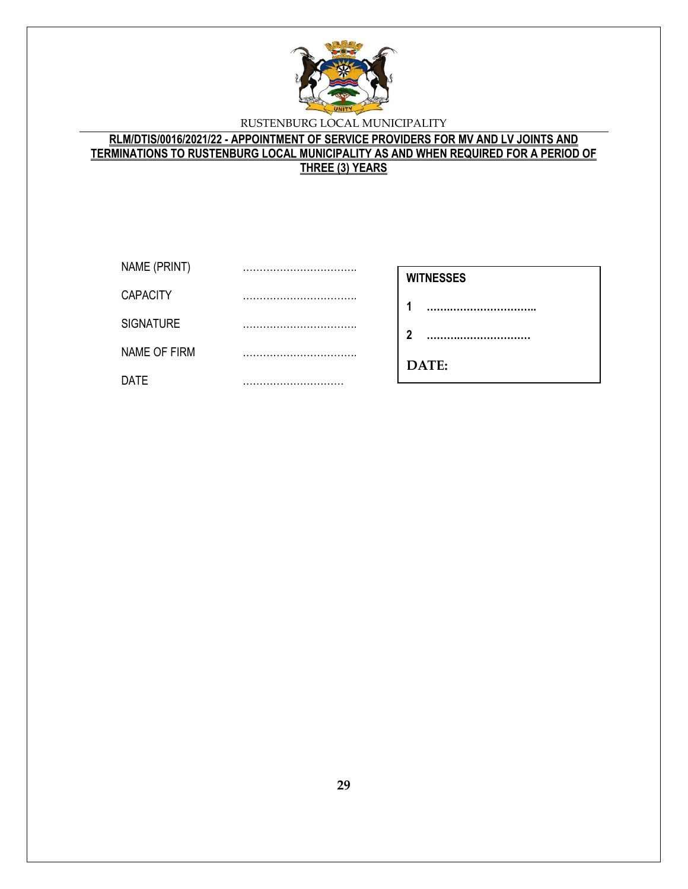

# **RLM/DTIS/0016/2021/22 - APPOINTMENT OF SERVICE PROVIDERS FOR MV AND LV JOINTS AND TERMINATIONS TO RUSTENBURG LOCAL MUNICIPALITY AS AND WHEN REQUIRED FOR A PERIOD OF THREE (3) YEARS**

| NAME (PRINT)     | <br><b>WITNESSES</b> |
|------------------|----------------------|
| <b>CAPACITY</b>  |                      |
| <b>SIGNATURE</b> | <br>າ                |
| NAME OF FIRM     | <br>DATE:            |
| <b>DATE</b>      |                      |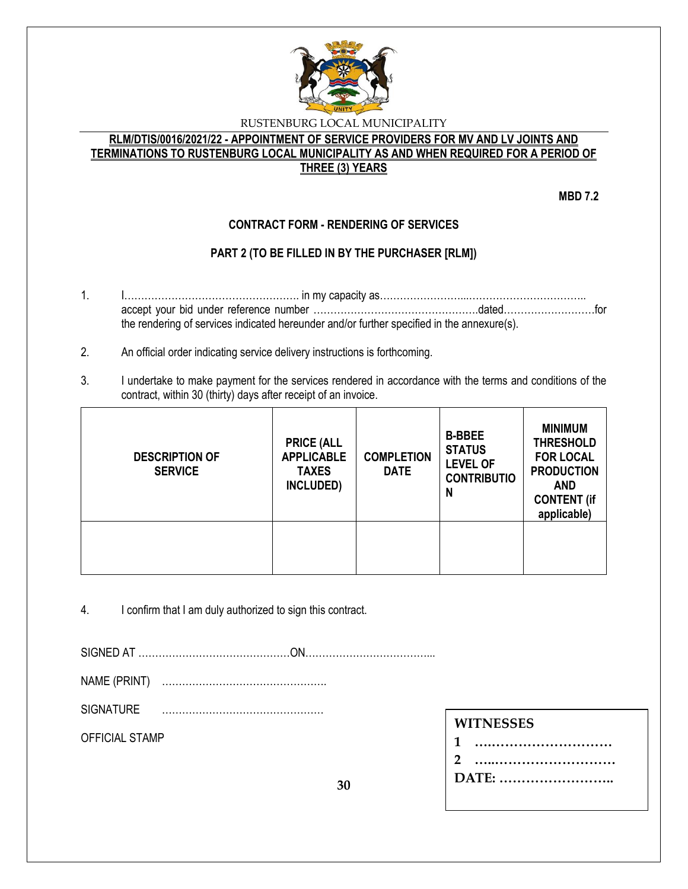

## **RLM/DTIS/0016/2021/22 - APPOINTMENT OF SERVICE PROVIDERS FOR MV AND LV JOINTS AND TERMINATIONS TO RUSTENBURG LOCAL MUNICIPALITY AS AND WHEN REQUIRED FOR A PERIOD OF THREE (3) YEARS**

**MBD 7.2**

# **CONTRACT FORM - RENDERING OF SERVICES**

# **PART 2 (TO BE FILLED IN BY THE PURCHASER [RLM])**

- 1. I……………………………………………. in my capacity as……………………...…………………………….. accept your bid under reference number ………………………………………….dated………………………for the rendering of services indicated hereunder and/or further specified in the annexure(s).
- 2. An official order indicating service delivery instructions is forthcoming.
- 3. I undertake to make payment for the services rendered in accordance with the terms and conditions of the contract, within 30 (thirty) days after receipt of an invoice.

| <b>DESCRIPTION OF</b><br><b>SERVICE</b> | <b>PRICE (ALL</b><br><b>APPLICABLE</b><br><b>TAXES</b><br>INCLUDED) | <b>COMPLETION</b><br><b>DATE</b> | <b>B-BBEE</b><br><b>STATUS</b><br><b>LEVEL OF</b><br><b>CONTRIBUTIO</b><br>N | <b>MINIMUM</b><br><b>THRESHOLD</b><br><b>FOR LOCAL</b><br><b>PRODUCTION</b><br><b>AND</b><br><b>CONTENT (if</b><br>applicable) |
|-----------------------------------------|---------------------------------------------------------------------|----------------------------------|------------------------------------------------------------------------------|--------------------------------------------------------------------------------------------------------------------------------|
|                                         |                                                                     |                                  |                                                                              |                                                                                                                                |

4. I confirm that I am duly authorized to sign this contract.

SIGNED AT ………………………………………ON………………………………...

NAME (PRINT) ………………………………………….

SIGNATURE …………………………………………

OFFICIAL STAMP

# **WITNESSES**

| 1     |  |
|-------|--|
| 2     |  |
| DATE: |  |

**30**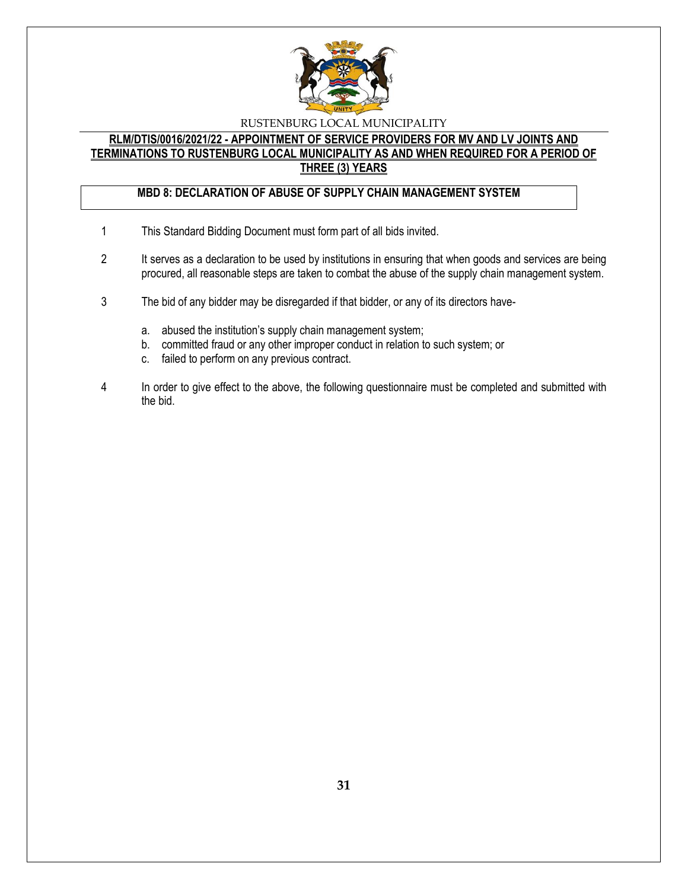

## **RLM/DTIS/0016/2021/22 - APPOINTMENT OF SERVICE PROVIDERS FOR MV AND LV JOINTS AND TERMINATIONS TO RUSTENBURG LOCAL MUNICIPALITY AS AND WHEN REQUIRED FOR A PERIOD OF THREE (3) YEARS**

# **MBD 8: DECLARATION OF ABUSE OF SUPPLY CHAIN MANAGEMENT SYSTEM**

- 1 This Standard Bidding Document must form part of all bids invited.
- 2 It serves as a declaration to be used by institutions in ensuring that when goods and services are being procured, all reasonable steps are taken to combat the abuse of the supply chain management system.
- 3 The bid of any bidder may be disregarded if that bidder, or any of its directors have
	- a. abused the institution's supply chain management system;
	- b. committed fraud or any other improper conduct in relation to such system; or
	- c. failed to perform on any previous contract.
- 4 In order to give effect to the above, the following questionnaire must be completed and submitted with the bid.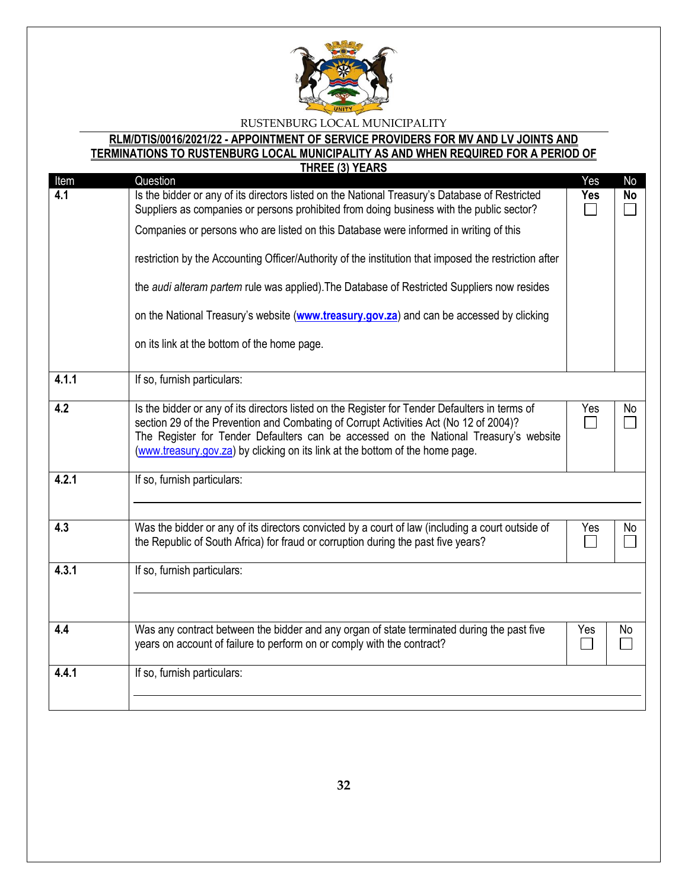

#### **RLM/DTIS/0016/2021/22 - APPOINTMENT OF SERVICE PROVIDERS FOR MV AND LV JOINTS AND TERMINATIONS TO RUSTENBURG LOCAL MUNICIPALITY AS AND WHEN REQUIRED FOR A PERIOD OF THE VEARS**

|                  | IHKEE (3) TEARS                                                                                       |                             |           |
|------------------|-------------------------------------------------------------------------------------------------------|-----------------------------|-----------|
| Item             | Question                                                                                              | Yes                         | No        |
| 4.1              | Is the bidder or any of its directors listed on the National Treasury's Database of Restricted        | Yes                         | <b>No</b> |
|                  | Suppliers as companies or persons prohibited from doing business with the public sector?              |                             |           |
|                  | Companies or persons who are listed on this Database were informed in writing of this                 |                             |           |
|                  |                                                                                                       |                             |           |
|                  | restriction by the Accounting Officer/Authority of the institution that imposed the restriction after |                             |           |
|                  | the audi alteram partem rule was applied). The Database of Restricted Suppliers now resides           |                             |           |
|                  | on the National Treasury's website (www.treasury.gov.za) and can be accessed by clicking              |                             |           |
|                  | on its link at the bottom of the home page.                                                           |                             |           |
| 4.1.1            | If so, furnish particulars:                                                                           |                             |           |
|                  |                                                                                                       |                             |           |
| $\overline{4.2}$ | Is the bidder or any of its directors listed on the Register for Tender Defaulters in terms of        | Yes                         | No        |
|                  | section 29 of the Prevention and Combating of Corrupt Activities Act (No 12 of 2004)?                 | $\mathcal{L}^{\mathcal{L}}$ |           |
|                  | The Register for Tender Defaulters can be accessed on the National Treasury's website                 |                             |           |
|                  | (www.treasury.gov.za) by clicking on its link at the bottom of the home page.                         |                             |           |
|                  |                                                                                                       |                             |           |
| 4.2.1            | If so, furnish particulars:                                                                           |                             |           |
|                  |                                                                                                       |                             |           |
|                  |                                                                                                       |                             |           |
| 4.3              | Was the bidder or any of its directors convicted by a court of law (including a court outside of      | Yes                         | No        |
|                  | the Republic of South Africa) for fraud or corruption during the past five years?                     |                             |           |
|                  |                                                                                                       |                             |           |
| 4.3.1            | If so, furnish particulars:                                                                           |                             |           |
|                  |                                                                                                       |                             |           |
|                  |                                                                                                       |                             |           |
|                  |                                                                                                       |                             |           |
| 4.4              | Was any contract between the bidder and any organ of state terminated during the past five            | Yes                         | No        |
|                  | years on account of failure to perform on or comply with the contract?                                |                             |           |
|                  |                                                                                                       |                             |           |
| 4.4.1            | If so, furnish particulars:                                                                           |                             |           |
|                  |                                                                                                       |                             |           |
|                  |                                                                                                       |                             |           |
|                  |                                                                                                       |                             |           |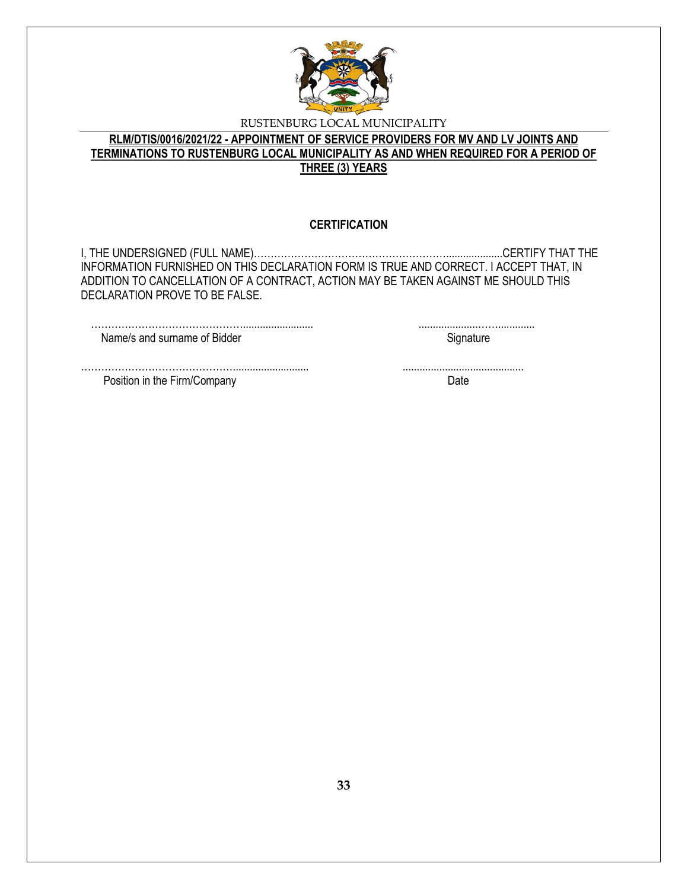

# **RLM/DTIS/0016/2021/22 - APPOINTMENT OF SERVICE PROVIDERS FOR MV AND LV JOINTS AND TERMINATIONS TO RUSTENBURG LOCAL MUNICIPALITY AS AND WHEN REQUIRED FOR A PERIOD OF THREE (3) YEARS**

### **CERTIFICATION**

I, THE UNDERSIGNED (FULL NAME)…………………………………………………....................CERTIFY THAT THE INFORMATION FURNISHED ON THIS DECLARATION FORM IS TRUE AND CORRECT. I ACCEPT THAT, IN ADDITION TO CANCELLATION OF A CONTRACT, ACTION MAY BE TAKEN AGAINST ME SHOULD THIS DECLARATION PROVE TO BE FALSE.

………………………………………......................... .....................……............. Name/s and surname of Bidder Signature Signature

………………………………………........................... ........................................... Position in the Firm/Company Date Date Date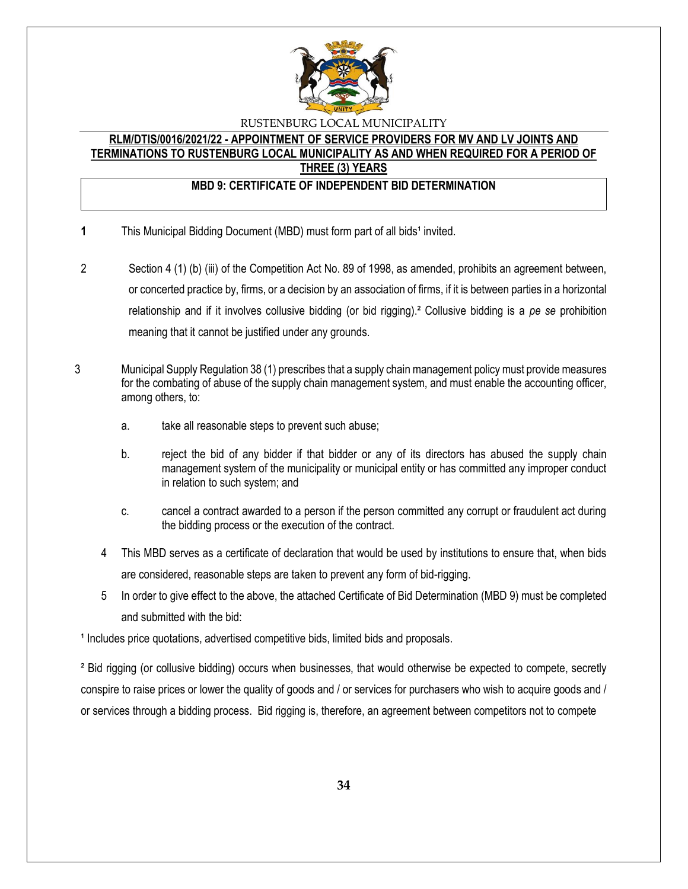

#### **RLM/DTIS/0016/2021/22 - APPOINTMENT OF SERVICE PROVIDERS FOR MV AND LV JOINTS AND TERMINATIONS TO RUSTENBURG LOCAL MUNICIPALITY AS AND WHEN REQUIRED FOR A PERIOD OF THREE (3) YEARS**

## **MBD 9: CERTIFICATE OF INDEPENDENT BID DETERMINATION**

- **1** This Municipal Bidding Document (MBD) must form part of all bids<sup>1</sup> invited.
- 2 Section 4 (1) (b) (iii) of the Competition Act No. 89 of 1998, as amended, prohibits an agreement between, or concerted practice by, firms, or a decision by an association of firms, if it is between parties in a horizontal relationship and if it involves collusive bidding (or bid rigging).² Collusive bidding is a *pe se* prohibition meaning that it cannot be justified under any grounds.
- 3 Municipal Supply Regulation 38 (1) prescribes that a supply chain management policy must provide measures for the combating of abuse of the supply chain management system, and must enable the accounting officer, among others, to:
	- a. take all reasonable steps to prevent such abuse;
	- b. reject the bid of any bidder if that bidder or any of its directors has abused the supply chain management system of the municipality or municipal entity or has committed any improper conduct in relation to such system; and
	- c. cancel a contract awarded to a person if the person committed any corrupt or fraudulent act during the bidding process or the execution of the contract.
	- 4 This MBD serves as a certificate of declaration that would be used by institutions to ensure that, when bids are considered, reasonable steps are taken to prevent any form of bid-rigging.
	- 5 In order to give effect to the above, the attached Certificate of Bid Determination (MBD 9) must be completed and submitted with the bid:

<sup>1</sup> Includes price quotations, advertised competitive bids, limited bids and proposals.

² Bid rigging (or collusive bidding) occurs when businesses, that would otherwise be expected to compete, secretly conspire to raise prices or lower the quality of goods and / or services for purchasers who wish to acquire goods and / or services through a bidding process. Bid rigging is, therefore, an agreement between competitors not to compete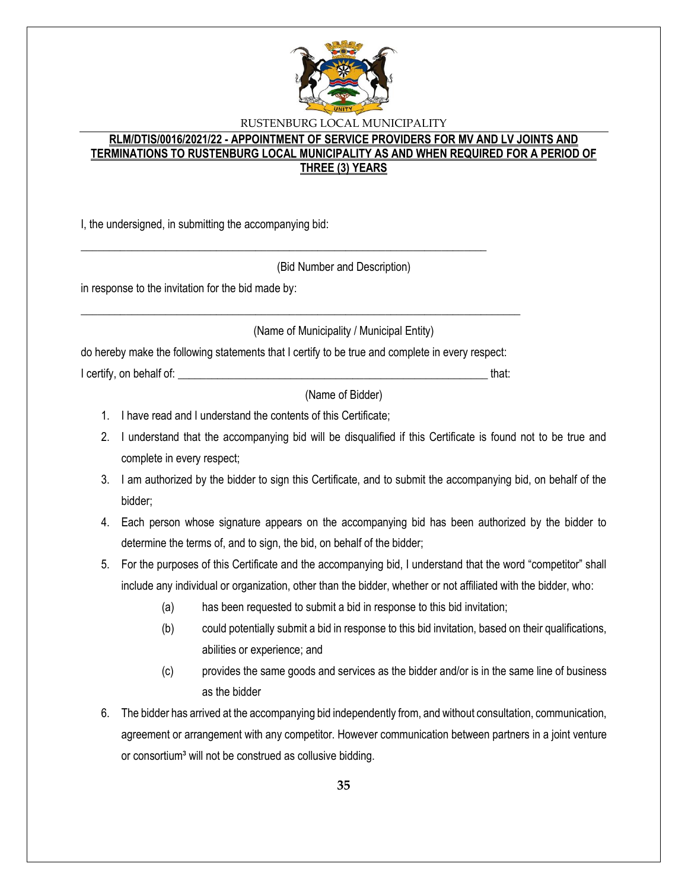

# **RLM/DTIS/0016/2021/22 - APPOINTMENT OF SERVICE PROVIDERS FOR MV AND LV JOINTS AND TERMINATIONS TO RUSTENBURG LOCAL MUNICIPALITY AS AND WHEN REQUIRED FOR A PERIOD OF THREE (3) YEARS**

I, the undersigned, in submitting the accompanying bid:

(Bid Number and Description)

in response to the invitation for the bid made by:

(Name of Municipality / Municipal Entity)

do hereby make the following statements that I certify to be true and complete in every respect:

\_\_\_\_\_\_\_\_\_\_\_\_\_\_\_\_\_\_\_\_\_\_\_\_\_\_\_\_\_\_\_\_\_\_\_\_\_\_\_\_\_\_\_\_\_\_\_\_\_\_\_\_\_\_\_\_\_\_\_\_\_\_\_\_\_\_\_\_\_\_\_\_\_\_\_\_\_\_

\_\_\_\_\_\_\_\_\_\_\_\_\_\_\_\_\_\_\_\_\_\_\_\_\_\_\_\_\_\_\_\_\_\_\_\_\_\_\_\_\_\_\_\_\_\_\_\_\_\_\_\_\_\_\_\_\_\_\_\_\_\_\_\_\_\_\_\_\_\_\_\_

I certify, on behalf of: \_\_\_\_\_\_\_\_\_\_\_\_\_\_\_\_\_\_\_\_\_\_\_\_\_\_\_\_\_\_\_\_\_\_\_\_\_\_\_\_\_\_\_\_\_\_\_\_\_\_\_\_\_\_\_ that:

(Name of Bidder)

- 1. I have read and I understand the contents of this Certificate;
- 2. I understand that the accompanying bid will be disqualified if this Certificate is found not to be true and complete in every respect;
- 3. I am authorized by the bidder to sign this Certificate, and to submit the accompanying bid, on behalf of the bidder;
- 4. Each person whose signature appears on the accompanying bid has been authorized by the bidder to determine the terms of, and to sign, the bid, on behalf of the bidder;
- 5. For the purposes of this Certificate and the accompanying bid, I understand that the word "competitor" shall include any individual or organization, other than the bidder, whether or not affiliated with the bidder, who:
	- (a) has been requested to submit a bid in response to this bid invitation;
	- (b) could potentially submit a bid in response to this bid invitation, based on their qualifications, abilities or experience; and
	- (c) provides the same goods and services as the bidder and/or is in the same line of business as the bidder
- 6. The bidder has arrived at the accompanying bid independently from, and without consultation, communication, agreement or arrangement with any competitor. However communication between partners in a joint venture or consortium<sup>3</sup> will not be construed as collusive bidding.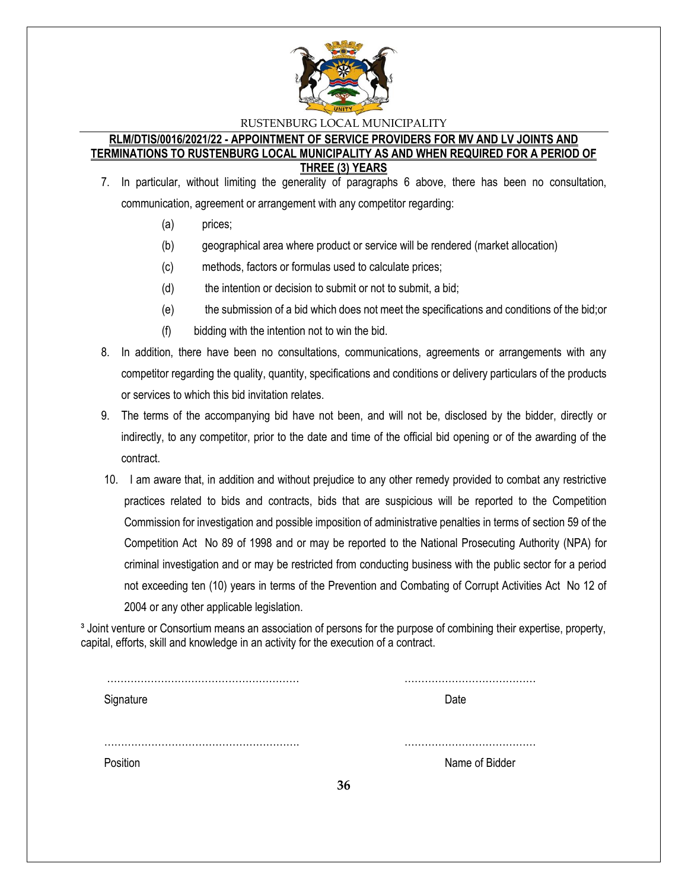

#### **RLM/DTIS/0016/2021/22 - APPOINTMENT OF SERVICE PROVIDERS FOR MV AND LV JOINTS AND TERMINATIONS TO RUSTENBURG LOCAL MUNICIPALITY AS AND WHEN REQUIRED FOR A PERIOD OF THREE (3) YEARS**

- 7. In particular, without limiting the generality of paragraphs 6 above, there has been no consultation, communication, agreement or arrangement with any competitor regarding:
	- (a) prices;
	- (b) geographical area where product or service will be rendered (market allocation)
	- (c) methods, factors or formulas used to calculate prices;
	- (d) the intention or decision to submit or not to submit, a bid;
	- (e) the submission of a bid which does not meet the specifications and conditions of the bid;or
	- (f) bidding with the intention not to win the bid.
- 8. In addition, there have been no consultations, communications, agreements or arrangements with any competitor regarding the quality, quantity, specifications and conditions or delivery particulars of the products or services to which this bid invitation relates.
- 9. The terms of the accompanying bid have not been, and will not be, disclosed by the bidder, directly or indirectly, to any competitor, prior to the date and time of the official bid opening or of the awarding of the contract.
- 10. I am aware that, in addition and without prejudice to any other remedy provided to combat any restrictive practices related to bids and contracts, bids that are suspicious will be reported to the Competition Commission for investigation and possible imposition of administrative penalties in terms of section 59 of the Competition Act No 89 of 1998 and or may be reported to the National Prosecuting Authority (NPA) for criminal investigation and or may be restricted from conducting business with the public sector for a period not exceeding ten (10) years in terms of the Prevention and Combating of Corrupt Activities Act No 12 of 2004 or any other applicable legislation.

<sup>3</sup> Joint venture or Consortium means an association of persons for the purpose of combining their expertise, property, capital, efforts, skill and knowledge in an activity for the execution of a contract.

| Signature |    | Date           |
|-----------|----|----------------|
|           |    |                |
|           |    |                |
|           |    |                |
| Position  |    | Name of Bidder |
|           | 36 |                |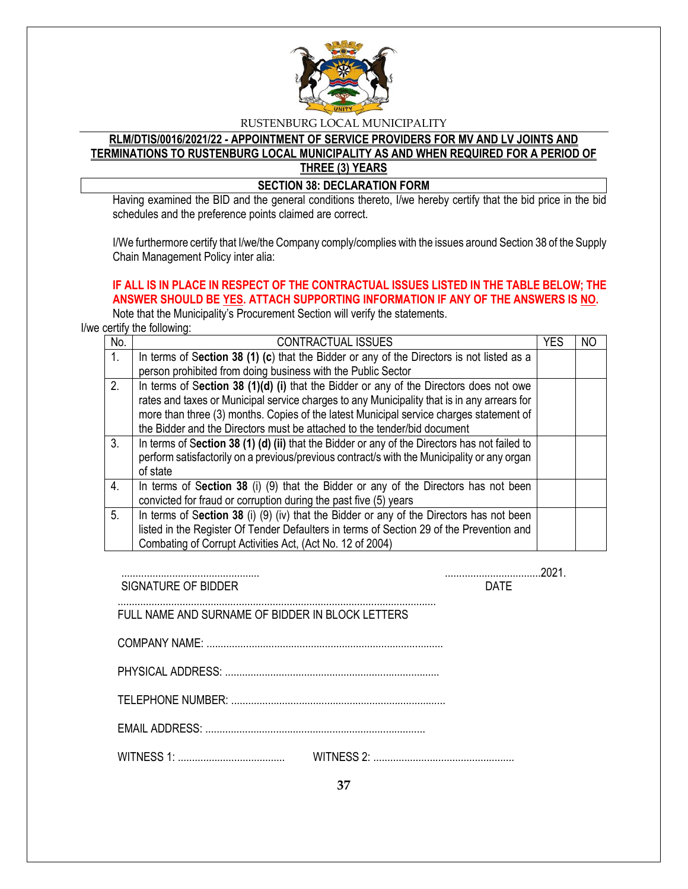

# **RLM/DTIS/0016/2021/22 - APPOINTMENT OF SERVICE PROVIDERS FOR MV AND LV JOINTS AND TERMINATIONS TO RUSTENBURG LOCAL MUNICIPALITY AS AND WHEN REQUIRED FOR A PERIOD OF THREE (3) YEARS**

**SECTION 38: DECLARATION FORM** 

Having examined the BID and the general conditions thereto, I/we hereby certify that the bid price in the bid schedules and the preference points claimed are correct.

I/We furthermore certify that I/we/the Company comply/complies with the issues around Section 38 of the Supply Chain Management Policy inter alia:

# **IF ALL IS IN PLACE IN RESPECT OF THE CONTRACTUAL ISSUES LISTED IN THE TABLE BELOW; THE**  ANSWER SHOULD BE YES. ATTACH SUPPORTING INFORMATION IF ANY OF THE ANSWERS IS NO.

Note that the Municipality's Procurement Section will verify the statements.

I/we certify the following:

| No.            | <b>CONTRACTUAL ISSUES</b>                                                                     | YES | ΝO |
|----------------|-----------------------------------------------------------------------------------------------|-----|----|
| $\mathbf{1}$ . | In terms of Section 38 (1) (c) that the Bidder or any of the Directors is not listed as a     |     |    |
|                | person prohibited from doing business with the Public Sector                                  |     |    |
| 2.             | In terms of Section 38 (1)(d) (i) that the Bidder or any of the Directors does not owe        |     |    |
|                | rates and taxes or Municipal service charges to any Municipality that is in any arrears for   |     |    |
|                | more than three (3) months. Copies of the latest Municipal service charges statement of       |     |    |
|                | the Bidder and the Directors must be attached to the tender/bid document                      |     |    |
| 3.             | In terms of Section 38 (1) (d) (ii) that the Bidder or any of the Directors has not failed to |     |    |
|                | perform satisfactorily on a previous/previous contract/s with the Municipality or any organ   |     |    |
|                | of state                                                                                      |     |    |
| 4.             | In terms of Section 38 (i) (9) that the Bidder or any of the Directors has not been           |     |    |
|                | convicted for fraud or corruption during the past five (5) years                              |     |    |
| 5.             | In terms of Section 38 (i) (9) (iv) that the Bidder or any of the Directors has not been      |     |    |
|                | listed in the Register Of Tender Defaulters in terms of Section 29 of the Prevention and      |     |    |
|                | Combating of Corrupt Activities Act, (Act No. 12 of 2004)                                     |     |    |

| SIGNATURE OF BIDDER                              | <b>DATF</b> |
|--------------------------------------------------|-------------|
| FULL NAME AND SURNAME OF BIDDER IN BLOCK LETTERS |             |
|                                                  |             |
|                                                  |             |
|                                                  |             |
|                                                  |             |
|                                                  |             |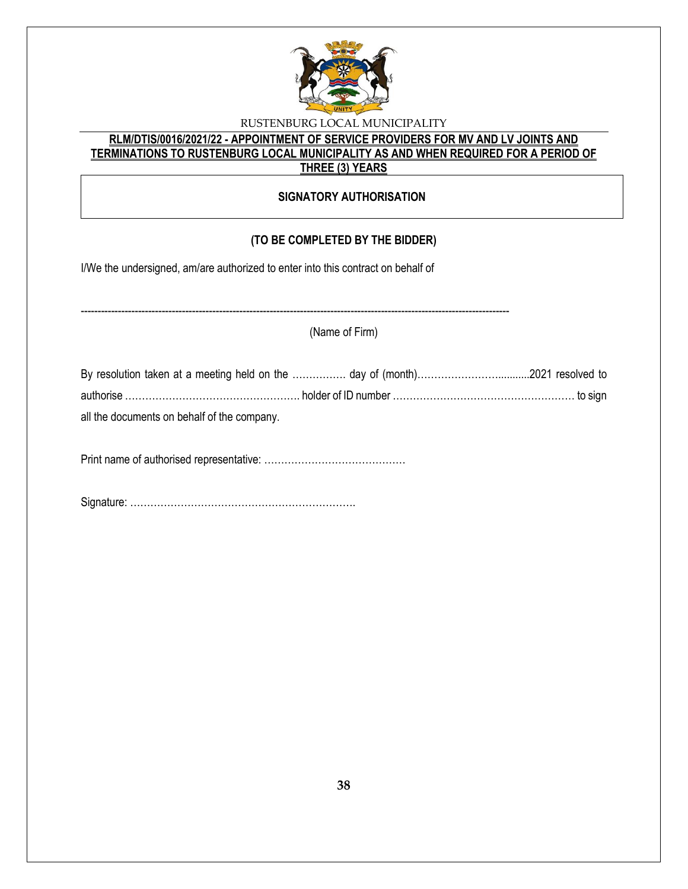

# **RLM/DTIS/0016/2021/22 - APPOINTMENT OF SERVICE PROVIDERS FOR MV AND LV JOINTS AND TERMINATIONS TO RUSTENBURG LOCAL MUNICIPALITY AS AND WHEN REQUIRED FOR A PERIOD OF THREE (3) YEARS**

## **SIGNATORY AUTHORISATION**

# **(TO BE COMPLETED BY THE BIDDER)**

-------------------------------------------------------------------------------------------------------------------------------

I/We the undersigned, am/are authorized to enter into this contract on behalf of

(Name of Firm)

| By resolution taken at a meeting held on the  day of (month)2021 resolved to  |  |
|-------------------------------------------------------------------------------|--|
| authorise ………………………………………………… holder of ID number ………………………………………………… to sign |  |
| all the documents on behalf of the company.                                   |  |

Print name of authorised representative: ……………………………………

Signature: ………………………………………………………….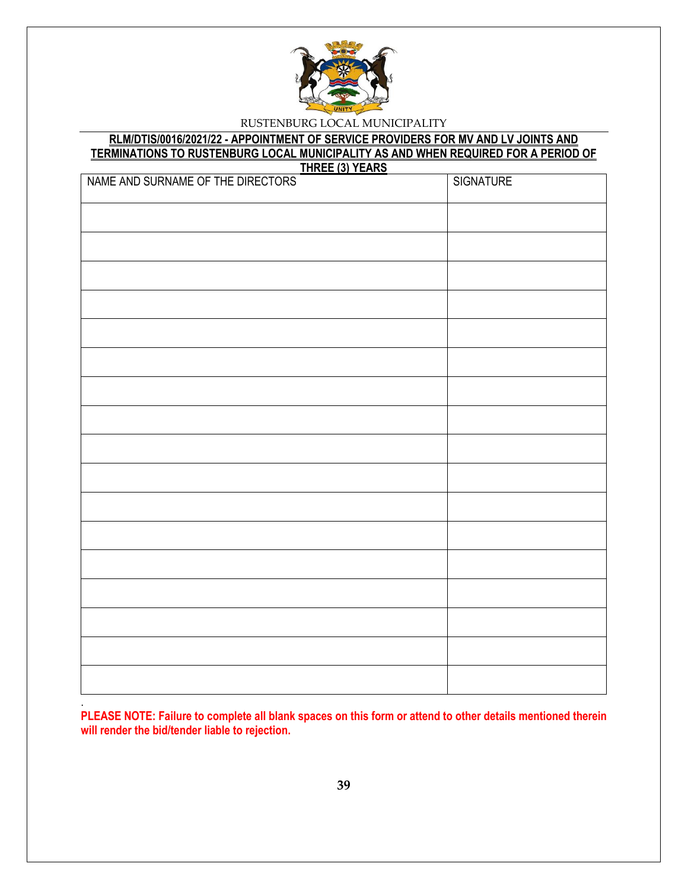

# **RLM/DTIS/0016/2021/22 - APPOINTMENT OF SERVICE PROVIDERS FOR MV AND LV JOINTS AND TERMINATIONS TO RUSTENBURG LOCAL MUNICIPALITY AS AND WHEN REQUIRED FOR A PERIOD OF**

| THREE (3) YEARS                   |                  |  |  |
|-----------------------------------|------------------|--|--|
| NAME AND SURNAME OF THE DIRECTORS | <b>SIGNATURE</b> |  |  |
|                                   |                  |  |  |
|                                   |                  |  |  |
|                                   |                  |  |  |
|                                   |                  |  |  |
|                                   |                  |  |  |
|                                   |                  |  |  |
|                                   |                  |  |  |
|                                   |                  |  |  |
|                                   |                  |  |  |
|                                   |                  |  |  |
|                                   |                  |  |  |
|                                   |                  |  |  |
|                                   |                  |  |  |
|                                   |                  |  |  |
|                                   |                  |  |  |
|                                   |                  |  |  |
|                                   |                  |  |  |

. **PLEASE NOTE: Failure to complete all blank spaces on this form or attend to other details mentioned therein will render the bid/tender liable to rejection.**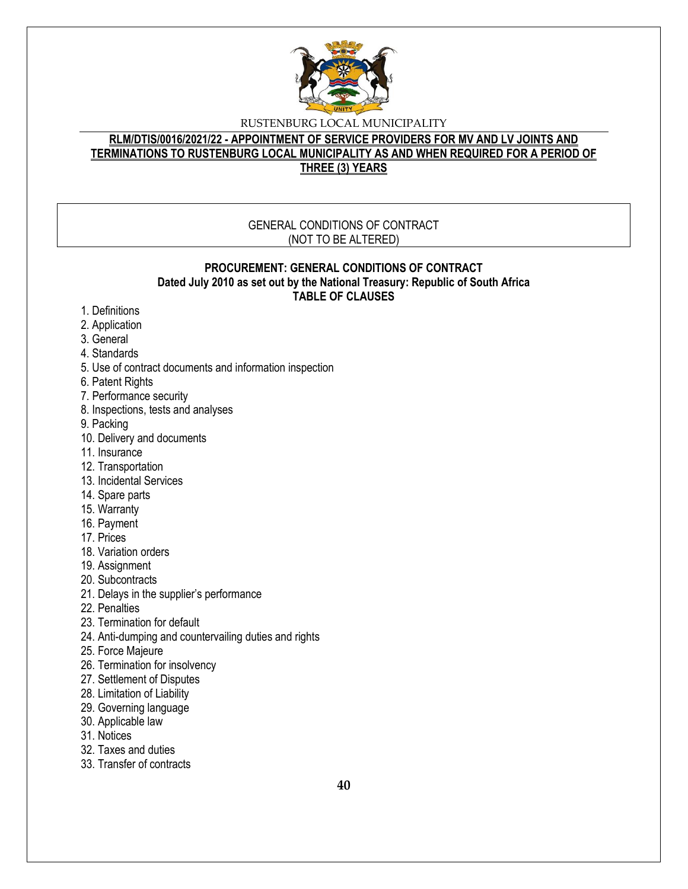

# **RLM/DTIS/0016/2021/22 - APPOINTMENT OF SERVICE PROVIDERS FOR MV AND LV JOINTS AND TERMINATIONS TO RUSTENBURG LOCAL MUNICIPALITY AS AND WHEN REQUIRED FOR A PERIOD OF THREE (3) YEARS**

#### GENERAL CONDITIONS OF CONTRACT (NOT TO BE ALTERED)

#### **PROCUREMENT: GENERAL CONDITIONS OF CONTRACT Dated July 2010 as set out by the National Treasury: Republic of South Africa TABLE OF CLAUSES**

- 1. Definitions
- 2. Application
- 3. General
- 4. Standards
- 5. Use of contract documents and information inspection
- 6. Patent Rights
- 7. Performance security
- 8. Inspections, tests and analyses
- 9. Packing
- 10. Delivery and documents
- 11. Insurance
- 12. Transportation
- 13. Incidental Services
- 14. Spare parts
- 15. Warranty
- 16. Payment
- 17. Prices
- 18. Variation orders
- 19. Assignment
- 20. Subcontracts
- 21. Delays in the supplier's performance
- 22. Penalties
- 23. Termination for default
- 24. Anti-dumping and countervailing duties and rights
- 25. Force Majeure
- 26. Termination for insolvency
- 27. Settlement of Disputes
- 28. Limitation of Liability
- 29. Governing language
- 30. Applicable law
- 31. Notices
- 32. Taxes and duties
- 33. Transfer of contracts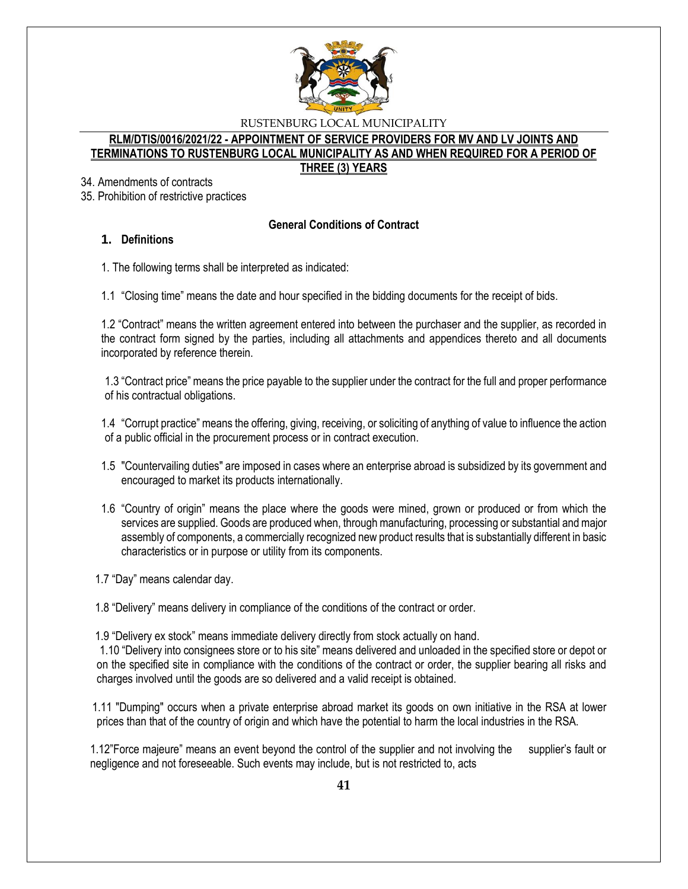

#### **RLM/DTIS/0016/2021/22 - APPOINTMENT OF SERVICE PROVIDERS FOR MV AND LV JOINTS AND TERMINATIONS TO RUSTENBURG LOCAL MUNICIPALITY AS AND WHEN REQUIRED FOR A PERIOD OF THREE (3) YEARS**

34. Amendments of contracts

35. Prohibition of restrictive practices

## **General Conditions of Contract**

## **1. Definitions**

1. The following terms shall be interpreted as indicated:

1.1 "Closing time" means the date and hour specified in the bidding documents for the receipt of bids.

1.2 "Contract" means the written agreement entered into between the purchaser and the supplier, as recorded in the contract form signed by the parties, including all attachments and appendices thereto and all documents incorporated by reference therein.

1.3 "Contract price" means the price payable to the supplier under the contract for the full and proper performance of his contractual obligations.

1.4 "Corrupt practice" means the offering, giving, receiving, or soliciting of anything of value to influence the action of a public official in the procurement process or in contract execution.

- 1.5 "Countervailing duties" are imposed in cases where an enterprise abroad is subsidized by its government and encouraged to market its products internationally.
- 1.6 "Country of origin" means the place where the goods were mined, grown or produced or from which the services are supplied. Goods are produced when, through manufacturing, processing or substantial and major assembly of components, a commercially recognized new product results that is substantially different in basic characteristics or in purpose or utility from its components.

1.7 "Day" means calendar day.

1.8 "Delivery" means delivery in compliance of the conditions of the contract or order.

1.9 "Delivery ex stock" means immediate delivery directly from stock actually on hand.

1.10 "Delivery into consignees store or to his site" means delivered and unloaded in the specified store or depot or on the specified site in compliance with the conditions of the contract or order, the supplier bearing all risks and charges involved until the goods are so delivered and a valid receipt is obtained.

 1.11 "Dumping" occurs when a private enterprise abroad market its goods on own initiative in the RSA at lower prices than that of the country of origin and which have the potential to harm the local industries in the RSA.

1.12"Force majeure" means an event beyond the control of the supplier and not involving the supplier's fault or negligence and not foreseeable. Such events may include, but is not restricted to, acts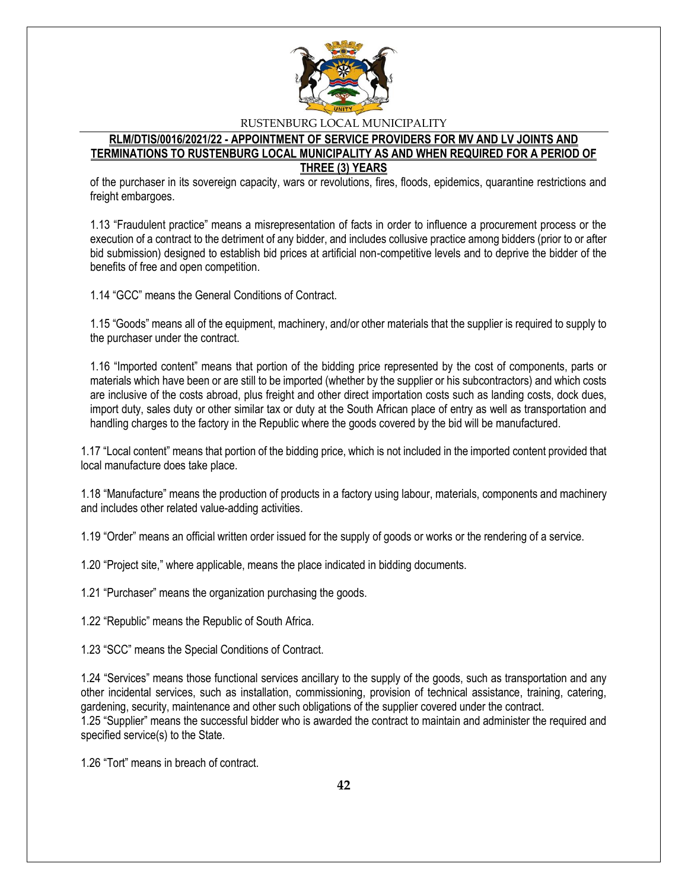

## **RLM/DTIS/0016/2021/22 - APPOINTMENT OF SERVICE PROVIDERS FOR MV AND LV JOINTS AND TERMINATIONS TO RUSTENBURG LOCAL MUNICIPALITY AS AND WHEN REQUIRED FOR A PERIOD OF THREE (3) YEARS**

of the purchaser in its sovereign capacity, wars or revolutions, fires, floods, epidemics, quarantine restrictions and freight embargoes.

1.13 "Fraudulent practice" means a misrepresentation of facts in order to influence a procurement process or the execution of a contract to the detriment of any bidder, and includes collusive practice among bidders (prior to or after bid submission) designed to establish bid prices at artificial non-competitive levels and to deprive the bidder of the benefits of free and open competition.

1.14 "GCC" means the General Conditions of Contract.

1.15 "Goods" means all of the equipment, machinery, and/or other materials that the supplier is required to supply to the purchaser under the contract.

1.16 "Imported content" means that portion of the bidding price represented by the cost of components, parts or materials which have been or are still to be imported (whether by the supplier or his subcontractors) and which costs are inclusive of the costs abroad, plus freight and other direct importation costs such as landing costs, dock dues, import duty, sales duty or other similar tax or duty at the South African place of entry as well as transportation and handling charges to the factory in the Republic where the goods covered by the bid will be manufactured.

1.17 "Local content" means that portion of the bidding price, which is not included in the imported content provided that local manufacture does take place.

1.18 "Manufacture" means the production of products in a factory using labour, materials, components and machinery and includes other related value-adding activities.

1.19 "Order" means an official written order issued for the supply of goods or works or the rendering of a service.

1.20 "Project site," where applicable, means the place indicated in bidding documents.

1.21 "Purchaser" means the organization purchasing the goods.

1.22 "Republic" means the Republic of South Africa.

1.23 "SCC" means the Special Conditions of Contract.

1.24 "Services" means those functional services ancillary to the supply of the goods, such as transportation and any other incidental services, such as installation, commissioning, provision of technical assistance, training, catering, gardening, security, maintenance and other such obligations of the supplier covered under the contract. 1.25 "Supplier" means the successful bidder who is awarded the contract to maintain and administer the required and specified service(s) to the State.

1.26 "Tort" means in breach of contract.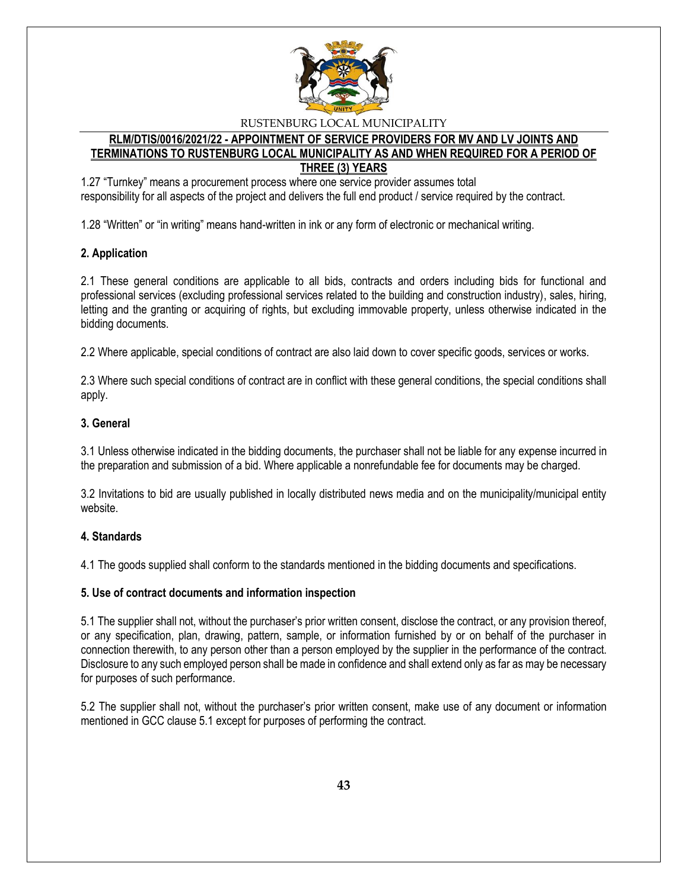

## **RLM/DTIS/0016/2021/22 - APPOINTMENT OF SERVICE PROVIDERS FOR MV AND LV JOINTS AND TERMINATIONS TO RUSTENBURG LOCAL MUNICIPALITY AS AND WHEN REQUIRED FOR A PERIOD OF THREE (3) YEARS**

1.27 "Turnkey" means a procurement process where one service provider assumes total responsibility for all aspects of the project and delivers the full end product / service required by the contract.

1.28 "Written" or "in writing" means hand-written in ink or any form of electronic or mechanical writing.

## **2. Application**

2.1 These general conditions are applicable to all bids, contracts and orders including bids for functional and professional services (excluding professional services related to the building and construction industry), sales, hiring, letting and the granting or acquiring of rights, but excluding immovable property, unless otherwise indicated in the bidding documents.

2.2 Where applicable, special conditions of contract are also laid down to cover specific goods, services or works.

2.3 Where such special conditions of contract are in conflict with these general conditions, the special conditions shall apply.

### **3. General**

3.1 Unless otherwise indicated in the bidding documents, the purchaser shall not be liable for any expense incurred in the preparation and submission of a bid. Where applicable a nonrefundable fee for documents may be charged.

3.2 Invitations to bid are usually published in locally distributed news media and on the municipality/municipal entity website.

#### **4. Standards**

4.1 The goods supplied shall conform to the standards mentioned in the bidding documents and specifications.

#### **5. Use of contract documents and information inspection**

5.1 The supplier shall not, without the purchaser's prior written consent, disclose the contract, or any provision thereof, or any specification, plan, drawing, pattern, sample, or information furnished by or on behalf of the purchaser in connection therewith, to any person other than a person employed by the supplier in the performance of the contract. Disclosure to any such employed person shall be made in confidence and shall extend only as far as may be necessary for purposes of such performance.

5.2 The supplier shall not, without the purchaser's prior written consent, make use of any document or information mentioned in GCC clause 5.1 except for purposes of performing the contract.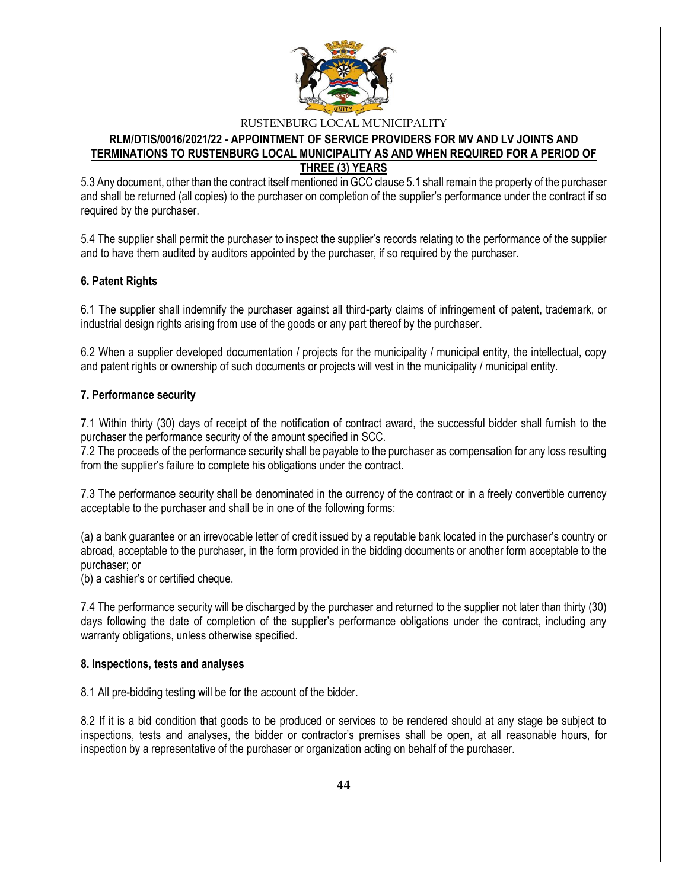

### **RLM/DTIS/0016/2021/22 - APPOINTMENT OF SERVICE PROVIDERS FOR MV AND LV JOINTS AND TERMINATIONS TO RUSTENBURG LOCAL MUNICIPALITY AS AND WHEN REQUIRED FOR A PERIOD OF THREE (3) YEARS**

5.3 Any document, other than the contract itself mentioned in GCC clause 5.1 shall remain the property of the purchaser and shall be returned (all copies) to the purchaser on completion of the supplier's performance under the contract if so required by the purchaser.

5.4 The supplier shall permit the purchaser to inspect the supplier's records relating to the performance of the supplier and to have them audited by auditors appointed by the purchaser, if so required by the purchaser.

### **6. Patent Rights**

6.1 The supplier shall indemnify the purchaser against all third-party claims of infringement of patent, trademark, or industrial design rights arising from use of the goods or any part thereof by the purchaser.

6.2 When a supplier developed documentation / projects for the municipality / municipal entity, the intellectual, copy and patent rights or ownership of such documents or projects will vest in the municipality / municipal entity.

#### **7. Performance security**

7.1 Within thirty (30) days of receipt of the notification of contract award, the successful bidder shall furnish to the purchaser the performance security of the amount specified in SCC.

7.2 The proceeds of the performance security shall be payable to the purchaser as compensation for any loss resulting from the supplier's failure to complete his obligations under the contract.

7.3 The performance security shall be denominated in the currency of the contract or in a freely convertible currency acceptable to the purchaser and shall be in one of the following forms:

(a) a bank guarantee or an irrevocable letter of credit issued by a reputable bank located in the purchaser's country or abroad, acceptable to the purchaser, in the form provided in the bidding documents or another form acceptable to the purchaser; or

(b) a cashier's or certified cheque.

7.4 The performance security will be discharged by the purchaser and returned to the supplier not later than thirty (30) days following the date of completion of the supplier's performance obligations under the contract, including any warranty obligations, unless otherwise specified.

#### **8. Inspections, tests and analyses**

8.1 All pre-bidding testing will be for the account of the bidder.

8.2 If it is a bid condition that goods to be produced or services to be rendered should at any stage be subject to inspections, tests and analyses, the bidder or contractor's premises shall be open, at all reasonable hours, for inspection by a representative of the purchaser or organization acting on behalf of the purchaser.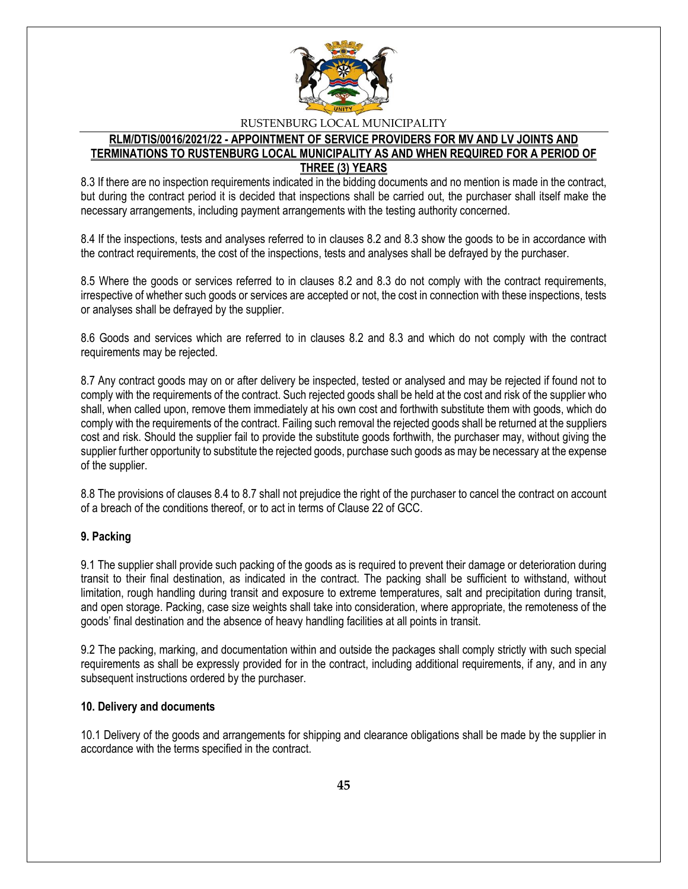

## **RLM/DTIS/0016/2021/22 - APPOINTMENT OF SERVICE PROVIDERS FOR MV AND LV JOINTS AND TERMINATIONS TO RUSTENBURG LOCAL MUNICIPALITY AS AND WHEN REQUIRED FOR A PERIOD OF THREE (3) YEARS**

8.3 If there are no inspection requirements indicated in the bidding documents and no mention is made in the contract, but during the contract period it is decided that inspections shall be carried out, the purchaser shall itself make the necessary arrangements, including payment arrangements with the testing authority concerned.

8.4 If the inspections, tests and analyses referred to in clauses 8.2 and 8.3 show the goods to be in accordance with the contract requirements, the cost of the inspections, tests and analyses shall be defrayed by the purchaser.

8.5 Where the goods or services referred to in clauses 8.2 and 8.3 do not comply with the contract requirements, irrespective of whether such goods or services are accepted or not, the cost in connection with these inspections, tests or analyses shall be defrayed by the supplier.

8.6 Goods and services which are referred to in clauses 8.2 and 8.3 and which do not comply with the contract requirements may be rejected.

8.7 Any contract goods may on or after delivery be inspected, tested or analysed and may be rejected if found not to comply with the requirements of the contract. Such rejected goods shall be held at the cost and risk of the supplier who shall, when called upon, remove them immediately at his own cost and forthwith substitute them with goods, which do comply with the requirements of the contract. Failing such removal the rejected goods shall be returned at the suppliers cost and risk. Should the supplier fail to provide the substitute goods forthwith, the purchaser may, without giving the supplier further opportunity to substitute the rejected goods, purchase such goods as may be necessary at the expense of the supplier.

8.8 The provisions of clauses 8.4 to 8.7 shall not prejudice the right of the purchaser to cancel the contract on account of a breach of the conditions thereof, or to act in terms of Clause 22 of GCC.

#### **9. Packing**

9.1 The supplier shall provide such packing of the goods as is required to prevent their damage or deterioration during transit to their final destination, as indicated in the contract. The packing shall be sufficient to withstand, without limitation, rough handling during transit and exposure to extreme temperatures, salt and precipitation during transit, and open storage. Packing, case size weights shall take into consideration, where appropriate, the remoteness of the goods' final destination and the absence of heavy handling facilities at all points in transit.

9.2 The packing, marking, and documentation within and outside the packages shall comply strictly with such special requirements as shall be expressly provided for in the contract, including additional requirements, if any, and in any subsequent instructions ordered by the purchaser.

#### **10. Delivery and documents**

10.1 Delivery of the goods and arrangements for shipping and clearance obligations shall be made by the supplier in accordance with the terms specified in the contract.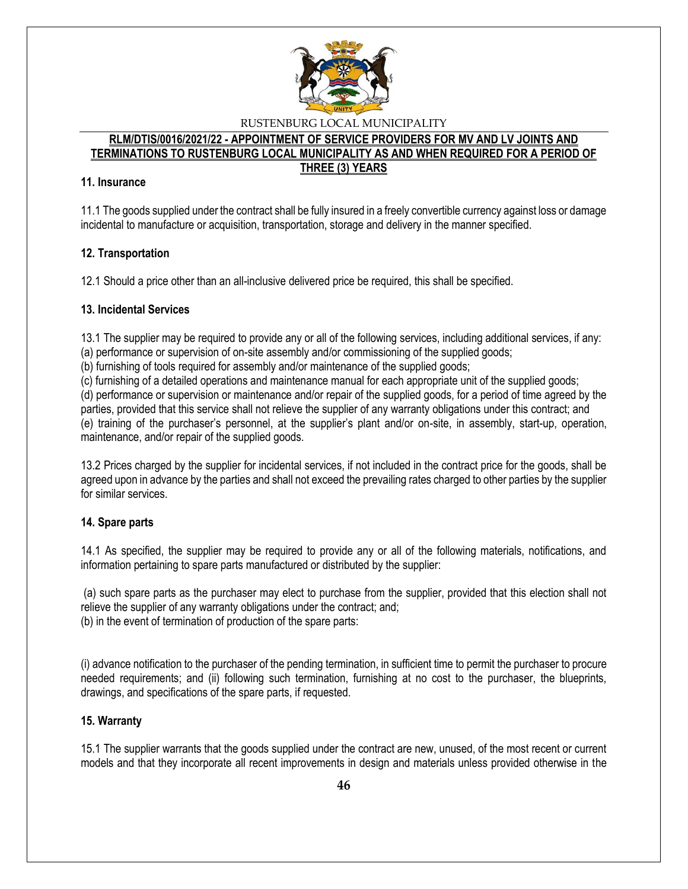

#### **RLM/DTIS/0016/2021/22 - APPOINTMENT OF SERVICE PROVIDERS FOR MV AND LV JOINTS AND TERMINATIONS TO RUSTENBURG LOCAL MUNICIPALITY AS AND WHEN REQUIRED FOR A PERIOD OF THREE (3) YEARS**

### **11. Insurance**

11.1 The goods supplied under the contract shall be fully insured in a freely convertible currency against loss or damage incidental to manufacture or acquisition, transportation, storage and delivery in the manner specified.

## **12. Transportation**

12.1 Should a price other than an all-inclusive delivered price be required, this shall be specified.

### **13. Incidental Services**

13.1 The supplier may be required to provide any or all of the following services, including additional services, if any: (a) performance or supervision of on-site assembly and/or commissioning of the supplied goods;

(b) furnishing of tools required for assembly and/or maintenance of the supplied goods;

(c) furnishing of a detailed operations and maintenance manual for each appropriate unit of the supplied goods;

(d) performance or supervision or maintenance and/or repair of the supplied goods, for a period of time agreed by the parties, provided that this service shall not relieve the supplier of any warranty obligations under this contract; and (e) training of the purchaser's personnel, at the supplier's plant and/or on-site, in assembly, start-up, operation, maintenance, and/or repair of the supplied goods.

13.2 Prices charged by the supplier for incidental services, if not included in the contract price for the goods, shall be agreed upon in advance by the parties and shall not exceed the prevailing rates charged to other parties by the supplier for similar services.

## **14. Spare parts**

14.1 As specified, the supplier may be required to provide any or all of the following materials, notifications, and information pertaining to spare parts manufactured or distributed by the supplier:

(a) such spare parts as the purchaser may elect to purchase from the supplier, provided that this election shall not relieve the supplier of any warranty obligations under the contract; and; (b) in the event of termination of production of the spare parts:

(i) advance notification to the purchaser of the pending termination, in sufficient time to permit the purchaser to procure needed requirements; and (ii) following such termination, furnishing at no cost to the purchaser, the blueprints, drawings, and specifications of the spare parts, if requested.

#### **15. Warranty**

15.1 The supplier warrants that the goods supplied under the contract are new, unused, of the most recent or current models and that they incorporate all recent improvements in design and materials unless provided otherwise in the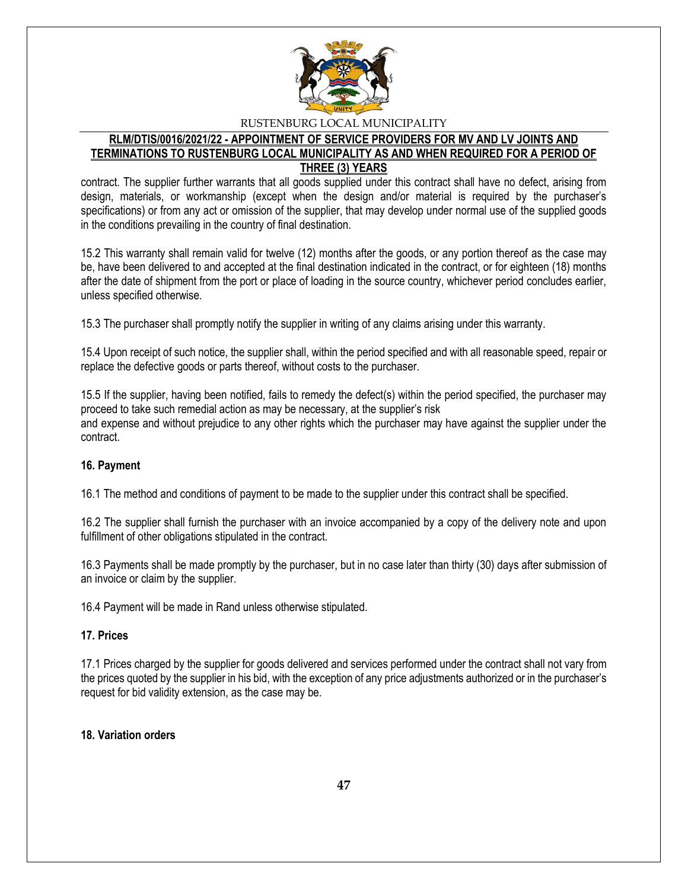

### **RLM/DTIS/0016/2021/22 - APPOINTMENT OF SERVICE PROVIDERS FOR MV AND LV JOINTS AND TERMINATIONS TO RUSTENBURG LOCAL MUNICIPALITY AS AND WHEN REQUIRED FOR A PERIOD OF THREE (3) YEARS**

contract. The supplier further warrants that all goods supplied under this contract shall have no defect, arising from design, materials, or workmanship (except when the design and/or material is required by the purchaser's specifications) or from any act or omission of the supplier, that may develop under normal use of the supplied goods in the conditions prevailing in the country of final destination.

15.2 This warranty shall remain valid for twelve (12) months after the goods, or any portion thereof as the case may be, have been delivered to and accepted at the final destination indicated in the contract, or for eighteen (18) months after the date of shipment from the port or place of loading in the source country, whichever period concludes earlier, unless specified otherwise.

15.3 The purchaser shall promptly notify the supplier in writing of any claims arising under this warranty.

15.4 Upon receipt of such notice, the supplier shall, within the period specified and with all reasonable speed, repair or replace the defective goods or parts thereof, without costs to the purchaser.

15.5 If the supplier, having been notified, fails to remedy the defect(s) within the period specified, the purchaser may proceed to take such remedial action as may be necessary, at the supplier's risk and expense and without prejudice to any other rights which the purchaser may have against the supplier under the contract.

## **16. Payment**

16.1 The method and conditions of payment to be made to the supplier under this contract shall be specified.

16.2 The supplier shall furnish the purchaser with an invoice accompanied by a copy of the delivery note and upon fulfillment of other obligations stipulated in the contract.

16.3 Payments shall be made promptly by the purchaser, but in no case later than thirty (30) days after submission of an invoice or claim by the supplier.

16.4 Payment will be made in Rand unless otherwise stipulated.

#### **17. Prices**

17.1 Prices charged by the supplier for goods delivered and services performed under the contract shall not vary from the prices quoted by the supplier in his bid, with the exception of any price adjustments authorized or in the purchaser's request for bid validity extension, as the case may be.

#### **18. Variation orders**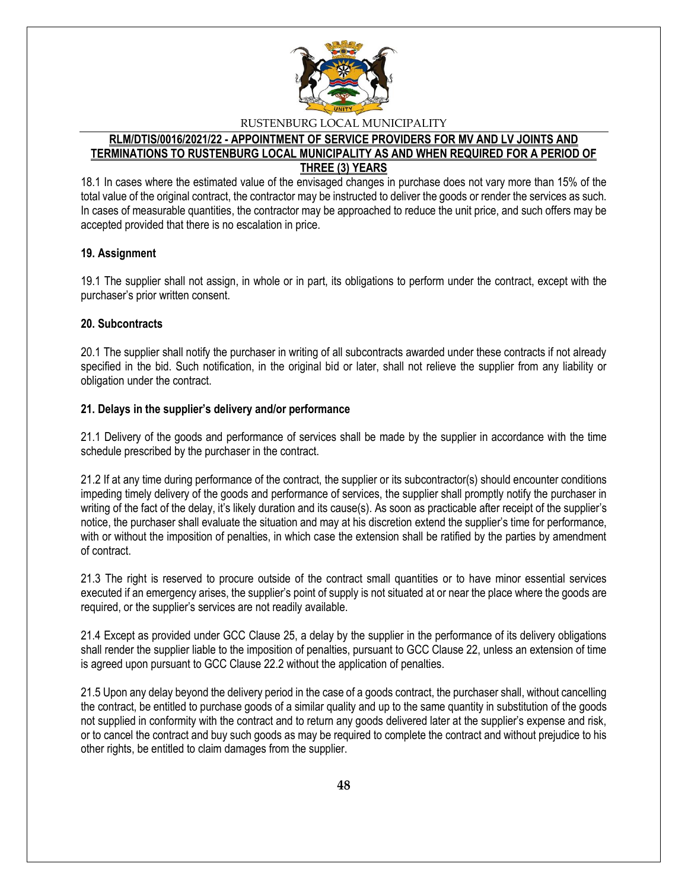

## **RLM/DTIS/0016/2021/22 - APPOINTMENT OF SERVICE PROVIDERS FOR MV AND LV JOINTS AND TERMINATIONS TO RUSTENBURG LOCAL MUNICIPALITY AS AND WHEN REQUIRED FOR A PERIOD OF THREE (3) YEARS**

18.1 In cases where the estimated value of the envisaged changes in purchase does not vary more than 15% of the total value of the original contract, the contractor may be instructed to deliver the goods or render the services as such. In cases of measurable quantities, the contractor may be approached to reduce the unit price, and such offers may be accepted provided that there is no escalation in price.

### **19. Assignment**

19.1 The supplier shall not assign, in whole or in part, its obligations to perform under the contract, except with the purchaser's prior written consent.

### **20. Subcontracts**

20.1 The supplier shall notify the purchaser in writing of all subcontracts awarded under these contracts if not already specified in the bid. Such notification, in the original bid or later, shall not relieve the supplier from any liability or obligation under the contract.

### **21. Delays in the supplier's delivery and/or performance**

21.1 Delivery of the goods and performance of services shall be made by the supplier in accordance with the time schedule prescribed by the purchaser in the contract.

21.2 If at any time during performance of the contract, the supplier or its subcontractor(s) should encounter conditions impeding timely delivery of the goods and performance of services, the supplier shall promptly notify the purchaser in writing of the fact of the delay, it's likely duration and its cause(s). As soon as practicable after receipt of the supplier's notice, the purchaser shall evaluate the situation and may at his discretion extend the supplier's time for performance, with or without the imposition of penalties, in which case the extension shall be ratified by the parties by amendment of contract.

21.3 The right is reserved to procure outside of the contract small quantities or to have minor essential services executed if an emergency arises, the supplier's point of supply is not situated at or near the place where the goods are required, or the supplier's services are not readily available.

21.4 Except as provided under GCC Clause 25, a delay by the supplier in the performance of its delivery obligations shall render the supplier liable to the imposition of penalties, pursuant to GCC Clause 22, unless an extension of time is agreed upon pursuant to GCC Clause 22.2 without the application of penalties.

21.5 Upon any delay beyond the delivery period in the case of a goods contract, the purchaser shall, without cancelling the contract, be entitled to purchase goods of a similar quality and up to the same quantity in substitution of the goods not supplied in conformity with the contract and to return any goods delivered later at the supplier's expense and risk, or to cancel the contract and buy such goods as may be required to complete the contract and without prejudice to his other rights, be entitled to claim damages from the supplier.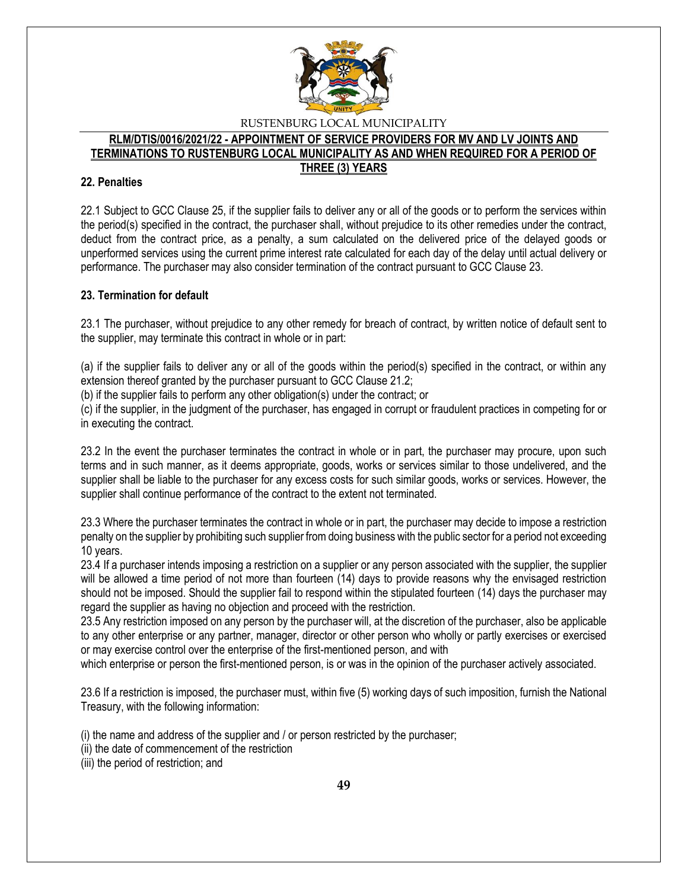

#### **RLM/DTIS/0016/2021/22 - APPOINTMENT OF SERVICE PROVIDERS FOR MV AND LV JOINTS AND TERMINATIONS TO RUSTENBURG LOCAL MUNICIPALITY AS AND WHEN REQUIRED FOR A PERIOD OF THREE (3) YEARS**

## **22. Penalties**

22.1 Subject to GCC Clause 25, if the supplier fails to deliver any or all of the goods or to perform the services within the period(s) specified in the contract, the purchaser shall, without prejudice to its other remedies under the contract, deduct from the contract price, as a penalty, a sum calculated on the delivered price of the delayed goods or unperformed services using the current prime interest rate calculated for each day of the delay until actual delivery or performance. The purchaser may also consider termination of the contract pursuant to GCC Clause 23.

### **23. Termination for default**

23.1 The purchaser, without prejudice to any other remedy for breach of contract, by written notice of default sent to the supplier, may terminate this contract in whole or in part:

(a) if the supplier fails to deliver any or all of the goods within the period(s) specified in the contract, or within any extension thereof granted by the purchaser pursuant to GCC Clause 21.2;

(b) if the supplier fails to perform any other obligation(s) under the contract; or

(c) if the supplier, in the judgment of the purchaser, has engaged in corrupt or fraudulent practices in competing for or in executing the contract.

23.2 In the event the purchaser terminates the contract in whole or in part, the purchaser may procure, upon such terms and in such manner, as it deems appropriate, goods, works or services similar to those undelivered, and the supplier shall be liable to the purchaser for any excess costs for such similar goods, works or services. However, the supplier shall continue performance of the contract to the extent not terminated.

23.3 Where the purchaser terminates the contract in whole or in part, the purchaser may decide to impose a restriction penalty on the supplier by prohibiting such supplier from doing business with the public sector for a period not exceeding 10 years.

23.4 If a purchaser intends imposing a restriction on a supplier or any person associated with the supplier, the supplier will be allowed a time period of not more than fourteen (14) days to provide reasons why the envisaged restriction should not be imposed. Should the supplier fail to respond within the stipulated fourteen (14) days the purchaser may regard the supplier as having no objection and proceed with the restriction.

23.5 Any restriction imposed on any person by the purchaser will, at the discretion of the purchaser, also be applicable to any other enterprise or any partner, manager, director or other person who wholly or partly exercises or exercised or may exercise control over the enterprise of the first-mentioned person, and with

which enterprise or person the first-mentioned person, is or was in the opinion of the purchaser actively associated.

23.6 If a restriction is imposed, the purchaser must, within five (5) working days of such imposition, furnish the National Treasury, with the following information:

(i) the name and address of the supplier and / or person restricted by the purchaser;

- (ii) the date of commencement of the restriction
- (iii) the period of restriction; and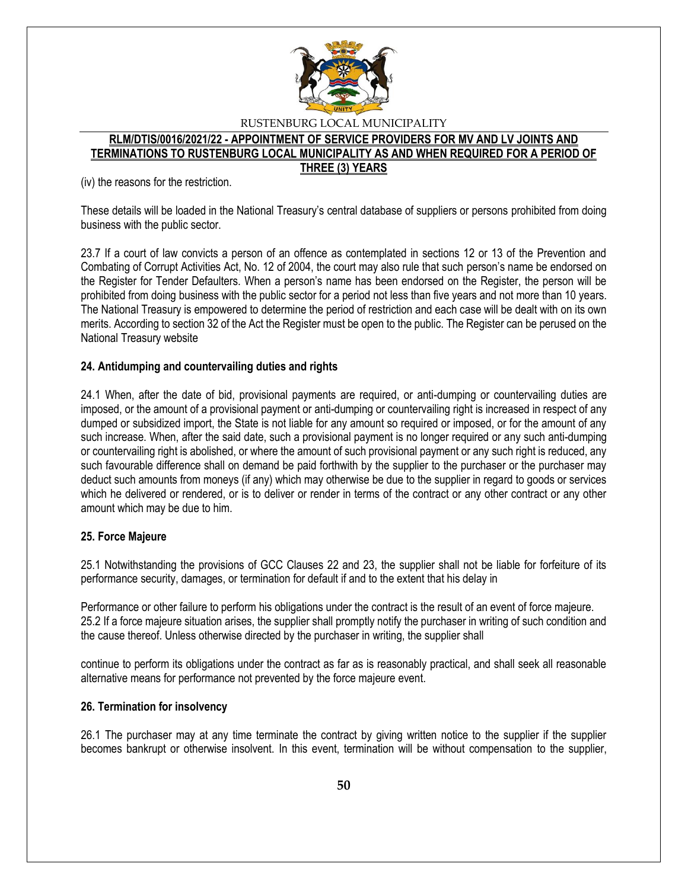

### **RLM/DTIS/0016/2021/22 - APPOINTMENT OF SERVICE PROVIDERS FOR MV AND LV JOINTS AND TERMINATIONS TO RUSTENBURG LOCAL MUNICIPALITY AS AND WHEN REQUIRED FOR A PERIOD OF THREE (3) YEARS**

(iv) the reasons for the restriction.

These details will be loaded in the National Treasury's central database of suppliers or persons prohibited from doing business with the public sector.

23.7 If a court of law convicts a person of an offence as contemplated in sections 12 or 13 of the Prevention and Combating of Corrupt Activities Act, No. 12 of 2004, the court may also rule that such person's name be endorsed on the Register for Tender Defaulters. When a person's name has been endorsed on the Register, the person will be prohibited from doing business with the public sector for a period not less than five years and not more than 10 years. The National Treasury is empowered to determine the period of restriction and each case will be dealt with on its own merits. According to section 32 of the Act the Register must be open to the public. The Register can be perused on the National Treasury website

### **24. Antidumping and countervailing duties and rights**

24.1 When, after the date of bid, provisional payments are required, or anti-dumping or countervailing duties are imposed, or the amount of a provisional payment or anti-dumping or countervailing right is increased in respect of any dumped or subsidized import, the State is not liable for any amount so required or imposed, or for the amount of any such increase. When, after the said date, such a provisional payment is no longer required or any such anti-dumping or countervailing right is abolished, or where the amount of such provisional payment or any such right is reduced, any such favourable difference shall on demand be paid forthwith by the supplier to the purchaser or the purchaser may deduct such amounts from moneys (if any) which may otherwise be due to the supplier in regard to goods or services which he delivered or rendered, or is to deliver or render in terms of the contract or any other contract or any other amount which may be due to him.

#### **25. Force Majeure**

25.1 Notwithstanding the provisions of GCC Clauses 22 and 23, the supplier shall not be liable for forfeiture of its performance security, damages, or termination for default if and to the extent that his delay in

Performance or other failure to perform his obligations under the contract is the result of an event of force majeure. 25.2 If a force majeure situation arises, the supplier shall promptly notify the purchaser in writing of such condition and the cause thereof. Unless otherwise directed by the purchaser in writing, the supplier shall

continue to perform its obligations under the contract as far as is reasonably practical, and shall seek all reasonable alternative means for performance not prevented by the force majeure event.

#### **26. Termination for insolvency**

26.1 The purchaser may at any time terminate the contract by giving written notice to the supplier if the supplier becomes bankrupt or otherwise insolvent. In this event, termination will be without compensation to the supplier,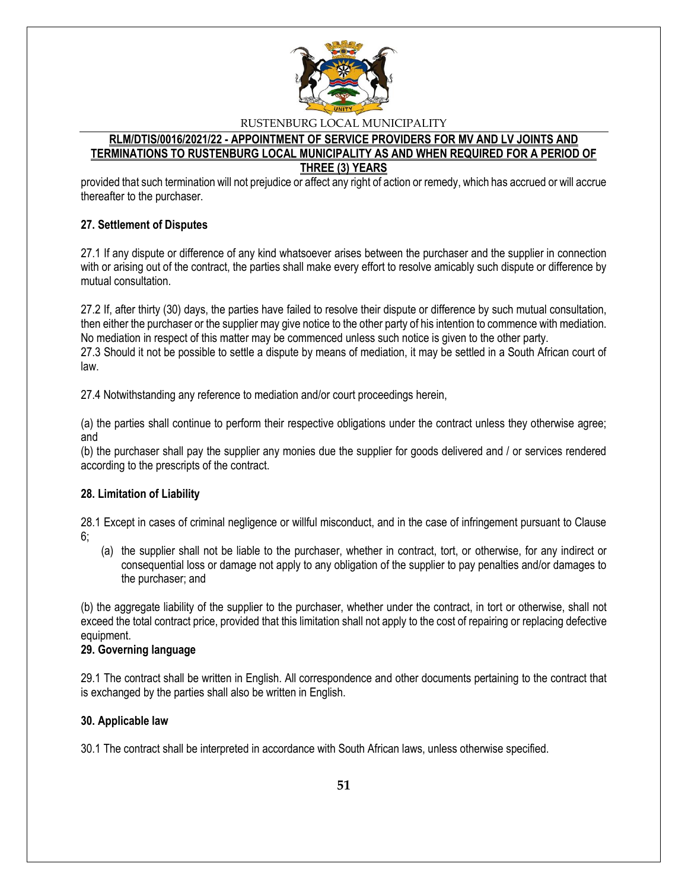

## **RLM/DTIS/0016/2021/22 - APPOINTMENT OF SERVICE PROVIDERS FOR MV AND LV JOINTS AND TERMINATIONS TO RUSTENBURG LOCAL MUNICIPALITY AS AND WHEN REQUIRED FOR A PERIOD OF THREE (3) YEARS**

provided that such termination will not prejudice or affect any right of action or remedy, which has accrued or will accrue thereafter to the purchaser.

## **27. Settlement of Disputes**

27.1 If any dispute or difference of any kind whatsoever arises between the purchaser and the supplier in connection with or arising out of the contract, the parties shall make every effort to resolve amicably such dispute or difference by mutual consultation.

27.2 If, after thirty (30) days, the parties have failed to resolve their dispute or difference by such mutual consultation, then either the purchaser or the supplier may give notice to the other party of his intention to commence with mediation. No mediation in respect of this matter may be commenced unless such notice is given to the other party. 27.3 Should it not be possible to settle a dispute by means of mediation, it may be settled in a South African court of law.

27.4 Notwithstanding any reference to mediation and/or court proceedings herein,

(a) the parties shall continue to perform their respective obligations under the contract unless they otherwise agree; and

(b) the purchaser shall pay the supplier any monies due the supplier for goods delivered and / or services rendered according to the prescripts of the contract.

#### **28. Limitation of Liability**

28.1 Except in cases of criminal negligence or willful misconduct, and in the case of infringement pursuant to Clause 6;

(a) the supplier shall not be liable to the purchaser, whether in contract, tort, or otherwise, for any indirect or consequential loss or damage not apply to any obligation of the supplier to pay penalties and/or damages to the purchaser; and

(b) the aggregate liability of the supplier to the purchaser, whether under the contract, in tort or otherwise, shall not exceed the total contract price, provided that this limitation shall not apply to the cost of repairing or replacing defective equipment.

#### **29. Governing language**

29.1 The contract shall be written in English. All correspondence and other documents pertaining to the contract that is exchanged by the parties shall also be written in English.

## **30. Applicable law**

30.1 The contract shall be interpreted in accordance with South African laws, unless otherwise specified.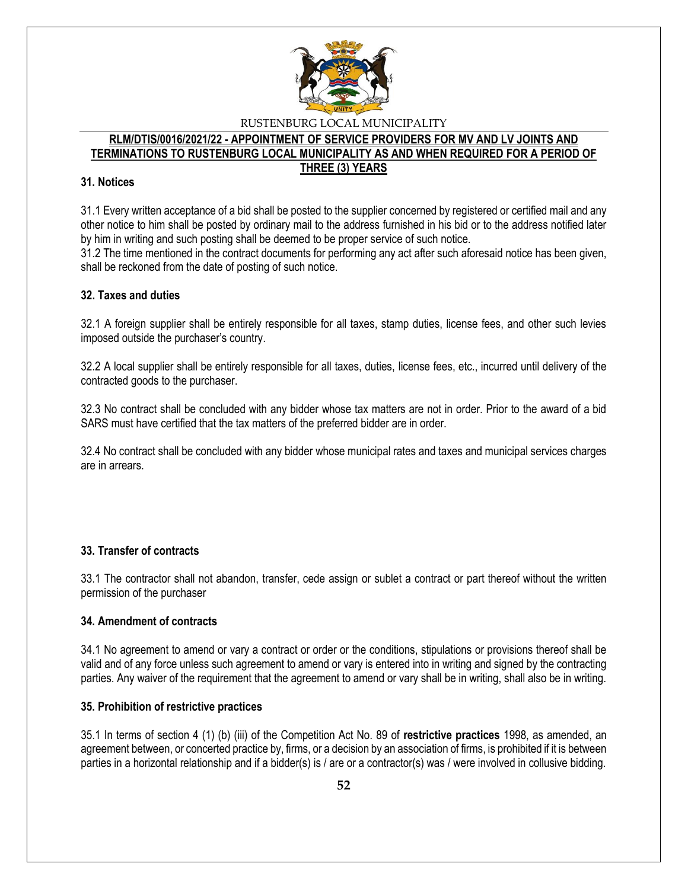

#### **RLM/DTIS/0016/2021/22 - APPOINTMENT OF SERVICE PROVIDERS FOR MV AND LV JOINTS AND TERMINATIONS TO RUSTENBURG LOCAL MUNICIPALITY AS AND WHEN REQUIRED FOR A PERIOD OF THREE (3) YEARS**

### **31. Notices**

31.1 Every written acceptance of a bid shall be posted to the supplier concerned by registered or certified mail and any other notice to him shall be posted by ordinary mail to the address furnished in his bid or to the address notified later by him in writing and such posting shall be deemed to be proper service of such notice.

31.2 The time mentioned in the contract documents for performing any act after such aforesaid notice has been given, shall be reckoned from the date of posting of such notice.

### **32. Taxes and duties**

32.1 A foreign supplier shall be entirely responsible for all taxes, stamp duties, license fees, and other such levies imposed outside the purchaser's country.

32.2 A local supplier shall be entirely responsible for all taxes, duties, license fees, etc., incurred until delivery of the contracted goods to the purchaser.

32.3 No contract shall be concluded with any bidder whose tax matters are not in order. Prior to the award of a bid SARS must have certified that the tax matters of the preferred bidder are in order.

32.4 No contract shall be concluded with any bidder whose municipal rates and taxes and municipal services charges are in arrears.

## **33. Transfer of contracts**

33.1 The contractor shall not abandon, transfer, cede assign or sublet a contract or part thereof without the written permission of the purchaser

#### **34. Amendment of contracts**

34.1 No agreement to amend or vary a contract or order or the conditions, stipulations or provisions thereof shall be valid and of any force unless such agreement to amend or vary is entered into in writing and signed by the contracting parties. Any waiver of the requirement that the agreement to amend or vary shall be in writing, shall also be in writing.

#### **35. Prohibition of restrictive practices**

35.1 In terms of section 4 (1) (b) (iii) of the Competition Act No. 89 of **restrictive practices** 1998, as amended, an agreement between, or concerted practice by, firms, or a decision by an association of firms, is prohibited if it is between parties in a horizontal relationship and if a bidder(s) is / are or a contractor(s) was / were involved in collusive bidding.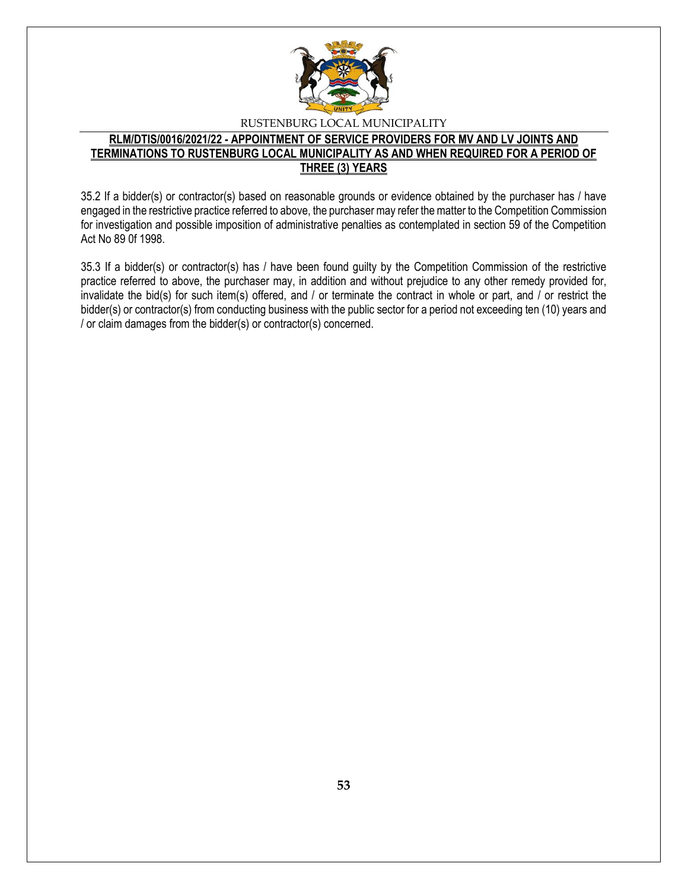

## **RLM/DTIS/0016/2021/22 - APPOINTMENT OF SERVICE PROVIDERS FOR MV AND LV JOINTS AND TERMINATIONS TO RUSTENBURG LOCAL MUNICIPALITY AS AND WHEN REQUIRED FOR A PERIOD OF THREE (3) YEARS**

35.2 If a bidder(s) or contractor(s) based on reasonable grounds or evidence obtained by the purchaser has / have engaged in the restrictive practice referred to above, the purchaser may refer the matter to the Competition Commission for investigation and possible imposition of administrative penalties as contemplated in section 59 of the Competition Act No 89 0f 1998.

35.3 If a bidder(s) or contractor(s) has / have been found guilty by the Competition Commission of the restrictive practice referred to above, the purchaser may, in addition and without prejudice to any other remedy provided for, invalidate the bid(s) for such item(s) offered, and / or terminate the contract in whole or part, and / or restrict the bidder(s) or contractor(s) from conducting business with the public sector for a period not exceeding ten (10) years and / or claim damages from the bidder(s) or contractor(s) concerned.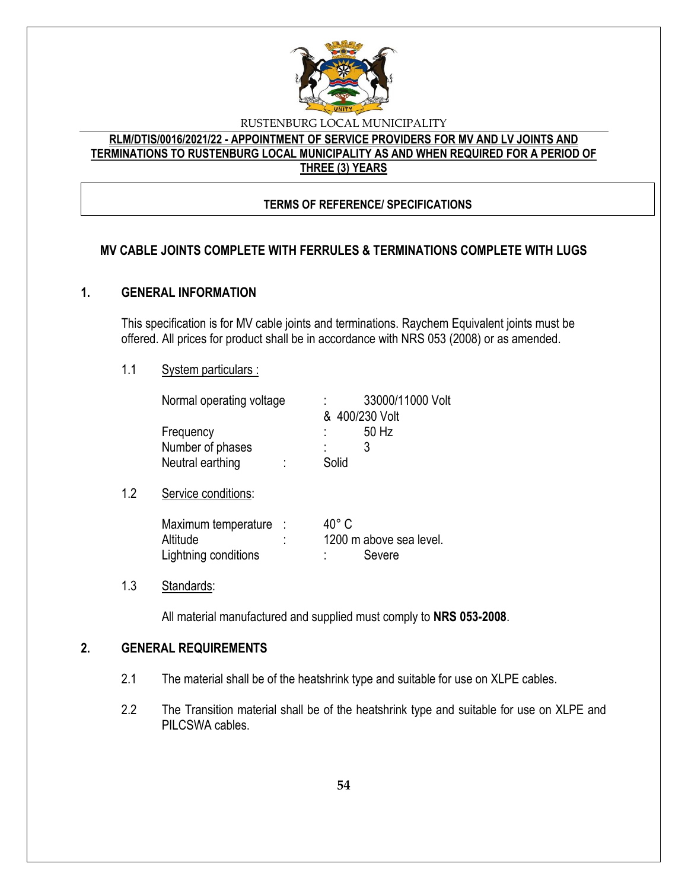

# **RLM/DTIS/0016/2021/22 - APPOINTMENT OF SERVICE PROVIDERS FOR MV AND LV JOINTS AND TERMINATIONS TO RUSTENBURG LOCAL MUNICIPALITY AS AND WHEN REQUIRED FOR A PERIOD OF THREE (3) YEARS**

# **TERMS OF REFERENCE/ SPECIFICATIONS**

# **MV CABLE JOINTS COMPLETE WITH FERRULES & TERMINATIONS COMPLETE WITH LUGS**

# **1. GENERAL INFORMATION**

This specification is for MV cable joints and terminations. Raychem Equivalent joints must be offered. All prices for product shall be in accordance with NRS 053 (2008) or as amended.

## 1.1 System particulars :

| Normal operating voltage | 33000/11000 Volt |
|--------------------------|------------------|
|                          | & 400/230 Volt   |
| Frequency                | 50 Hz<br>÷       |
| Number of phases         |                  |
| Neutral earthing         | Solid            |
|                          |                  |
| Service conditions:      |                  |

| Maximum temperature  |   | $40^{\circ}$ C          |
|----------------------|---|-------------------------|
| Altitude             | ٠ | 1200 m above sea level. |
| Lightning conditions |   | Severe                  |

## 1.3 Standards:

 $1.2$ 

All material manufactured and supplied must comply to **NRS 053-2008**.

# **2. GENERAL REQUIREMENTS**

- 2.1 The material shall be of the heatshrink type and suitable for use on XLPE cables.
- 2.2 The Transition material shall be of the heatshrink type and suitable for use on XLPE and PILCSWA cables.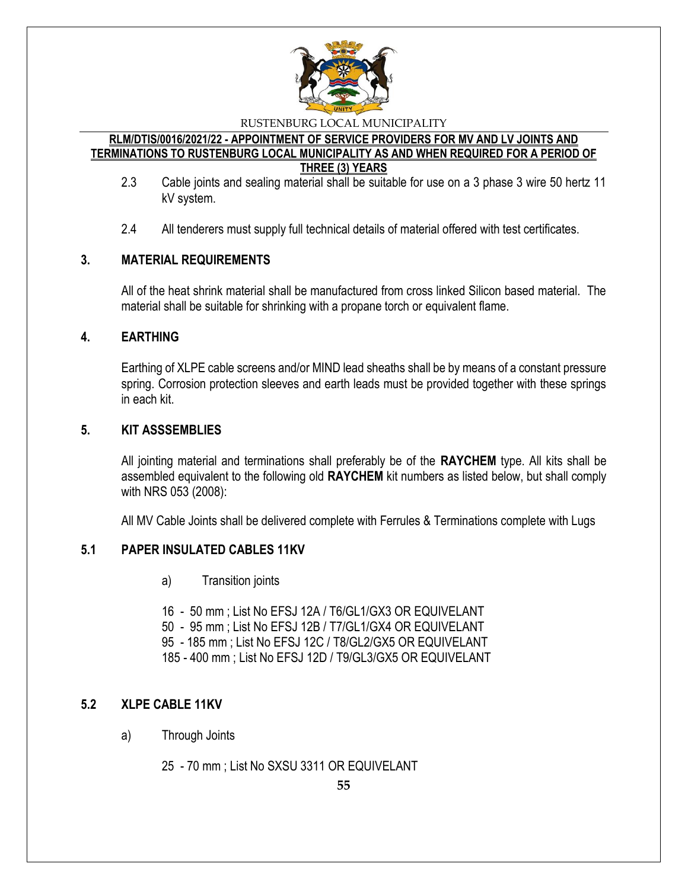

#### **RLM/DTIS/0016/2021/22 - APPOINTMENT OF SERVICE PROVIDERS FOR MV AND LV JOINTS AND TERMINATIONS TO RUSTENBURG LOCAL MUNICIPALITY AS AND WHEN REQUIRED FOR A PERIOD OF THREE (3) YEARS**

- 2.3 Cable joints and sealing material shall be suitable for use on a 3 phase 3 wire 50 hertz 11 kV system.
- 2.4 All tenderers must supply full technical details of material offered with test certificates.

# **3. MATERIAL REQUIREMENTS**

All of the heat shrink material shall be manufactured from cross linked Silicon based material. The material shall be suitable for shrinking with a propane torch or equivalent flame.

# **4. EARTHING**

Earthing of XLPE cable screens and/or MIND lead sheaths shall be by means of a constant pressure spring. Corrosion protection sleeves and earth leads must be provided together with these springs in each kit.

# **5. KIT ASSSEMBLIES**

All jointing material and terminations shall preferably be of the **RAYCHEM** type. All kits shall be assembled equivalent to the following old **RAYCHEM** kit numbers as listed below, but shall comply with NRS 053 (2008):

All MV Cable Joints shall be delivered complete with Ferrules & Terminations complete with Lugs

# **5.1 PAPER INSULATED CABLES 11KV**

- a) Transition joints
- 16 50 mm ; List No EFSJ 12A / T6/GL1/GX3 OR EQUIVELANT
- 50 95 mm ; List No EFSJ 12B / T7/GL1/GX4 OR EQUIVELANT
- 95 185 mm ; List No EFSJ 12C / T8/GL2/GX5 OR EQUIVELANT

185 - 400 mm ; List No EFSJ 12D / T9/GL3/GX5 OR EQUIVELANT

# **5.2 XLPE CABLE 11KV**

a) Through Joints

25 - 70 mm ; List No SXSU 3311 OR EQUIVELANT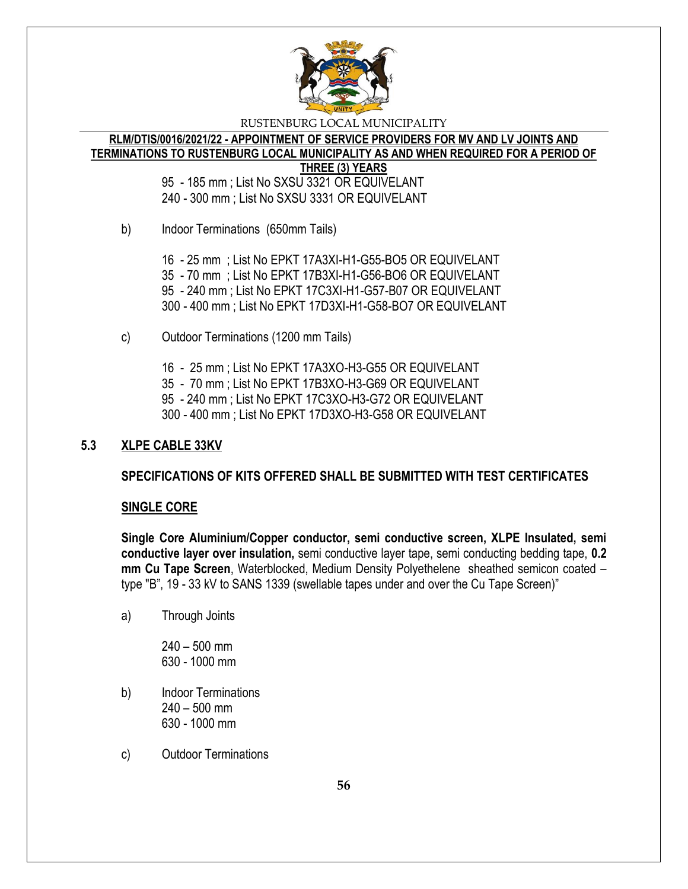

#### **RLM/DTIS/0016/2021/22 - APPOINTMENT OF SERVICE PROVIDERS FOR MV AND LV JOINTS AND TERMINATIONS TO RUSTENBURG LOCAL MUNICIPALITY AS AND WHEN REQUIRED FOR A PERIOD OF THREE (3) YEARS**

95 - 185 mm ; List No SXSU 3321 OR EQUIVELANT 240 - 300 mm ; List No SXSU 3331 OR EQUIVELANT

b) Indoor Terminations (650mm Tails)

16 - 25 mm ; List No EPKT 17A3XI-H1-G55-BO5 OR EQUIVELANT 35 - 70 mm ; List No EPKT 17B3XI-H1-G56-BO6 OR EQUIVELANT 95 - 240 mm ; List No EPKT 17C3XI-H1-G57-B07 OR EQUIVELANT 300 - 400 mm ; List No EPKT 17D3XI-H1-G58-BO7 OR EQUIVELANT

- c) Outdoor Terminations (1200 mm Tails)
	- 16 25 mm ; List No EPKT 17A3XO-H3-G55 OR EQUIVELANT
	- 35 70 mm ; List No EPKT 17B3XO-H3-G69 OR EQUIVELANT
	- 95 240 mm ; List No EPKT 17C3XO-H3-G72 OR EQUIVELANT
	- 300 400 mm ; List No EPKT 17D3XO-H3-G58 OR EQUIVELANT

# **5.3 XLPE CABLE 33KV**

# **SPECIFICATIONS OF KITS OFFERED SHALL BE SUBMITTED WITH TEST CERTIFICATES**

# **SINGLE CORE**

**Single Core Aluminium/Copper conductor, semi conductive screen, XLPE Insulated, semi conductive layer over insulation,** semi conductive layer tape, semi conducting bedding tape, **0.2 mm Cu Tape Screen**, Waterblocked, Medium Density Polyethelene sheathed semicon coated – type "B", 19 - 33 kV to SANS 1339 (swellable tapes under and over the Cu Tape Screen)"

a) Through Joints

240 – 500 mm 630 - 1000 mm

- b) Indoor Terminations 240 – 500 mm 630 - 1000 mm
- c) Outdoor Terminations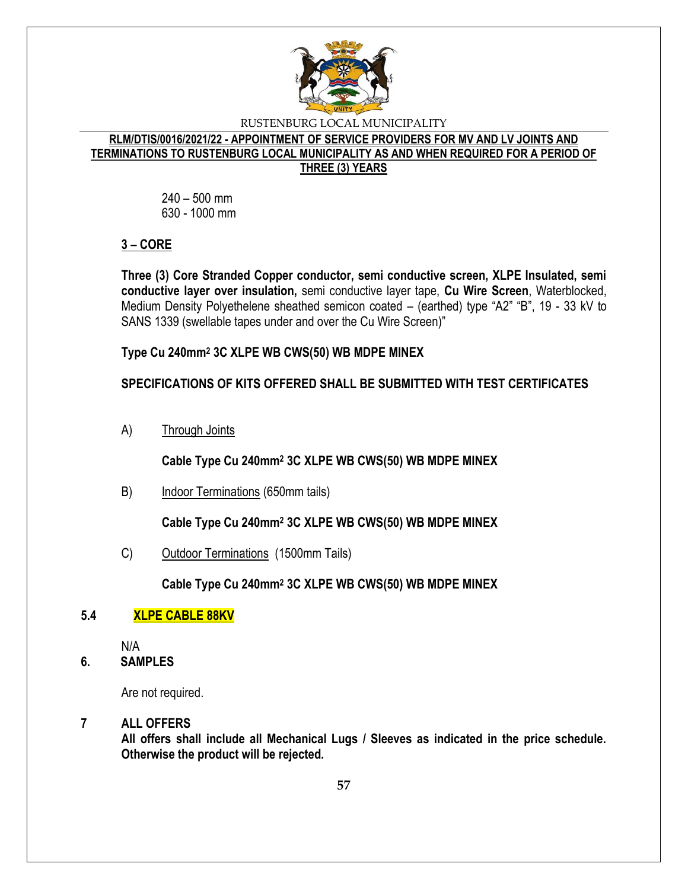

## **RLM/DTIS/0016/2021/22 - APPOINTMENT OF SERVICE PROVIDERS FOR MV AND LV JOINTS AND TERMINATIONS TO RUSTENBURG LOCAL MUNICIPALITY AS AND WHEN REQUIRED FOR A PERIOD OF THREE (3) YEARS**

240 – 500 mm 630 - 1000 mm

# **3 – CORE**

**Three (3) Core Stranded Copper conductor, semi conductive screen, XLPE Insulated, semi conductive layer over insulation,** semi conductive layer tape, **Cu Wire Screen**, Waterblocked, Medium Density Polyethelene sheathed semicon coated – (earthed) type "A2" "B", 19 - 33 kV to SANS 1339 (swellable tapes under and over the Cu Wire Screen)"

**Type Cu 240mm<sup>2</sup> 3C XLPE WB CWS(50) WB MDPE MINEX**

# **SPECIFICATIONS OF KITS OFFERED SHALL BE SUBMITTED WITH TEST CERTIFICATES**

A) Through Joints

**Cable Type Cu 240mm<sup>2</sup> 3C XLPE WB CWS(50) WB MDPE MINEX**

B) Indoor Terminations (650mm tails)

**Cable Type Cu 240mm<sup>2</sup> 3C XLPE WB CWS(50) WB MDPE MINEX**

C) Outdoor Terminations (1500mm Tails)

**Cable Type Cu 240mm<sup>2</sup> 3C XLPE WB CWS(50) WB MDPE MINEX**

# **5.4 XLPE CABLE 88KV**

N/A

**6. SAMPLES**

Are not required.

# **7 ALL OFFERS**

**All offers shall include all Mechanical Lugs / Sleeves as indicated in the price schedule. Otherwise the product will be rejected.**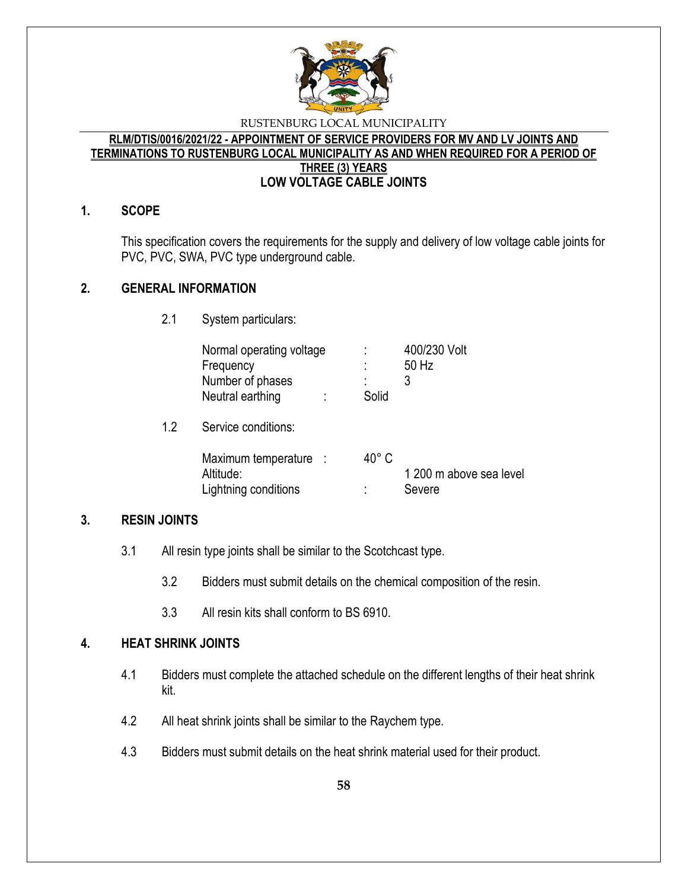

#### **RLM/DTIS/0016/2021/22 - APPOINTMENT OF SERVICE PROVIDERS FOR MV AND LV JOINTS AND TERMINATIONS TO RUSTENBURG LOCAL MUNICIPALITY AS AND WHEN REQUIRED FOR A PERIOD OF THREE (3) YEARS LOW VOLTAGE CABLE JOINTS**

## **1. SCOPE**

This specification covers the requirements for the supply and delivery of low voltage cable joints for PVC, PVC, SWA, PVC type underground cable.

## **2. GENERAL INFORMATION**

 $1.2$ 

2.1 System particulars:

| Normal operating voltage<br>Frequency<br>Number of phases<br>Neutral earthing | ٠<br>٠<br>Solid | 400/230 Volt<br>50 Hz<br>3        |
|-------------------------------------------------------------------------------|-----------------|-----------------------------------|
| Service conditions:                                                           |                 |                                   |
| Maximum temperature :<br>Altitude:<br>Lightning conditions                    | $40^{\circ}$ C  | 1 200 m above sea level<br>Severe |

## **3. RESIN JOINTS**

- 3.1 All resin type joints shall be similar to the Scotchcast type.
	- 3.2 Bidders must submit details on the chemical composition of the resin.
	- 3.3 All resin kits shall conform to BS 6910.

# **4. HEAT SHRINK JOINTS**

- 4.1 Bidders must complete the attached schedule on the different lengths of their heat shrink kit.
- 4.2 All heat shrink joints shall be similar to the Raychem type.
- 4.3 Bidders must submit details on the heat shrink material used for their product.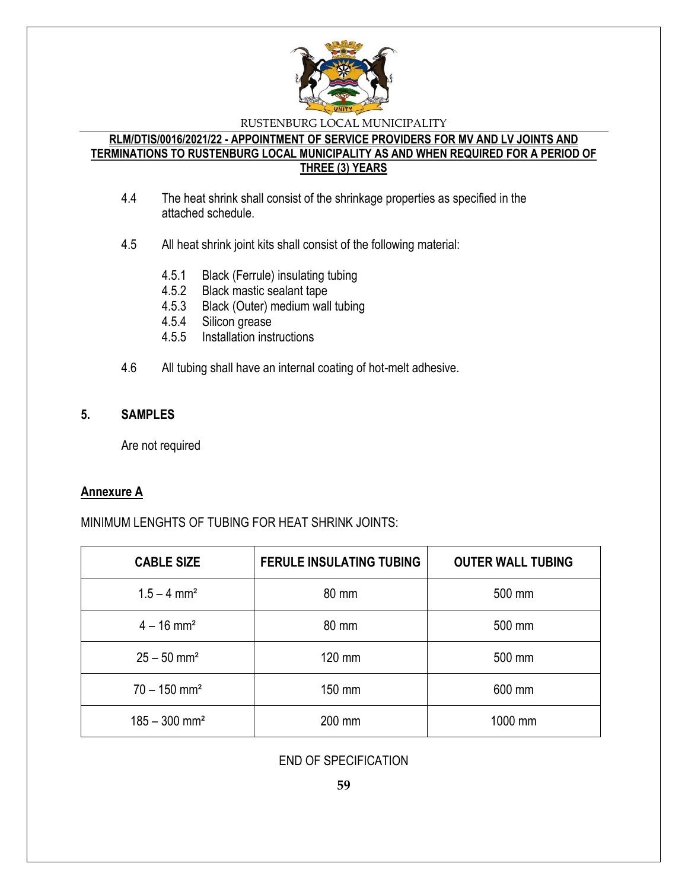

## **RLM/DTIS/0016/2021/22 - APPOINTMENT OF SERVICE PROVIDERS FOR MV AND LV JOINTS AND TERMINATIONS TO RUSTENBURG LOCAL MUNICIPALITY AS AND WHEN REQUIRED FOR A PERIOD OF THREE (3) YEARS**

- 4.4 The heat shrink shall consist of the shrinkage properties as specified in the attached schedule.
- 4.5 All heat shrink joint kits shall consist of the following material:
	- 4.5.1 Black (Ferrule) insulating tubing
	- 4.5.2 Black mastic sealant tape
	- 4.5.3 Black (Outer) medium wall tubing
	- 4.5.4 Silicon grease
	- 4.5.5 Installation instructions
- 4.6 All tubing shall have an internal coating of hot-melt adhesive.

# **5. SAMPLES**

Are not required

## **Annexure A**

# MINIMUM LENGHTS OF TUBING FOR HEAT SHRINK JOINTS:

| <b>CABLE SIZE</b>           | <b>FERULE INSULATING TUBING</b> | <b>OUTER WALL TUBING</b> |
|-----------------------------|---------------------------------|--------------------------|
| $1.5 - 4$ mm <sup>2</sup>   | 80 mm                           | 500 mm                   |
| $4 - 16$ mm <sup>2</sup>    | 80 mm                           | 500 mm                   |
| $25 - 50$ mm <sup>2</sup>   | 120 mm                          | 500 mm                   |
| $70 - 150$ mm <sup>2</sup>  | 150 mm                          | 600 mm                   |
| $185 - 300$ mm <sup>2</sup> | 200 mm                          | 1000 mm                  |

END OF SPECIFICATION